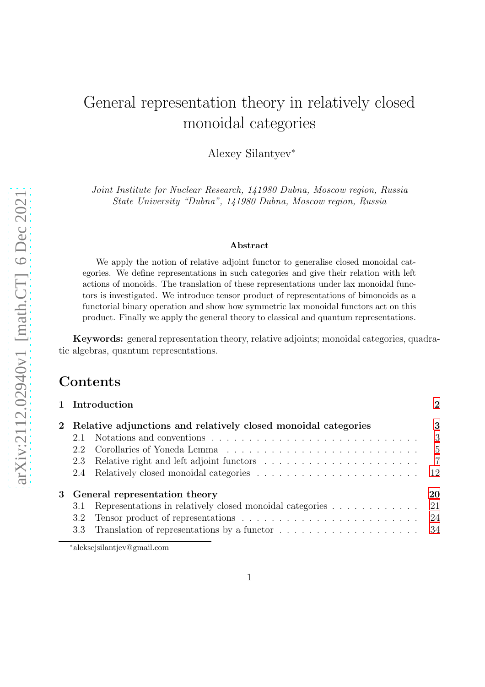# General representation theory in relatively closed monoidal categories

Alexey Silantyev<sup>∗</sup>

Joint Institute for Nuclear Research, 141980 Dubna, Moscow region, Russia State University "Dubna", 141980 Dubna, Moscow region, Russia

#### Abstract

We apply the notion of relative adjoint functor to generalise closed monoidal categories. We define representations in such categories and give their relation with left actions of monoids. The translation of these representations under lax monoidal functors is investigated. We introduce tensor product of representations of bimonoids as a functorial binary operation and show how symmetric lax monoidal functors act on this product. Finally we apply the general theory to classical and quantum representations.

Keywords: general representation theory, relative adjoints; monoidal categories, quadratic algebras, quantum representations.

## Contents

| 1 Introduction                                                   | $\mathcal{D}$  |
|------------------------------------------------------------------|----------------|
| 2 Relative adjunctions and relatively closed monoidal categories | 3              |
| 2.1                                                              | - 3            |
|                                                                  | $-5$           |
| 2.3 Relative right and left adjoint functors                     | $\overline{7}$ |
|                                                                  | -12            |
| 3 General representation theory                                  | 20             |
| Representations in relatively closed monoidal categories<br>3.1  | 21             |
|                                                                  |                |
|                                                                  |                |
|                                                                  |                |

<sup>∗</sup>aleksejsilantjev@gmail.com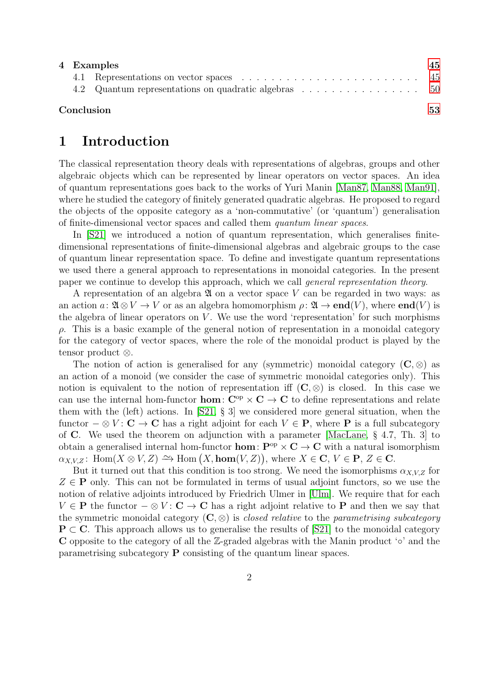|            | 4 Examples |                                                      |  |  |
|------------|------------|------------------------------------------------------|--|--|
|            |            |                                                      |  |  |
|            |            | 4.2 Quantum representations on quadratic algebras 50 |  |  |
| Conclusion |            |                                                      |  |  |

## <span id="page-1-0"></span>1 Introduction

The classical representation theory deals with representations of algebras, groups and other algebraic objects which can be represented by linear operators on vector spaces. An idea of quantum representations goes back to the works of Yuri Manin [\[Man87,](#page-53-0) [Man88,](#page-53-1) [Man91\]](#page-53-2), where he studied the category of finitely generated quadratic algebras. He proposed to regard the objects of the opposite category as a 'non-commutative' (or 'quantum') generalisation of finite-dimensional vector spaces and called them quantum linear spaces.

In [\[S21\]](#page-54-0) we introduced a notion of quantum representation, which generalises finitedimensional representations of finite-dimensional algebras and algebraic groups to the case of quantum linear representation space. To define and investigate quantum representations we used there a general approach to representations in monoidal categories. In the present paper we continue to develop this approach, which we call general representation theory.

A representation of an algebra  $\mathfrak A$  on a vector space V can be regarded in two ways: as an action  $a: \mathfrak{A} \otimes V \to V$  or as an algebra homomorphism  $\rho: \mathfrak{A} \to \mathbf{end}(V)$ , where  $\mathbf{end}(V)$  is the algebra of linear operators on  $V$ . We use the word 'representation' for such morphisms ρ. This is a basic example of the general notion of representation in a monoidal category for the category of vector spaces, where the role of the monoidal product is played by the tensor product ⊗.

The notion of action is generalised for any (symmetric) monoidal category  $(C, \otimes)$  as an action of a monoid (we consider the case of symmetric monoidal categories only). This notion is equivalent to the notion of representation iff  $(C, \otimes)$  is closed. In this case we can use the internal hom-functor **hom**:  $C^{op} \times C \rightarrow C$  to define representations and relate them with the (left) actions. In [\[S21,](#page-54-0) § 3] we considered more general situation, when the functor  $-\otimes V: \mathbf{C} \to \mathbf{C}$  has a right adjoint for each  $V \in \mathbf{P}$ , where **P** is a full subcategory of C. We used the theorem on adjunction with a parameter [\[MacLane,](#page-53-3) § 4.7, Th. 3] to obtain a generalised internal hom-functor **hom:**  $P^{op} \times C \to C$  with a natural isomorphism  $\alpha_{X,V,Z}$ : Hom $(X \otimes V, Z) \to \text{Hom}(X, \text{hom}(V, Z)),$  where  $X \in \mathbf{C}, V \in \mathbf{P}, Z \in \mathbf{C}.$ 

But it turned out that this condition is too strong. We need the isomorphisms  $\alpha_{X,V,Z}$  for  $Z \in \mathbf{P}$  only. This can not be formulated in terms of usual adjoint functors, so we use the notion of relative adjoints introduced by Friedrich Ulmer in [\[Ulm\]](#page-54-1). We require that for each  $V \in \mathbf{P}$  the functor  $-\otimes V : \mathbf{C} \to \mathbf{C}$  has a right adjoint relative to **P** and then we say that the symmetric monoidal category  $(C, \otimes)$  is *closed relative* to the *parametrising subcategory*  $P \subset C$ . This approach allows us to generalise the results of [\[S21\]](#page-54-0) to the monoidal category C opposite to the category of all the Z-graded algebras with the Manin product '◦' and the parametrising subcategory P consisting of the quantum linear spaces.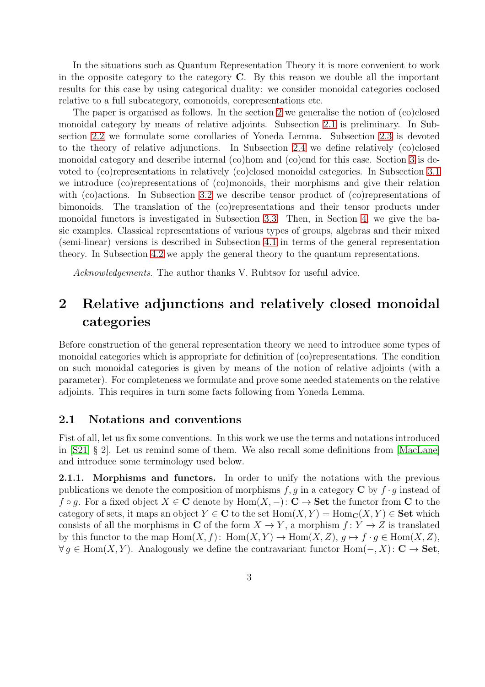In the situations such as Quantum Representation Theory it is more convenient to work in the opposite category to the category  $C$ . By this reason we double all the important results for this case by using categorical duality: we consider monoidal categories coclosed relative to a full subcategory, comonoids, corepresentations etc.

The paper is organised as follows. In the section [2](#page-2-0) we generalise the notion of (co)closed monoidal category by means of relative adjoints. Subsection [2.1](#page-2-1) is preliminary. In Subsection [2.2](#page-4-0) we formulate some corollaries of Yoneda Lemma. Subsection [2.3](#page-6-0) is devoted to the theory of relative adjunctions. In Subsection [2.4](#page-11-0) we define relatively (co)closed monoidal category and describe internal (co)hom and (co)end for this case. Section [3](#page-19-0) is devoted to (co)representations in relatively (co)closed monoidal categories. In Subsection [3.1](#page-20-0) we introduce (co)representations of (co)monoids, their morphisms and give their relation with (co)actions. In Subsection [3.2](#page-23-0) we describe tensor product of (co)representations of bimonoids. The translation of the (co)representations and their tensor products under monoidal functors is investigated in Subsection [3.3.](#page-33-0) Then, in Section [4,](#page-44-0) we give the basic examples. Classical representations of various types of groups, algebras and their mixed (semi-linear) versions is described in Subsection [4.1](#page-44-1) in terms of the general representation theory. In Subsection [4.2](#page-49-0) we apply the general theory to the quantum representations.

Acknowledgements. The author thanks V. Rubtsov for useful advice.

## <span id="page-2-0"></span>2 Relative adjunctions and relatively closed monoidal categories

Before construction of the general representation theory we need to introduce some types of monoidal categories which is appropriate for definition of (co)representations. The condition on such monoidal categories is given by means of the notion of relative adjoints (with a parameter). For completeness we formulate and prove some needed statements on the relative adjoints. This requires in turn some facts following from Yoneda Lemma.

#### <span id="page-2-1"></span>2.1 Notations and conventions

Fist of all, let us fix some conventions. In this work we use the terms and notations introduced in [\[S21,](#page-54-0) § 2]. Let us remind some of them. We also recall some definitions from [\[MacLane\]](#page-53-3) and introduce some terminology used below.

2.1.1. Morphisms and functors. In order to unify the notations with the previous publications we denote the composition of morphisms  $f, g$  in a category C by  $f \cdot g$  instead of  $f \circ g$ . For a fixed object  $X \in \mathbf{C}$  denote by  $\text{Hom}(X, -) : \mathbf{C} \to \mathbf{Set}$  the functor from  $\mathbf{C}$  to the category of sets, it maps an object  $Y \in \mathbf{C}$  to the set  $\text{Hom}(X, Y) = \text{Hom}_{\mathbf{C}}(X, Y) \in \mathbf{Set}$  which consists of all the morphisms in C of the form  $X \to Y$ , a morphism  $f: Y \to Z$  is translated by this functor to the map  $\text{Hom}(X, f)$ :  $\text{Hom}(X, Y) \to \text{Hom}(X, Z)$ ,  $g \mapsto f \cdot g \in \text{Hom}(X, Z)$ ,  $\forall g \in \text{Hom}(X, Y)$ . Analogously we define the contravariant functor  $\text{Hom}(-, X)$ : C  $\rightarrow$  Set,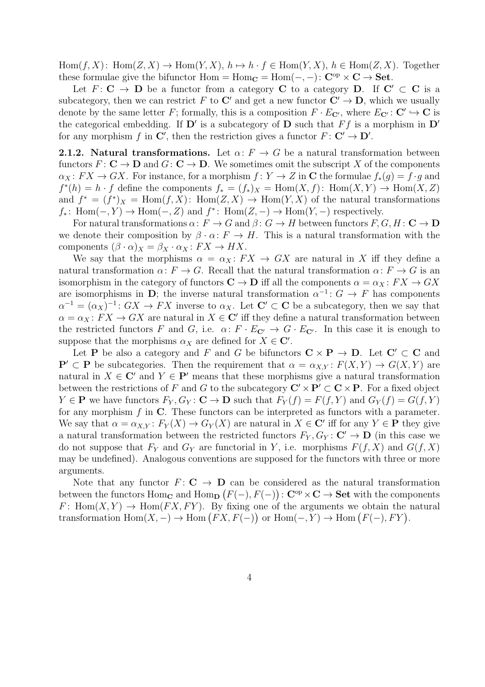$Hom(f, X)$ :  $Hom(Z, X) \to Hom(Y, X)$ ,  $h \mapsto h \cdot f \in Hom(Y, X)$ ,  $h \in Hom(Z, X)$ . Together these formulae give the bifunctor  $Hom = Hom_C = Hom(-, -): C^{op} \times C \rightarrow Set.$ 

Let  $F: \mathbf{C} \to \mathbf{D}$  be a functor from a category  $\mathbf{C}$  to a category  $\mathbf{D}$ . If  $\mathbf{C}' \subset \mathbf{C}$  is a subcategory, then we can restrict F to C' and get a new functor  $C' \rightarrow D$ , which we usually denote by the same letter F; formally, this is a composition  $F \cdot E_{\mathbf{C'}}$ , where  $E_{\mathbf{C'}} : \mathbf{C'} \hookrightarrow \mathbf{C}$  is the categorical embedding. If  $\mathbf{D}'$  is a subcategory of  $\mathbf D$  such that  $Ff$  is a morphism in  $\mathbf{D}'$ for any morphism f in C', then the restriction gives a functor  $F: C' \to D'$ .

<span id="page-3-0"></span>**2.1.2.** Natural transformations. Let  $\alpha: F \to G$  be a natural transformation between functors  $F: \mathbf{C} \to \mathbf{D}$  and  $G: \mathbf{C} \to \mathbf{D}$ . We sometimes omit the subscript X of the components  $\alpha_X \colon FX \to GX$ . For instance, for a morphism  $f: Y \to Z$  in C the formulae  $f_*(g) = f \cdot g$  and  $f^*(h) = h \cdot f$  define the components  $f_* = (f_*)_X = \text{Hom}(X, f)$ :  $\text{Hom}(X, Y) \to \text{Hom}(X, Z)$ and  $f^* = (f^*)_X = \text{Hom}(f, X)$ :  $\text{Hom}(Z, X) \to \text{Hom}(Y, X)$  of the natural transformations  $f_*\colon \text{Hom}(-,Y) \to \text{Hom}(-,Z)$  and  $f^*\colon \text{Hom}(Z,-) \to \text{Hom}(Y,-)$  respectively.

For natural transformations  $\alpha: F \to G$  and  $\beta: G \to H$  between functors  $F, G, H \colon \mathbf{C} \to \mathbf{D}$ we denote their composition by  $\beta \cdot \alpha$ :  $F \to H$ . This is a natural transformation with the components  $(\beta \cdot \alpha)_X = \beta_X \cdot \alpha_X : FX \to HX$ .

We say that the morphisms  $\alpha = \alpha_X : FX \to GX$  are natural in X iff they define a natural transformation  $\alpha: F \to G$ . Recall that the natural transformation  $\alpha: F \to G$  is an isomorphism in the category of functors  $C \to D$  iff all the components  $\alpha = \alpha_X : FX \to GX$ are isomorphisms in D; the inverse natural transformation  $\alpha^{-1}$ :  $G \to F$  has components  $\alpha^{-1} = (\alpha_X)^{-1} : GX \to FX$  inverse to  $\alpha_X$ . Let  $\mathbf{C}' \subset \mathbf{C}$  be a subcategory, then we say that  $\alpha = \alpha_X : FX \to GX$  are natural in  $X \in \mathbb{C}'$  iff they define a natural transformation between the restricted functors F and G, i.e.  $\alpha: F \cdot E_{\mathbf{C}'} \to G \cdot E_{\mathbf{C}}'$ . In this case it is enough to suppose that the morphisms  $\alpha_X$  are defined for  $X \in \mathbb{C}'$ .

Let **P** be also a category and F and G be bifunctors  $C \times P \rightarrow D$ . Let  $C' \subset C$  and  ${\bf P}' \subset {\bf P}$  be subcategories. Then the requirement that  $\alpha = \alpha_{X,Y} : F(X,Y) \to G(X,Y)$  are natural in  $X \in \mathbb{C}'$  and  $Y \in \mathbb{P}'$  means that these morphisms give a natural transformation between the restrictions of F and G to the subcategory  $\mathbf{C}' \times \mathbf{P}' \subset \mathbf{C} \times \mathbf{P}$ . For a fixed object  $Y \in \mathbf{P}$  we have functors  $F_Y, G_Y \colon \mathbf{C} \to \mathbf{D}$  such that  $F_Y(f) = F(f, Y)$  and  $G_Y(f) = G(f, Y)$ for any morphism  $f$  in  $\mathbb{C}$ . These functors can be interpreted as functors with a parameter. We say that  $\alpha = \alpha_{X,Y} : F_Y(X) \to G_Y(X)$  are natural in  $X \in \mathbb{C}'$  iff for any  $Y \in \mathbb{P}$  they give a natural transformation between the restricted functors  $F_Y, G_Y : \mathbf{C}' \to \mathbf{D}$  (in this case we do not suppose that  $F_Y$  and  $G_Y$  are functorial in Y, i.e. morphisms  $F(f, X)$  and  $G(f, X)$ may be undefined). Analogous conventions are supposed for the functors with three or more arguments.

Note that any functor  $F: \mathbf{C} \to \mathbf{D}$  can be considered as the natural transformation between the functors  $\text{Hom}_{\mathbf{C}}$  and  $\text{Hom}_{\mathbf{D}}(F(-), F(-))$ :  $\mathbf{C}^{\text{op}} \times \mathbf{C} \to \mathbf{Set}$  with the components F: Hom $(X, Y) \to$  Hom $(FX, FY)$ . By fixing one of the arguments we obtain the natural transformation  $Hom(X, -) \to Hom(FX, F(-))$  or  $Hom(-, Y) \to Hom(F(-), FY)$ .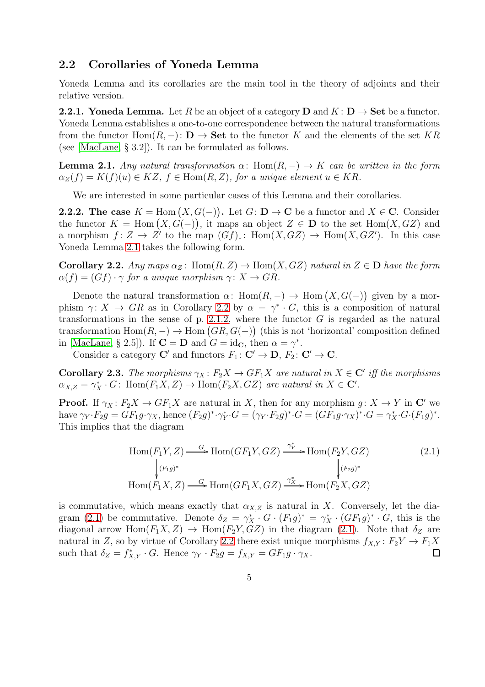#### <span id="page-4-0"></span>2.2 Corollaries of Yoneda Lemma

Yoneda Lemma and its corollaries are the main tool in the theory of adjoints and their relative version.

**2.2.1. Yoneda Lemma.** Let R be an object of a category **D** and  $K: \mathbf{D} \to \mathbf{Set}$  be a functor. Yoneda Lemma establishes a one-to-one correspondence between the natural transformations from the functor Hom( $R, -$ ):  $\mathbf{D} \to \mathbf{Set}$  to the functor K and the elements of the set KR (see [\[MacLane,](#page-53-3) § 3.2]). It can be formulated as follows.

<span id="page-4-1"></span>**Lemma 2.1.** Any natural transformation  $\alpha$ : Hom $(R, -) \rightarrow K$  can be written in the form  $\alpha_Z(f) = K(f)(u) \in KZ$ ,  $f \in \text{Hom}(R, Z)$ , for a unique element  $u \in KR$ .

We are interested in some particular cases of this Lemma and their corollaries.

<span id="page-4-4"></span>**2.2.2.** The case  $K = \text{Hom}(X, G(-))$ . Let  $G: \mathbf{D} \to \mathbf{C}$  be a functor and  $X \in \mathbf{C}$ . Consider the functor  $K = \text{Hom}(X, \hat{G}(-))$ , it maps an object  $Z \in \mathbf{D}$  to the set  $\text{Hom}(X, GZ)$  and a morphism  $f: Z \to Z'$  to the map  $(Gf)_*: \text{Hom}(X, GZ) \to \text{Hom}(X, GZ')$ . In this case Yoneda Lemma [2.1](#page-4-1) takes the following form.

<span id="page-4-2"></span>Corollary 2.2. Any maps  $\alpha_Z$ : Hom $(R, Z) \rightarrow$  Hom $(X, GZ)$  natural in  $Z \in D$  have the form  $\alpha(f) = (Gf) \cdot \gamma$  for a unique morphism  $\gamma: X \to GR$ .

Denote the natural transformation  $\alpha$ : Hom $(R, -) \rightarrow$  Hom  $(X, G(-))$  given by a morphism  $\gamma: X \to \text{GR}$  as in Corollary [2.2](#page-4-2) by  $\alpha = \gamma^* \cdot G$ , this is a composition of natural transformations in the sense of p. [2.1.2,](#page-3-0) where the functor  $G$  is regarded as the natural transformation  $Hom(R, -) \to Hom(GR, G(-))$  (this is not 'horizontal' composition defined in [\[MacLane,](#page-53-3) § 2.5]). If  $\mathbf{C} = \mathbf{D}$  and  $G = id_{\mathbf{C}}$ , then  $\alpha = \gamma^*$ .

Consider a category  $\mathbf{C}'$  and functors  $F_1: \mathbf{C}' \to \mathbf{D}, F_2: \mathbf{C}' \to \mathbf{C}$ .

<span id="page-4-5"></span>**Corollary 2.3.** The morphisms  $\gamma_X : F_2X \to GF_1X$  are natural in  $X \in \mathbb{C}^r$  iff the morphisms  $\alpha_{X,Z} = \gamma_X^* \cdot G$ : Hom $(F_1X, Z) \to \text{Hom}(F_2X, GZ)$  are natural in  $X \in \mathbb{C}'$ .

**Proof.** If  $\gamma_X : F_2X \to GF_1X$  are natural in X, then for any morphism  $g: X \to Y$  in C' we have  $\gamma_Y \cdot F_2 g = G F_1 g \cdot \gamma_X$ , hence  $(F_2 g)^* \cdot \gamma_Y^*$  ${}_{Y}^{*}\cdot G = (\gamma_{Y}\cdot F_{2}g)^{*}\cdot G = (GF_{1}g\cdot \gamma_{X})^{*}\cdot G = \gamma_{X}^{*}\cdot G\cdot (F_{1}g)^{*}.$ This implies that the diagram

<span id="page-4-3"></span>
$$
\text{Hom}(F_1Y, Z) \xrightarrow{\quad G} \text{Hom}(GF_1Y, GZ) \xrightarrow{\gamma_Y^*} \text{Hom}(F_2Y, GZ) \tag{2.1}
$$
\n
$$
\downarrow^{(F_1g)^*} \qquad \qquad \downarrow^{(F_2g)^*} \text{Hom}(F_1X, Z) \xrightarrow{\quad G} \text{Hom}(GF_1X, GZ) \xrightarrow{\gamma_X^*} \text{Hom}(F_2X, GZ)
$$

is commutative, which means exactly that  $\alpha_{X,Z}$  is natural in X. Conversely, let the dia-gram [\(2.1\)](#page-4-3) be commutative. Denote  $\delta_Z = \gamma_X^* \cdot G \cdot (F_1 g)^* = \gamma_X^* \cdot (GF_1 g)^* \cdot G$ , this is the diagonal arrow Hom $(F_1X, Z) \to \text{Hom}(F_2Y, GZ)$  in the diagram [\(2.1\)](#page-4-3). Note that  $\delta_Z$  are natural in Z, so by virtue of Corollary [2.2](#page-4-2) there exist unique morphisms  $f_{X,Y} : F_2Y \to F_1X$ such that  $\delta_Z = f_{X,Y}^* \cdot G$ . Hence  $\gamma_Y \cdot F_2 g = f_{X,Y} = G F_1 g \cdot \gamma_X$ .  $\Box$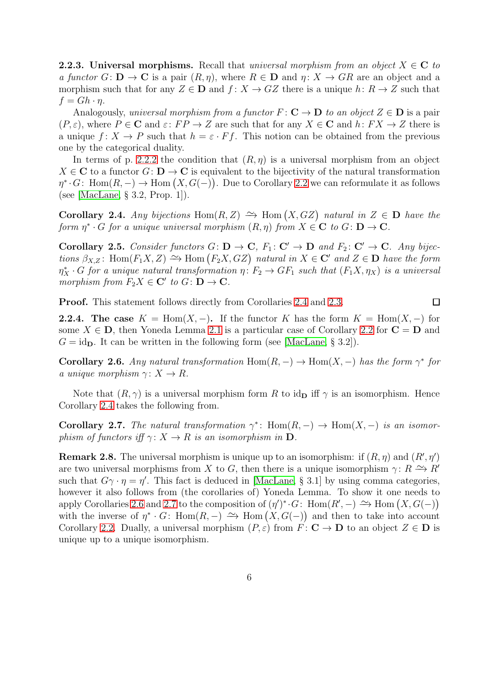**2.2.3.** Universal morphisms. Recall that universal morphism from an object  $X \in \mathbb{C}$  to a functor  $G: \mathbf{D} \to \mathbf{C}$  is a pair  $(R, \eta)$ , where  $R \in \mathbf{D}$  and  $\eta: X \to \hat{G}R$  are an object and a morphism such that for any  $Z \in \mathbf{D}$  and  $f: X \to GZ$  there is a unique  $h: R \to Z$  such that  $f = Gh \cdot \eta$ .

Analogously, universal morphism from a functor  $F: \mathbf{C} \to \mathbf{D}$  to an object  $Z \in \mathbf{D}$  is a pair  $(P, \varepsilon)$ , where  $P \in \mathbb{C}$  and  $\varepsilon: FP \to Z$  are such that for any  $X \in \mathbb{C}$  and  $h: FX \to Z$  there is a unique  $f: X \to P$  such that  $h = \varepsilon \cdot F f$ . This notion can be obtained from the previous one by the categorical duality.

In terms of p. [2.2.2](#page-4-4) the condition that  $(R, \eta)$  is a universal morphism from an object  $X \in \mathbb{C}$  to a functor  $G: \mathbb{D} \to \mathbb{C}$  is equivalent to the bijectivity of the natural transformation  $\eta^* \cdot G: \text{ Hom}(R, -) \to \text{Hom}(X, G(-)).$  Due to Corollary [2.2](#page-4-2) we can reformulate it as follows (see [\[MacLane,](#page-53-3) § 3.2, Prop. 1]).

<span id="page-5-0"></span>Corollary 2.4. Any bijections Hom $(R, Z) \rightarrow H$ om  $(X, GZ)$  natural in  $Z \in D$  have the form  $\eta^* \cdot G$  for a unique universal morphism  $(R, \eta)$  from  $X \in \mathbf{C}$  to  $G \colon \mathbf{D} \to \mathbf{C}$ .

<span id="page-5-3"></span>Corollary 2.5. Consider functors  $G: D \to \mathbb{C}$ ,  $F_1: \mathbb{C}' \to D$  and  $F_2: \mathbb{C}' \to \mathbb{C}$ . Any bijections  $\beta_{X,Z}$ : Hom $(F_1X, Z) \to$  Hom  $(F_2X, GZ)$  natural in  $X \in \mathbb{C}^r$  and  $Z \in \mathbb{D}$  have the form  $\eta_X^* \cdot G$  for a unique natural transformation  $\eta: F_2 \to GF_1$  such that  $(F_1X, \eta_X)$  is a universal morphism from  $F_2X \in \mathbf{C}'$  to  $G \colon \mathbf{D} \to \mathbf{C}$ .

Proof. This statement follows directly from Corollaries [2.4](#page-5-0) and [2.3.](#page-4-5)  $\Box$ 

**2.2.4.** The case  $K = \text{Hom}(X, -)$ . If the functor K has the form  $K = \text{Hom}(X, -)$  for some  $X \in \mathbf{D}$ , then Yoneda Lemma [2.1](#page-4-1) is a particular case of Corollary [2.2](#page-4-2) for  $\mathbf{C} = \mathbf{D}$  and  $G = id_{\mathbf{D}}$ . It can be written in the following form (see [\[MacLane,](#page-53-3) § 3.2]).

<span id="page-5-1"></span>**Corollary 2.6.** Any natural transformation  $\text{Hom}(R, -) \to \text{Hom}(X, -)$  has the form  $\gamma^*$  for a unique morphism  $\gamma: X \to R$ .

Note that  $(R, \gamma)$  is a universal morphism form R to id<sub>D</sub> iff  $\gamma$  is an isomorphism. Hence Corollary [2.4](#page-5-0) takes the following from.

<span id="page-5-2"></span>**Corollary 2.7.** The natural transformation  $\gamma^*$ : Hom $(R, -) \rightarrow$  Hom $(X, -)$  is an isomorphism of functors iff  $\gamma: X \to R$  is an isomorphism in  $D$ .

<span id="page-5-4"></span>**Remark 2.8.** The universal morphism is unique up to an isomorphism: if  $(R, \eta)$  and  $(R', \eta')$ are two universal morphisms from X to G, then there is a unique isomorphism  $\gamma: R \to R'$ such that  $G\gamma \cdot \eta = \eta'$ . This fact is deduced in [\[MacLane,](#page-53-3) § 3.1] by using comma categories, however it also follows from (the corollaries of) Yoneda Lemma. To show it one needs to apply Corollaries [2.6](#page-5-1) and [2.7](#page-5-2) to the composition of  $(\eta')^* G$ : Hom $(R', -) \to {\text{Hom}}(X, G(-))$ with the inverse of  $\eta^* \cdot G$ : Hom $(R, -) \implies$  Hom  $(X, G(-))$  and then to take into account Corollary [2.2.](#page-4-2) Dually, a universal morphism  $(P, \varepsilon)$  from  $F: \mathbf{C} \to \mathbf{D}$  to an object  $Z \in \mathbf{D}$  is unique up to a unique isomorphism.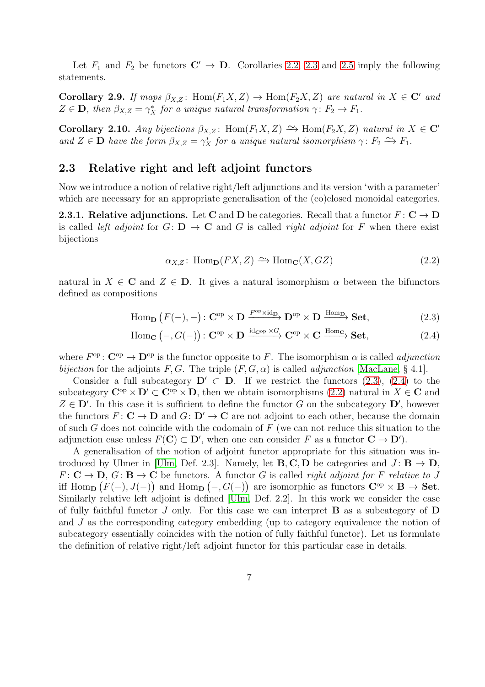Let  $F_1$  and  $F_2$  be functors  $\mathbb{C}' \to \mathbb{D}$ . Corollaries [2.2,](#page-4-2) [2.3](#page-4-5) and [2.5](#page-5-3) imply the following statements.

<span id="page-6-4"></span>Corollary 2.9. If maps  $\beta_{X,Z}$ : Hom $(F_1X, Z) \rightarrow$  Hom $(F_2X, Z)$  are natural in  $X \in \mathbb{C}^r$  and  $Z \in \mathbf{D}$ , then  $\beta_{X,Z} = \gamma_X^*$  for a unique natural transformation  $\gamma: F_2 \to F_1$ .

<span id="page-6-5"></span>Corollary 2.10. Any bijections  $\beta_{X,Z}$ : Hom $(F_1X, Z) \simeq$  Hom $(F_2X, Z)$  natural in  $X \in \mathbb{C}^r$ and  $Z \in \mathbf{D}$  have the form  $\beta_{X,Z} = \gamma_X^*$  for a unique natural isomorphism  $\gamma: F_2 \to F_1$ .

#### <span id="page-6-0"></span>2.3 Relative right and left adjoint functors

Now we introduce a notion of relative right/left adjunctions and its version 'with a parameter' which are necessary for an appropriate generalisation of the (co)closed monoidal categories.

**2.3.1. Relative adjunctions.** Let C and D be categories. Recall that a functor  $F: \mathbb{C} \to \mathbb{D}$ is called left adjoint for  $G: \mathbf{D} \to \mathbf{C}$  and G is called right adjoint for F when there exist bijections

<span id="page-6-3"></span><span id="page-6-2"></span><span id="page-6-1"></span>
$$
\alpha_{X,Z} \colon \operatorname{Hom}_{\mathbf{D}}(FX, Z) \xrightarrow{\sim} \operatorname{Hom}_{\mathbf{C}}(X, GZ) \tag{2.2}
$$

natural in  $X \in \mathbb{C}$  and  $Z \in \mathbb{D}$ . It gives a natural isomorphism  $\alpha$  between the bifunctors defined as compositions

$$
\text{Hom}_{\mathbf{D}}\left(F(-),-\right): \mathbf{C}^{\text{op}} \times \mathbf{D} \xrightarrow{F^{\text{op}} \times \text{id}_{\mathbf{D}}} \mathbf{D}^{\text{op}} \times \mathbf{D} \xrightarrow{\text{Hom}_{\mathbf{D}}} \mathbf{Set},\tag{2.3}
$$

$$
\text{Hom}_{\mathbf{C}}(-, G(-)) : \mathbf{C}^{\text{op}} \times \mathbf{D} \xrightarrow{\text{id}_{\mathbf{C}^{\text{op}}}} \mathbf{C}^{\text{op}} \times \mathbf{C} \xrightarrow{\text{Hom}_{\mathbf{C}}} \mathbf{Set},
$$
\n(2.4)

where  $F^{\rm op}$ :  $\mathbf{C}^{\rm op} \to \mathbf{D}^{\rm op}$  is the functor opposite to F. The isomorphism  $\alpha$  is called *adjunction* bijection for the adjoints F, G. The triple  $(F, G, \alpha)$  is called *adjunction* [\[MacLane,](#page-53-3) § 4.1].

Consider a full subcategory  $\mathbf{D}' \subset \mathbf{D}$ . If we restrict the functors [\(2.3\)](#page-6-1), [\(2.4\)](#page-6-2) to the subcategory  $\mathbf{C}^{\mathrm{op}} \times \mathbf{D}' \subset \mathbf{C}^{\mathrm{op}} \times \mathbf{D}$ , then we obtain isomorphisms [\(2.2\)](#page-6-3) natural in  $X \in \mathbf{C}$  and  $Z \in \mathbf{D}'$ . In this case it is sufficient to define the functor G on the subcategory  $\mathbf{D}'$ , however the functors  $F: \mathbf{C} \to \mathbf{D}$  and  $G: \mathbf{D}' \to \mathbf{C}$  are not adjoint to each other, because the domain of such G does not coincide with the codomain of  $F$  (we can not reduce this situation to the adjunction case unless  $F(\mathbf{C}) \subset \mathbf{D}'$ , when one can consider F as a functor  $\mathbf{C} \to \mathbf{D}'$ .

A generalisation of the notion of adjoint functor appropriate for this situation was in-troduced by Ulmer in [\[Ulm,](#page-54-1) Def. 2.3]. Namely, let **B**, **C**, **D** be categories and  $J: \mathbf{B} \to \mathbf{D}$ ,  $F: \mathbf{C} \to \mathbf{D}, G: \mathbf{B} \to \mathbf{C}$  be functors. A functor G is called *right adjoint for* F relative to J iff Hom<sub>D</sub>  $(F(-), J(-))$  and Hom<sub>D</sub>  $(-, G(-))$  are isomorphic as functors  $C^{op} \times B \to Set$ . Similarly relative left adjoint is defined [\[Ulm,](#page-54-1) Def. 2.2]. In this work we consider the case of fully faithful functor  $J$  only. For this case we can interpret  $\bf{B}$  as a subcategory of  $\bf{D}$ and J as the corresponding category embedding (up to category equivalence the notion of subcategory essentially coincides with the notion of fully faithful functor). Let us formulate the definition of relative right/left adjoint functor for this particular case in details.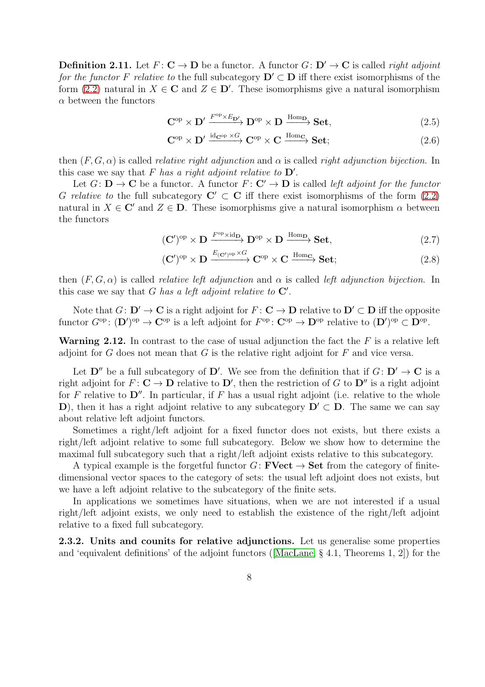**Definition 2.11.** Let  $F: \mathbf{C} \to \mathbf{D}$  be a functor. A functor  $G: \mathbf{D}' \to \mathbf{C}$  is called *right adjoint* for the functor F relative to the full subcategory  $\mathbf{D}' \subset \mathbf{D}$  iff there exist isomorphisms of the form [\(2.2\)](#page-6-3) natural in  $X \in \mathbb{C}$  and  $Z \in \mathbb{D}'$ . These isomorphisms give a natural isomorphism  $\alpha$  between the functors

$$
\mathbf{C}^{\mathrm{op}} \times \mathbf{D}' \xrightarrow{F^{\mathrm{op}} \times E_{\mathbf{D}'}} \mathbf{D}^{\mathrm{op}} \times \mathbf{D} \xrightarrow{\mathrm{Hom}_{\mathbf{D}}} \mathbf{Set},\tag{2.5}
$$

$$
\mathbf{C}^{\mathrm{op}} \times \mathbf{D}' \xrightarrow{\mathrm{id}_{\mathbf{C}^{\mathrm{op}}} \times G} \mathbf{C}^{\mathrm{op}} \times \mathbf{C} \xrightarrow{\mathrm{Hom}_{\mathbf{C}}} \mathbf{Set};\tag{2.6}
$$

then  $(F, G, \alpha)$  is called *relative right adjunction* and  $\alpha$  is called *right adjunction bijection*. In this case we say that F has a right adjoint relative to  $\mathbf{D}'$ .

Let  $G: \mathbf{D} \to \mathbf{C}$  be a functor. A functor  $F: \mathbf{C}' \to \mathbf{D}$  is called left adjoint for the functor G relative to the full subcategory  $C' \subset C$  iff there exist isomorphisms of the form [\(2.2\)](#page-6-3) natural in  $X \in \mathbb{C}'$  and  $Z \in \mathbb{D}$ . These isomorphisms give a natural isomorphism  $\alpha$  between the functors

$$
(\mathbf{C}')^{\mathrm{op}} \times \mathbf{D} \xrightarrow{F^{\mathrm{op}} \times \mathrm{id}_{\mathbf{D}}} \mathbf{D}^{\mathrm{op}} \times \mathbf{D} \xrightarrow{\mathrm{Hom}_{\mathbf{D}}} \mathbf{Set},\tag{2.7}
$$

$$
(\mathbf{C}')^{\mathrm{op}} \times \mathbf{D} \xrightarrow{E_{(\mathbf{C}')^{\mathrm{op}}} \times G} \mathbf{C}^{\mathrm{op}} \times \mathbf{C} \xrightarrow{\mathrm{Hom}_{\mathbf{C}}} \mathbf{Set};\tag{2.8}
$$

then  $(F, G, \alpha)$  is called *relative left adjunction* and  $\alpha$  is called *left adjunction bijection*. In this case we say that G has a left adjoint relative to  $\mathbf{C}'$ .

Note that  $G: D' \to \mathbf{C}$  is a right adjoint for  $F: \mathbf{C} \to \mathbf{D}$  relative to  $D' \subset \mathbf{D}$  iff the opposite functor  $G^{\rm op} \colon (\mathbf{D}')^{\rm op} \to \mathbf{C}^{\rm op}$  is a left adjoint for  $F^{\rm op} \colon \mathbf{C}^{\rm op} \to \mathbf{D}^{\rm op}$  relative to  $(\mathbf{D}')^{\rm op} \subset \mathbf{D}^{\rm op}$ .

**Warning 2.12.** In contrast to the case of usual adjunction the fact the  $F$  is a relative left adjoint for G does not mean that G is the relative right adjoint for  $F$  and vice versa.

Let  $\mathbf{D}''$  be a full subcategory of  $\mathbf{D}'$ . We see from the definition that if  $G: \mathbf{D}' \to \mathbf{C}$  is a right adjoint for  $F: \mathbf{C} \to \mathbf{D}$  relative to  $\mathbf{D}'$ , then the restriction of G to  $\mathbf{D}''$  is a right adjoint for F relative to  $\mathbf{D}''$ . In particular, if F has a usual right adjoint (i.e. relative to the whole D), then it has a right adjoint relative to any subcategory  $D' \subset D$ . The same we can say about relative left adjoint functors.

Sometimes a right/left adjoint for a fixed functor does not exists, but there exists a right/left adjoint relative to some full subcategory. Below we show how to determine the maximal full subcategory such that a right/left adjoint exists relative to this subcategory.

A typical example is the forgetful functor  $G:$  **FVect**  $\rightarrow$  **Set** from the category of finitedimensional vector spaces to the category of sets: the usual left adjoint does not exists, but we have a left adjoint relative to the subcategory of the finite sets.

In applications we sometimes have situations, when we are not interested if a usual right/left adjoint exists, we only need to establish the existence of the right/left adjoint relative to a fixed full subcategory.

2.3.2. Units and counits for relative adjunctions. Let us generalise some properties and 'equivalent definitions' of the adjoint functors ( $[MacLane, § 4.1, Theorems 1, 2]$  $[MacLane, § 4.1, Theorems 1, 2]$ ) for the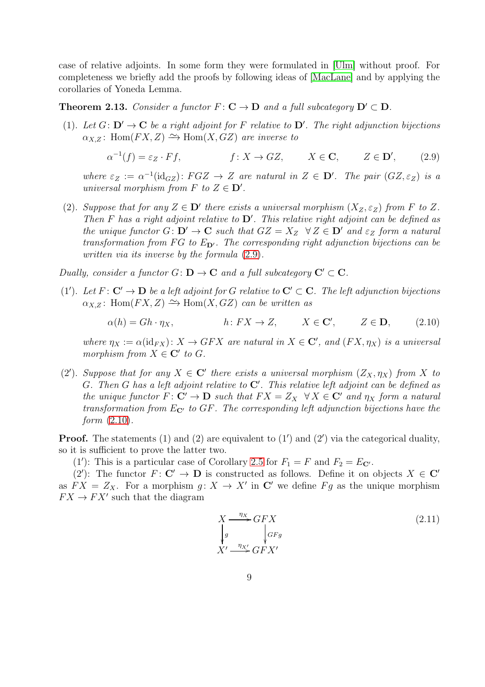case of relative adjoints. In some form they were formulated in [\[Ulm\]](#page-54-1) without proof. For completeness we briefly add the proofs by following ideas of [\[MacLane\]](#page-53-3) and by applying the corollaries of Yoneda Lemma.

<span id="page-8-2"></span>**Theorem 2.13.** Consider a functor  $F: \mathbf{C} \to \mathbf{D}$  and a full subcategory  $\mathbf{D}' \subset \mathbf{D}$ .

(1). Let  $G: D' \to \mathbf{C}$  be a right adjoint for F relative to  $D'$ . The right adjunction bijections  $\alpha_{X,Z}$ : Hom $(FX, Z) \cong$  Hom $(X, GZ)$  are inverse to

<span id="page-8-0"></span>
$$
\alpha^{-1}(f) = \varepsilon_Z \cdot Ff, \qquad f: X \to GZ, \qquad X \in \mathbf{C}, \qquad Z \in \mathbf{D}', \qquad (2.9)
$$

where  $\varepsilon_Z := \alpha^{-1}(\text{id}_{GZ})$ :  $FGZ \to Z$  are natural in  $Z \in \mathbf{D}'$ . The pair  $(GZ, \varepsilon_Z)$  is a universal morphism from  $F$  to  $Z \in \mathbf{D}'$ .

(2). Suppose that for any  $Z \in \mathbb{D}'$  there exists a universal morphism  $(X_Z, \varepsilon_Z)$  from F to Z. Then  $F$  has a right adjoint relative to  $D'$ . This relative right adjoint can be defined as the unique functor  $G: \mathbf{D}' \to \mathbf{C}$  such that  $GZ = X_Z \ \ \forall Z \in \mathbf{D}'$  and  $\varepsilon_Z$  form a natural transformation from FG to  $E_{\mathbf{D}'}$ . The corresponding right adjunction bijections can be written via its inverse by the formula [\(2.9\)](#page-8-0).

Dually, consider a functor  $G: D \to \mathbf{C}$  and a full subcategory  $\mathbf{C}' \subset \mathbf{C}$ .

(1'). Let  $F: \mathbf{C}' \to \mathbf{D}$  be a left adjoint for G relative to  $\mathbf{C}' \subset \mathbf{C}$ . The left adjunction bijections  $\alpha_{X,Z}$ : Hom $(FX, Z) \cong$  Hom $(X, GZ)$  can be written as

$$
\alpha(h) = Gh \cdot \eta_X, \qquad h \colon FX \to Z, \qquad X \in \mathbf{C}', \qquad Z \in \mathbf{D}, \qquad (2.10)
$$

where  $\eta_X := \alpha(\text{id}_{FX})$ :  $X \to GFX$  are natural in  $X \in \mathbb{C}'$ , and  $(FX, \eta_X)$  is a universal morphism from  $X \in \mathbb{C}'$  to  $G$ .

(2'). Suppose that for any  $X \in \mathbb{C}'$  there exists a universal morphism  $(Z_X, \eta_X)$  from X to G. Then G has a left adjoint relative to  $\mathbb{C}'$ . This relative left adjoint can be defined as the unique functor  $F: \mathbf{C}' \to \mathbf{D}$  such that  $FX = Z_X \forall X \in \mathbf{C}'$  and  $\eta_X$  form a natural transformation from  $E_{\mathbf{C}'}$  to  $GF$ . The corresponding left adjunction bijections have the form  $(2.10)$ .

**Proof.** The statements  $(1)$  and  $(2)$  are equivalent to  $(1')$  and  $(2')$  via the categorical duality, so it is sufficient to prove the latter two.

(1'): This is a particular case of Corollary [2.5](#page-5-3) for  $F_1 = F$  and  $F_2 = E_{\mathbf{C'}}$ .

(2'): The functor  $F: \mathbf{C}' \to \mathbf{D}$  is constructed as follows. Define it on objects  $X \in \mathbf{C}'$ as  $FX = Z_X$ . For a morphism  $g: X \to X'$  in C' we define  $Fg$  as the unique morphism  $FX \to FX'$  such that the diagram

<span id="page-8-1"></span>
$$
X \xrightarrow{\eta_X} GFX
$$
  
\n
$$
\downarrow_g \qquad \qquad \downarrow_{GFg}
$$
  
\n
$$
X' \xrightarrow{\eta_X} GFX'
$$
  
\n(2.11)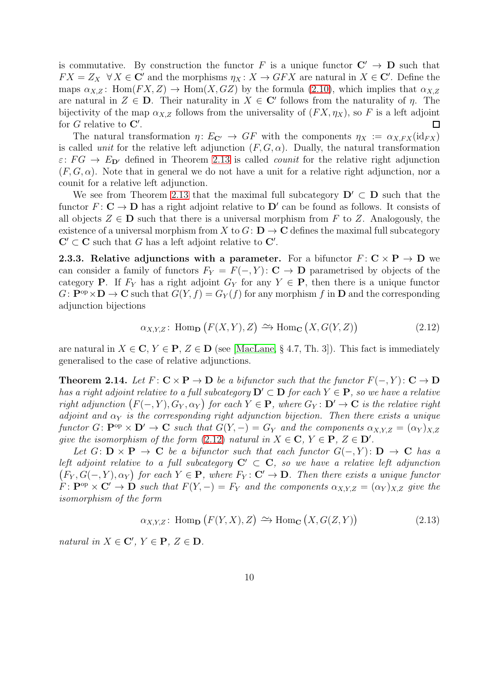is commutative. By construction the functor F is a unique functor  $C' \rightarrow D$  such that  $FX = Z_X \quad \forall X \in \mathbb{C}'$  and the morphisms  $\eta_X : X \to GFX$  are natural in  $X \in \mathbb{C}'$ . Define the maps  $\alpha_{X,Z}$ : Hom $(FX, Z) \to \text{Hom}(X, GZ)$  by the formula [\(2.10\)](#page-8-1), which implies that  $\alpha_{X,Z}$ are natural in  $Z \in \mathbf{D}$ . Their naturality in  $X \in \mathbf{C}'$  follows from the naturality of  $\eta$ . The bijectivity of the map  $\alpha_{X,Z}$  follows from the universality of  $(FX, \eta_X)$ , so F is a left adjoint for  $G$  relative to  $\mathbf{C}'$ .  $\Box$ 

The natural transformation  $\eta: E_{\mathbf{C}'} \to GF$  with the components  $\eta_X := \alpha_{X,FX}(\mathrm{id}_{FX})$ is called *unit* for the relative left adjunction  $(F, G, \alpha)$ . Dually, the natural transformation  $\varepsilon: FG \to E_{\mathbf{D}'}$  defined in Theorem [2.13](#page-8-2) is called *counit* for the relative right adjunction  $(F, G, \alpha)$ . Note that in general we do not have a unit for a relative right adjunction, nor a counit for a relative left adjunction.

We see from Theorem [2.13](#page-8-2) that the maximal full subcategory  $\mathbf{D}' \subset \mathbf{D}$  such that the functor  $F: \mathbf{C} \to \mathbf{D}$  has a right adjoint relative to  $\mathbf{D}'$  can be found as follows. It consists of all objects  $Z \in \mathbf{D}$  such that there is a universal morphism from F to Z. Analogously, the existence of a universal morphism from X to  $G: \mathbf{D} \to \mathbf{C}$  defines the maximal full subcategory  $\mathbf{C}' \subset \mathbf{C}$  such that G has a left adjoint relative to  $\mathbf{C}'$ .

**2.3.3.** Relative adjunctions with a parameter. For a bifunctor  $F: \mathbb{C} \times \mathbb{P} \to \mathbb{D}$  we can consider a family of functors  $F_Y = F(-, Y) : \mathbf{C} \to \mathbf{D}$  parametrised by objects of the category **P**. If  $F_Y$  has a right adjoint  $G_Y$  for any  $Y \in \mathbf{P}$ , then there is a unique functor  $G: \mathbf{P}^{\mathrm{op}} \times \mathbf{D} \to \mathbf{C}$  such that  $G(Y, f) = G_Y(f)$  for any morphism f in  $\mathbf{D}$  and the corresponding adjunction bijections

<span id="page-9-0"></span>
$$
\alpha_{X,Y,Z} \colon \text{Hom}_{\mathbf{D}}\left(F(X,Y),Z\right) \xrightarrow{\sim} \text{Hom}_{\mathbf{C}}\left(X,G(Y,Z)\right) \tag{2.12}
$$

are natural in  $X \in \mathbb{C}$ ,  $Y \in \mathbb{P}$ ,  $Z \in \mathbb{D}$  (see [\[MacLane,](#page-53-3) § 4.7, Th. 3]). This fact is immediately generalised to the case of relative adjunctions.

<span id="page-9-2"></span>**Theorem 2.14.** Let  $F: \mathbf{C} \times \mathbf{P} \to \mathbf{D}$  be a bifunctor such that the functor  $F(-, Y): \mathbf{C} \to \mathbf{D}$ has a right adjoint relative to a full subcategory  $\mathbf{D}' \subset \mathbf{D}$  for each  $Y \in \mathbf{P}$ , so we have a relative right adjunction  $(F(-, Y), G_Y, \alpha_Y)$  for each  $Y \in \mathbf{P}$ , where  $G_Y : \mathbf{D}' \to \mathbf{C}$  is the relative right adjoint and  $\alpha_Y$  is the corresponding right adjunction bijection. Then there exists a unique functor G:  $\mathbf{P}^{\mathrm{op}} \times \mathbf{D}' \to \mathbf{C}$  such that  $G(Y, -) = G_Y$  and the components  $\alpha_{X,Y,Z} = (\alpha_Y)_{X,Z}$ give the isomorphism of the form  $(2.12)$  natural in  $X \in \mathbb{C}$ ,  $Y \in \mathbb{P}$ ,  $Z \in \mathbb{D}'$ .

Let  $G: \mathbf{D} \times \mathbf{P} \to \mathbf{C}$  be a bifunctor such that each functor  $G(-, Y): \mathbf{D} \to \mathbf{C}$  has a left adjoint relative to a full subcategory  $C' \subset C$ , so we have a relative left adjunction  $(F_Y, G(-, Y), \alpha_Y)$  for each  $Y \in \mathbf{P}$ , where  $F_Y \colon \mathbf{C}' \to \mathbf{D}$ . Then there exists a unique functor  $F: \mathbf{P}^{\mathrm{op}} \times \mathbf{C}' \to \mathbf{D}$  such that  $F(Y, -) = F_Y$  and the components  $\alpha_{X,Y,Z} = (\alpha_Y)_{X,Z}$  give the isomorphism of the form

<span id="page-9-1"></span>
$$
\alpha_{X,Y,Z} \colon \text{Hom}_{\mathbf{D}}\left(F(Y,X),Z\right) \xrightarrow{\sim} \text{Hom}_{\mathbf{C}}\left(X,G(Z,Y)\right) \tag{2.13}
$$

natural in  $X \in \mathbf{C}'$ ,  $Y \in \mathbf{P}$ ,  $Z \in \mathbf{D}$ .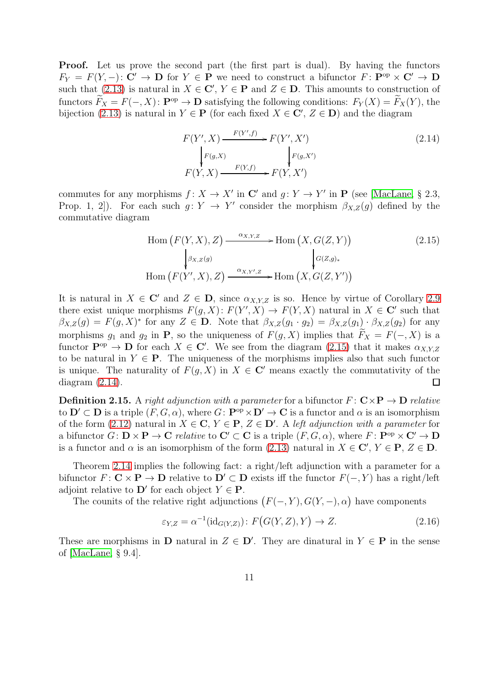Proof. Let us prove the second part (the first part is dual). By having the functors  $F_Y = F(Y, -): \mathbf{C'} \to \mathbf{D}$  for  $Y \in \mathbf{P}$  we need to construct a bifunctor  $F: \widetilde{\mathbf{P}}^{\mathrm{op}} \times \mathbf{C'} \to \mathbf{D}$ such that [\(2.13\)](#page-9-1) is natural in  $X \in \mathbb{C}'$ ,  $Y \in \mathbb{P}$  and  $Z \in \mathbb{D}$ . This amounts to construction of functors  $\widetilde{F}_X = F(-, X)$ :  $\mathbf{P}^{\text{op}} \to \mathbf{D}$  satisfying the following conditions:  $F_Y(X) = \widetilde{F}_X(Y)$ , the bijection [\(2.13\)](#page-9-1) is natural in  $Y \in \mathbf{P}$  (for each fixed  $X \in \mathbf{C}'$ ,  $Z \in \mathbf{D}$ ) and the diagram

<span id="page-10-1"></span><span id="page-10-0"></span>
$$
F(Y', X) \xrightarrow{F(Y', f)} F(Y', X')
$$
\n
$$
\downarrow F(g, X) \qquad \qquad \downarrow F(g, X')
$$
\n
$$
F(Y, X) \xrightarrow{F(Y, f)} F(Y, X')
$$
\n
$$
(2.14)
$$

commutes for any morphisms  $f: X \to X'$  in  $\mathbb{C}'$  and  $g: Y \to Y'$  in  $\mathbb{P}$  (see [\[MacLane,](#page-53-3) § 2.3, Prop. 1, 2. For each such  $g: Y \to Y'$  consider the morphism  $\beta_{X,Z}(g)$  defined by the commutative diagram

$$
\text{Hom}\left(F(Y,X),Z\right) \xrightarrow{\alpha_{X,Y,Z}} \text{Hom}\left(X,G(Z,Y)\right) \qquad (2.15)
$$
\n
$$
\downarrow^{\beta_{X,Z}(g)} \qquad \qquad \downarrow^{\alpha_{(Z,g)*}} \qquad (2.15)
$$
\n
$$
\text{Hom}\left(F(Y',X),Z\right) \xrightarrow{\alpha_{X,Y',Z}} \text{Hom}\left(X,G(Z,Y')\right)
$$

It is natural in  $X \in \mathbb{C}'$  and  $Z \in \mathbb{D}$ , since  $\alpha_{X,Y,Z}$  is so. Hence by virtue of Corollary [2.9](#page-6-4) there exist unique morphisms  $F(g, X) \colon F(Y', X) \to F(Y, X)$  natural in  $X \in \mathbb{C}^r$  such that  $\beta_{X,Z}(g) = F(g,X)^*$  for any  $Z \in \mathbf{D}$ . Note that  $\beta_{X,Z}(g_1 \cdot g_2) = \beta_{X,Z}(g_1) \cdot \beta_{X,Z}(g_2)$  for any morphisms  $g_1$  and  $g_2$  in **P**, so the uniqueness of  $F(g, X)$  implies that  $\tilde{F}_X = F(-, X)$  is a functor  $\mathbf{P}^{\text{op}} \to \mathbf{D}$  for each  $X \in \mathbf{C}'$ . We see from the diagram [\(2.15\)](#page-10-0) that it makes  $\alpha_{X,Y,Z}$ to be natural in  $Y \in \mathbf{P}$ . The uniqueness of the morphisms implies also that such functor is unique. The naturality of  $F(q, X)$  in  $X \in \mathbb{C}^r$  means exactly the commutativity of the diagram [\(2.14\)](#page-10-1).  $\Box$ 

**Definition 2.15.** A right adjunction with a parameter for a bifunctor  $F: \mathbf{C} \times \mathbf{P} \to \mathbf{D}$  relative to  $\mathbf{D}' \subset \mathbf{D}$  is a triple  $(F, G, \alpha)$ , where  $G: \mathbf{P}^{\text{op}} \times \mathbf{D}' \to \mathbf{C}$  is a functor and  $\alpha$  is an isomorphism of the form [\(2.12\)](#page-9-0) natural in  $X \in \mathbf{C}$ ,  $Y \in \mathbf{P}$ ,  $Z \in \mathbf{D}'$ . A left adjunction with a parameter for a bifunctor  $G: \mathbf{D} \times \mathbf{P} \to \mathbf{C}$  relative to  $\mathbf{C}' \subset \mathbf{C}$  is a triple  $(F, G, \alpha)$ , where  $F: \mathbf{P}^{\mathrm{op}} \times \mathbf{C}' \to \mathbf{D}$ is a functor and  $\alpha$  is an isomorphism of the form [\(2.13\)](#page-9-1) natural in  $X \in \mathbb{C}'$ ,  $Y \in \mathbb{P}$ ,  $Z \in \mathbb{D}$ .

Theorem [2.14](#page-9-2) implies the following fact: a right/left adjunction with a parameter for a bifunctor  $F: \mathbf{C} \times \mathbf{P} \to \mathbf{D}$  relative to  $\mathbf{D}' \subset \mathbf{D}$  exists iff the functor  $F(-, Y)$  has a right/left adjoint relative to  $\mathbf{D}'$  for each object  $Y \in \mathbf{P}$ .

The counits of the relative right adjunctions  $(F(-, Y), G(Y, -), \alpha)$  have components

<span id="page-10-2"></span>
$$
\varepsilon_{Y,Z} = \alpha^{-1}(\text{id}_{G(Y,Z)}) \colon F\big(G(Y,Z), Y\big) \to Z. \tag{2.16}
$$

These are morphisms in **D** natural in  $Z \in \mathbf{D}'$ . They are dinatural in  $Y \in \mathbf{P}$  in the sense of [\[MacLane,](#page-53-3) § 9.4].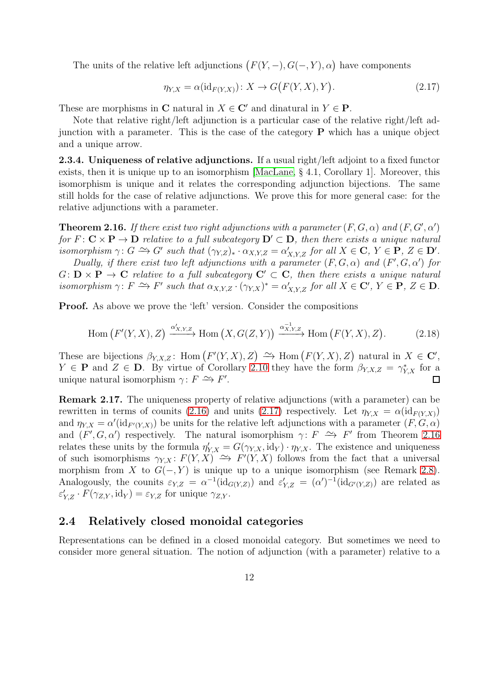The units of the relative left adjunctions  $(F(Y, -), G(-, Y), \alpha)$  have components

<span id="page-11-1"></span>
$$
\eta_{Y,X} = \alpha(\text{id}_{F(Y,X)}) \colon X \to G\big(F(Y,X),Y\big). \tag{2.17}
$$

These are morphisms in C natural in  $X \in \mathbb{C}'$  and dinatural in  $Y \in \mathbb{P}$ .

Note that relative right/left adjunction is a particular case of the relative right/left adjunction with a parameter. This is the case of the category  $P$  which has a unique object and a unique arrow.

2.3.4. Uniqueness of relative adjunctions. If a usual right/left adjoint to a fixed functor exists, then it is unique up to an isomorphism [\[MacLane,](#page-53-3) § 4.1, Corollary 1]. Moreover, this isomorphism is unique and it relates the corresponding adjunction bijections. The same still holds for the case of relative adjunctions. We prove this for more general case: for the relative adjunctions with a parameter.

<span id="page-11-2"></span>**Theorem 2.16.** If there exist two right adjunctions with a parameter  $(F, G, \alpha)$  and  $(F, G', \alpha')$ for  $F: \mathbb{C} \times \mathbb{P} \to \mathbb{D}$  relative to a full subcategory  $\mathbb{D}' \subset \mathbb{D}$ , then there exists a unique natural isomorphism  $\gamma: G \longrightarrow G'$  such that  $(\gamma_{Y,Z})_* \cdot \alpha_{X,Y,Z} = \alpha'_{X,Y,Z}$  for all  $X \in \mathbf{C}, Y \in \mathbf{P}, Z \in \mathbf{D}'$ .

Dually, if there exist two left adjunctions with a parameter  $(F, G, \alpha)$  and  $(F', G, \alpha')$  for  $G: \mathbf{D} \times \mathbf{P} \to \mathbf{C}$  relative to a full subcategory  $\mathbf{C}' \subset \mathbf{C}$ , then there exists a unique natural isomorphism  $\gamma: F \to F'$  such that  $\alpha_{X,Y,Z} \cdot (\gamma_{Y,X})^* = \alpha'_{X,Y,Z}$  for all  $X \in \mathbf{C}'$ ,  $Y \in \mathbf{P}$ ,  $Z \in \mathbf{D}$ .

**Proof.** As above we prove the 'left' version. Consider the compositions

$$
\text{Hom}\left(F'(Y,X),Z\right) \xrightarrow{\alpha'_{X,Y,Z}} \text{Hom}\left(X,G(Z,Y)\right) \xrightarrow{\alpha_{X,Y,Z}^{-1}} \text{Hom}\left(F(Y,X),Z\right). \tag{2.18}
$$

These are bijections  $\beta_{Y,X,Z}$ : Hom  $(F'(Y,X), Z) \implies$  Hom  $(F(Y,X), Z)$  natural in  $X \in \mathbb{C}'$ ,  $Y \in \mathbf{P}$  and  $Z \in \mathbf{D}$ . By virtue of Corollary [2.10](#page-6-5) they have the form  $\beta_{Y,X,Z} = \gamma_{Y,X}^*$  for a unique natural isomorphism  $\gamma: F \to F'$ .  $\Box$ 

Remark 2.17. The uniqueness property of relative adjunctions (with a parameter) can be rewritten in terms of counits [\(2.16\)](#page-10-2) and units [\(2.17\)](#page-11-1) respectively. Let  $\eta_{Y,X} = \alpha(\mathrm{id}_{F(Y,X)})$ and  $\eta_{Y,X} = \alpha'(\text{id}_{F'(Y,X)})$  be units for the relative left adjunctions with a parameter  $(F, G, \alpha)$ and  $(F', G, \alpha')$  respectively. The natural isomorphism  $\gamma: F \longrightarrow F'$  from Theorem [2.16](#page-11-2) relates these units by the formula  $\eta'_{Y,X} = G(\gamma_{Y,X}, \text{id}_Y) \cdot \eta_{Y,X}$ . The existence and uniqueness of such isomorphisms  $\gamma_{Y,X} : F(Y, X) \to F'(Y, X)$  follows from the fact that a universal morphism from X to  $G(-, Y)$  is unique up to a unique isomorphism (see Remark [2.8\)](#page-5-4). Analogously, the counits  $\varepsilon_{Y,Z} = \alpha^{-1}(\text{id}_{G(Y,Z)})$  and  $\varepsilon'_{Y,Z} = (\alpha')^{-1}(\text{id}_{G'(Y,Z)})$  are related as  $\varepsilon'_{Y,Z} \cdot F(\gamma_{Z,Y}, \text{id}_Y) = \varepsilon_{Y,Z}$  for unique  $\gamma_{Z,Y}$ .

#### <span id="page-11-0"></span>2.4 Relatively closed monoidal categories

Representations can be defined in a closed monoidal category. But sometimes we need to consider more general situation. The notion of adjunction (with a parameter) relative to a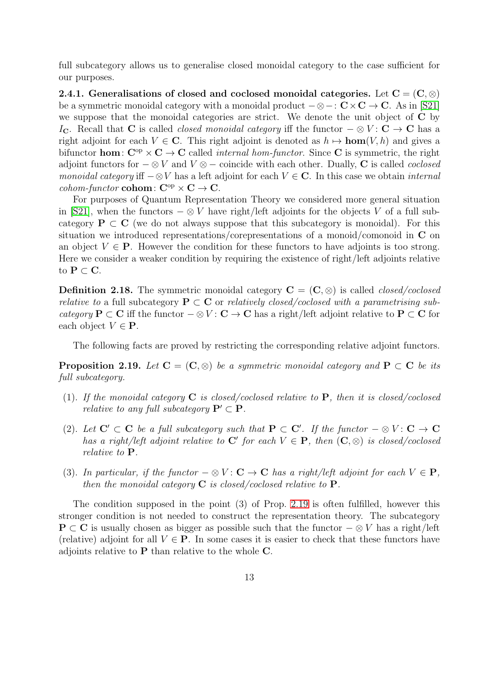full subcategory allows us to generalise closed monoidal category to the case sufficient for our purposes.

2.4.1. Generalisations of closed and coclosed monoidal categories. Let  $C = (C, \otimes)$ be a symmetric monoidal category with a monoidal product  $-\otimes -: \mathbf{C} \times \mathbf{C} \to \mathbf{C}$ . As in [\[S21\]](#page-54-0) we suppose that the monoidal categories are strict. We denote the unit object of C by I<sub>C</sub>. Recall that C is called *closed monoidal category* iff the functor  $-\otimes V : C \to C$  has a right adjoint for each  $V \in \mathbb{C}$ . This right adjoint is denoted as  $h \mapsto \text{hom}(V, h)$  and gives a bifunctor **hom**:  $C^{op} \times C \rightarrow C$  called *internal hom-functor*. Since C is symmetric, the right adjoint functors for  $-\otimes V$  and  $V \otimes -$  coincide with each other. Dually, C is called *coclosed* monoidal category iff  $-\otimes V$  has a left adjoint for each  $V \in \mathbb{C}$ . In this case we obtain internal cohom-functor cohom:  $C^{op} \times C \rightarrow C$ .

For purposes of Quantum Representation Theory we considered more general situation in [\[S21\]](#page-54-0), when the functors  $-\otimes V$  have right/left adjoints for the objects V of a full subcategory  $P \subset C$  (we do not always suppose that this subcategory is monoidal). For this situation we introduced representations/corepresentations of a monoid/comonoid in C on an object  $V \in \mathbf{P}$ . However the condition for these functors to have adjoints is too strong. Here we consider a weaker condition by requiring the existence of right/left adjoints relative to  $P \subset C$ .

**Definition 2.18.** The symmetric monoidal category  $\mathbf{C} = (\mathbf{C}, \otimes)$  is called *closed/coclosed* relative to a full subcategory  $P \subset C$  or relatively closed/coclosed with a parametrising subcategory  $P \subset C$  iff the functor  $-\otimes V : C \to C$  has a right/left adjoint relative to  $P \subset C$  for each object  $V \in \mathbf{P}$ .

The following facts are proved by restricting the corresponding relative adjoint functors.

<span id="page-12-0"></span>**Proposition 2.19.** Let  $C = (C, \otimes)$  be a symmetric monoidal category and  $P \subset C$  be its full subcategory.

- (1). If the monoidal category  $C$  is closed/coclosed relative to  $P$ , then it is closed/coclosed *relative to any full subcategory*  $P' \subset P$ .
- (2). Let  $C' \subset C$  be a full subcategory such that  $P \subset C'$ . If the functor  $-\otimes V : C \to C$ has a right/left adjoint relative to  $C'$  for each  $V \in \mathbf{P}$ , then  $(C, \otimes)$  is closed/coclosed relative to P.
- (3). In particular, if the functor  $-\otimes V: \mathbf{C} \to \mathbf{C}$  has a right/left adjoint for each  $V \in \mathbf{P}$ , then the monoidal category  $C$  is closed/coclosed relative to  $P$ .

The condition supposed in the point (3) of Prop. [2.19](#page-12-0) is often fulfilled, however this stronger condition is not needed to construct the representation theory. The subcategory **P** ⊂ C is usually chosen as bigger as possible such that the functor  $-\otimes V$  has a right/left (relative) adjoint for all  $V \in \mathbf{P}$ . In some cases it is easier to check that these functors have adjoints relative to P than relative to the whole C.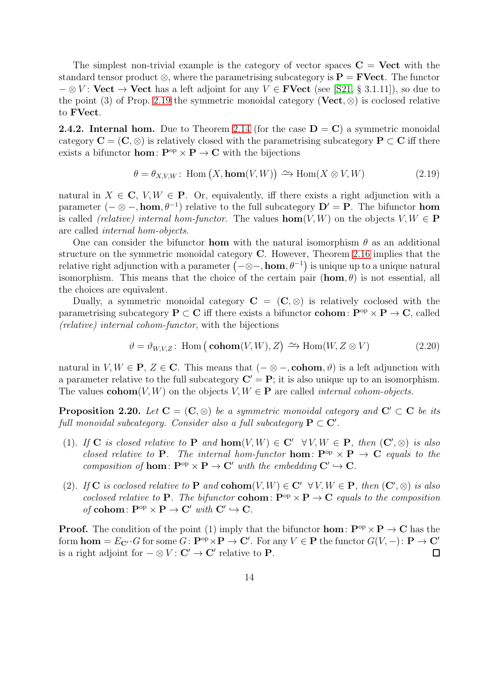The simplest non-trivial example is the category of vector spaces  $C =$  Vect with the standard tensor product  $\otimes$ , where the parametrising subcategory is  $\mathbf{P} = \mathbf{FVect}$ . The functor  $- \otimes V$ : Vect  $\rightarrow$  Vect has a left adjoint for any  $V \in \mathbf{FVect}$  (see [\[S21,](#page-54-0) § 3.1.11]), so due to the point (3) of Prop. [2.19](#page-12-0) the symmetric monoidal category (Vect,  $\otimes$ ) is coclosed relative to FVect.

**2.4.2. Internal hom.** Due to Theorem [2.14](#page-9-2) (for the case  $D = C$ ) a symmetric monoidal category  $C = (C, \otimes)$  is relatively closed with the parametrising subcategory  $P \subset C$  iff there exists a bifunctor **hom**:  $\mathbf{P}^{\mathrm{op}} \times \mathbf{P} \to \mathbf{C}$  with the bijections

<span id="page-13-0"></span>
$$
\theta = \theta_{X,V,W} : \text{Hom}(X, \text{hom}(V, W)) \xrightarrow{\sim} \text{Hom}(X \otimes V, W) \tag{2.19}
$$

natural in  $X \in \mathbb{C}$ ,  $V, W \in \mathbb{P}$ . Or, equivalently, iff there exists a right adjunction with a parameter  $(-\otimes -$ , hom,  $\theta^{-1}$ ) relative to the full subcategory  $\mathbf{D}' = \mathbf{P}$ . The bifunctor hom is called *(relative)* internal hom-functor. The values **hom** $(V, W)$  on the objects  $V, W \in \mathbf{P}$ are called internal hom-objects.

One can consider the bifunctor **hom** with the natural isomorphism  $\theta$  as an additional structure on the symmetric monoidal category  $C$ . However, Theorem [2.16](#page-11-2) implies that the relative right adjunction with a parameter  $\big({-\otimes -},\mathbf{hom},\theta^{-1}\big)$  is unique up to a unique natural isomorphism. This means that the choice of the certain pair  $(\mathbf{hom}, \theta)$  is not essential, all the choices are equivalent.

Dually, a symmetric monoidal category  $C = (C, \otimes)$  is relatively coclosed with the parametrising subcategory  $P \subset C$  iff there exists a bifunctor **cohom**:  $P^{\text{op}} \times P \to C$ , called (relative) internal cohom-functor, with the bijections

<span id="page-13-1"></span>
$$
\vartheta = \vartheta_{W,V,Z} : \text{Hom}(\text{cohom}(V,W), Z) \xrightarrow{\sim} \text{Hom}(W, Z \otimes V) \tag{2.20}
$$

natural in  $V, W \in \mathbf{P}, Z \in \mathbf{C}$ . This means that  $(- \otimes -, \text{cohom}, \vartheta)$  is a left adjunction with a parameter relative to the full subcategory  $C' = P$ ; it is also unique up to an isomorphism. The values  $\text{cohom}(V, W)$  on the objects  $V, W \in \mathbf{P}$  are called *internal cohom-objects*.

<span id="page-13-2"></span>**Proposition 2.20.** Let  $C = (C, \otimes)$  be a symmetric monoidal category and  $C' \subset C$  be its full monoidal subcategory. Consider also a full subcategory  $P \subset \mathbf{C}'$ .

- (1). If C is closed relative to P and  $\text{hom}(V, W) \in C' \ \forall V, W \in P$ , then  $(C', \otimes)$  is also closed relative to **P**. The internal hom-functor **hom**:  $\mathbf{P}^{\text{op}} \times \mathbf{P} \to \mathbf{C}$  equals to the composition of **hom**:  $\mathbf{P}^{\mathrm{op}} \times \mathbf{P} \to \mathbf{C}'$  with the embedding  $\mathbf{C}' \hookrightarrow \mathbf{C}$ .
- (2). If C is coclosed relative to P and cohom $(V, W) \in C' \forall V, W \in P$ , then  $(C', \otimes)$  is also coclosed relative to **P**. The bifunctor **cohom**:  $\mathbf{P}^{\mathrm{op}} \times \mathbf{P} \to \mathbf{C}$  equals to the composition of cohom:  $\mathbf{P}^{\mathrm{op}} \times \mathbf{P} \to \mathbf{C}'$  with  $\mathbf{C}' \hookrightarrow \mathbf{C}$ .

**Proof.** The condition of the point (1) imply that the bifunctor **hom**:  $\mathbf{P}^{\text{op}} \times \mathbf{P} \to \mathbf{C}$  has the form  $\textbf{hom} = E_{\mathbf{C}'} \cdot G$  for some  $G \colon \mathbf{P}^{\text{op}} \times \mathbf{P} \to \mathbf{C}'$ . For any  $V \in \mathbf{P}$  the functor  $G(V, -) \colon \mathbf{P} \to \mathbf{C}'$ is a right adjoint for  $-\otimes V: \mathbf{C}' \to \mathbf{C}'$  relative to **P**.  $\Box$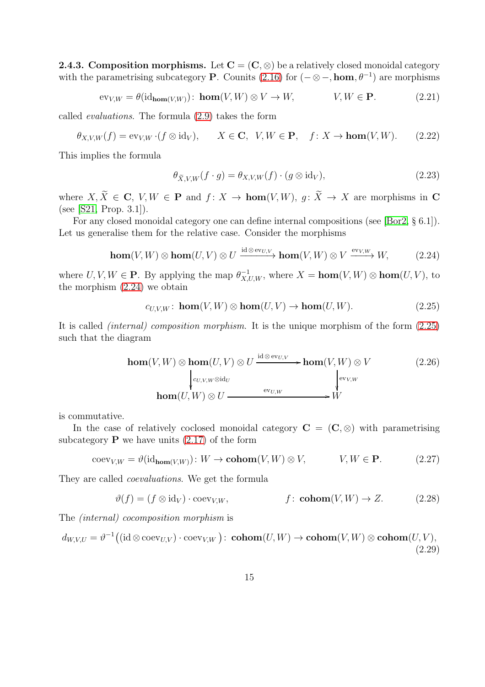**2.4.3. Composition morphisms.** Let  $C = (C, \otimes)$  be a relatively closed monoidal category with the parametrising subcategory **P**. Counits [\(2.16\)](#page-10-2) for  $(-\otimes -$ , **hom**,  $\theta^{-1}$ ) are morphisms

$$
\text{ev}_{V,W} = \theta(\text{id}_{\text{hom}(V,W)}) \colon \text{hom}(V,W) \otimes V \to W, \qquad V, W \in \mathbf{P}. \tag{2.21}
$$

called evaluations. The formula [\(2.9\)](#page-8-0) takes the form

$$
\theta_{X,V,W}(f) = \text{ev}_{V,W} \cdot (f \otimes \text{id}_V), \qquad X \in \mathbf{C}, \ \ V, W \in \mathbf{P}, \quad f \colon X \to \text{hom}(V, W). \tag{2.22}
$$

This implies the formula

<span id="page-14-5"></span><span id="page-14-4"></span><span id="page-14-0"></span>
$$
\theta_{\tilde{X},V,W}(f \cdot g) = \theta_{X,V,W}(f) \cdot (g \otimes id_V),\tag{2.23}
$$

where  $X, \widetilde{X} \in \mathbf{C}, V, W \in \mathbf{P}$  and  $f: X \to \text{hom}(V, W), g: \widetilde{X} \to X$  are morphisms in  $\mathbf{C}$ (see [\[S21,](#page-54-0) Prop. 3.1]).

For any closed monoidal category one can define internal compositions (see [\[Bor2,](#page-53-4) § 6.1]). Let us generalise them for the relative case. Consider the morphisms

$$
\mathbf{hom}(V, W) \otimes \mathbf{hom}(U, V) \otimes U \xrightarrow{\mathrm{id} \otimes \mathrm{ev}_{U, V}} \mathbf{hom}(V, W) \otimes V \xrightarrow{\mathrm{ev}_{V, W}} W, \tag{2.24}
$$

where  $U, V, W \in \mathbf{P}$ . By applying the map  $\theta_{X,U,W}^{-1}$ , where  $X = \textbf{hom}(V, W) \otimes \textbf{hom}(U, V)$ , to the morphism [\(2.24\)](#page-14-0) we obtain

<span id="page-14-3"></span><span id="page-14-1"></span>
$$
c_{U,V,W}: \mathbf{hom}(V,W) \otimes \mathbf{hom}(U,V) \to \mathbf{hom}(U,W). \tag{2.25}
$$

It is called (internal) composition morphism. It is the unique morphism of the form [\(2.25\)](#page-14-1) such that the diagram

$$
\operatorname{hom}(V, W) \otimes \operatorname{hom}(U, V) \otimes U \xrightarrow{\operatorname{id} \otimes \operatorname{ev}_{U, V}} \operatorname{hom}(V, W) \otimes V
$$
\n
$$
\downarrow_{\operatorname{ev}_{V, W} \otimes \operatorname{id}_U} \operatorname{hom}(U, W) \otimes U \xrightarrow{\operatorname{ev}_{U, W}} \downarrow_{\operatorname{ev}_{V, W}} \tag{2.26}
$$
\n
$$
\operatorname{hom}(U, W) \otimes U \xrightarrow{\operatorname{ev}_{U, W}} W
$$

is commutative.

In the case of relatively coclosed monoidal category  $C = (C, \otimes)$  with parametrising subcategory  $P$  we have units  $(2.17)$  of the form

$$
coev_{V,W} = \vartheta(\mathrm{id}_{\mathrm{hom}(V,W)}) \colon W \to \mathrm{cohom}(V,W) \otimes V, \qquad V, W \in \mathbf{P}. \tag{2.27}
$$

They are called coevaluations. We get the formula

<span id="page-14-6"></span><span id="page-14-2"></span>
$$
\vartheta(f) = (f \otimes id_V) \cdot \text{coev}_{V,W}, \qquad f: \text{cohom}(V, W) \to Z. \tag{2.28}
$$

The (internal) cocomposition morphism is

 $d_{W,V,U} = \vartheta^{-1} \big( ({\rm id} \otimes {\rm coev}_{U,V}) \cdot {\rm coev}_{V,W} \big) \colon \mathop{\bf cohom}(U,W) \to \mathop{\bf cohom}(V,W) \otimes \mathop{\bf cohom}(U,V),$ (2.29)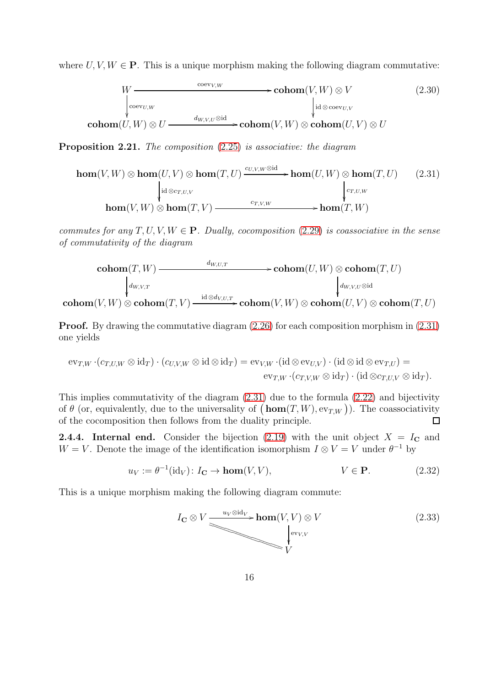where  $U, V, W \in \mathbf{P}$ . This is a unique morphism making the following diagram commutative:

<span id="page-15-4"></span><span id="page-15-0"></span>
$$
W \xrightarrow{\operatorname{coev}_{V,W}} \operatorname{cohom}(V, W) \otimes V
$$
\n
$$
\downarrow^{\operatorname{coev}_{U,W}} \qquad \qquad \downarrow^{\operatorname{coev}_{U,V}} \qquad \qquad (2.30)
$$
\n
$$
\operatorname{cohom}(U, W) \otimes U \xrightarrow{d_{W,V,U} \otimes \operatorname{id}} \operatorname{cohom}(V, W) \otimes \operatorname{cohom}(U, V) \otimes U
$$

<span id="page-15-1"></span>Proposition 2.21. The composition [\(2.25\)](#page-14-1) is associative: the diagram

$$
\mathbf{hom}(V, W) \otimes \mathbf{hom}(U, V) \otimes \mathbf{hom}(T, U) \xrightarrow{c_{U, V, W} \otimes \mathrm{id}} \mathbf{hom}(U, W) \otimes \mathbf{hom}(T, U) \qquad (2.31)
$$
\n
$$
\downarrow^{\mathrm{id} \otimes c_{T, U, V}} \mathbf{hom}(V, W) \otimes \mathbf{hom}(T, V) \xrightarrow{c_{T, V, W}} \mathbf{hom}(T, W)
$$

commutes for any  $T, U, V, W \in \mathbf{P}$ . Dually, cocomposition [\(2.29\)](#page-14-2) is coassociative in the sense of commutativity of the diagram

$$
\operatorname{cohom}(T, W) \xrightarrow{\text{d}_{W,U,T}} \operatorname{cohom}(U, W) \otimes \operatorname{cohom}(T, U)
$$
\n
$$
\downarrow_{d_{W,V,T}} \qquad \qquad \downarrow_{d_{W,V,U} \otimes \operatorname{id}}
$$
\n
$$
\operatorname{cohom}(V, W) \otimes \operatorname{cohom}(T, V) \xrightarrow{\operatorname{id} \otimes d_{V,U,T}} \operatorname{cohom}(V, W) \otimes \operatorname{cohom}(U, V) \otimes \operatorname{cohom}(T, U)
$$

Proof. By drawing the commutative diagram  $(2.26)$  for each composition morphism in  $(2.31)$ one yields

$$
\mathrm{ev}_{T,W} \cdot (c_{T,U,W} \otimes \mathrm{id}_T) \cdot (c_{U,V,W} \otimes \mathrm{id} \otimes \mathrm{id}_T) = \mathrm{ev}_{V,W} \cdot (\mathrm{id} \otimes \mathrm{ev}_{U,V}) \cdot (\mathrm{id} \otimes \mathrm{id} \otimes \mathrm{ev}_{T,U}) =
$$

$$
\mathrm{ev}_{T,W} \cdot (c_{T,V,W} \otimes \mathrm{id}_T) \cdot (\mathrm{id} \otimes c_{T,U,V} \otimes \mathrm{id}_T).
$$

This implies commutativity of the diagram [\(2.31\)](#page-15-0) due to the formula [\(2.22\)](#page-14-4) and bijectivity of  $\theta$  (or, equivalently, due to the universality of  $(\mathbf{hom}(T, W), ev_{T,W})$ ). The coassociativity of the cocomposition then follows from the duality principle.  $\Box$ 

<span id="page-15-5"></span>**2.4.4.** Internal end. Consider the bijection [\(2.19\)](#page-13-0) with the unit object  $X = I_{\mathbb{C}}$  and  $W = V$ . Denote the image of the identification isomorphism  $I \otimes V = V$  under  $\theta^{-1}$  by

$$
u_V := \theta^{-1}(\text{id}_V) \colon I_{\mathbf{C}} \to \text{hom}(V, V), \qquad V \in \mathbf{P}.
$$
 (2.32)

This is a unique morphism making the following diagram commute:

<span id="page-15-3"></span><span id="page-15-2"></span>
$$
I_{\mathbf{C}} \otimes V \xrightarrow{u_V \otimes \text{id}_V} \textbf{hom}(V, V) \otimes V
$$
\n
$$
\downarrow^{\text{ev}_{V, V}} \qquad (2.33)
$$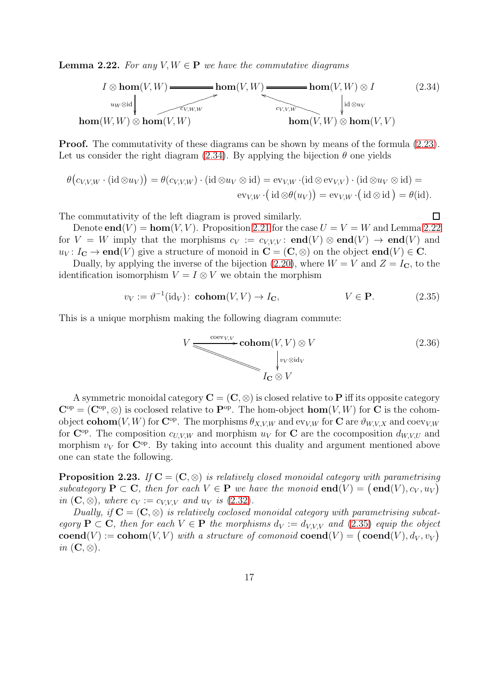<span id="page-16-1"></span>**Lemma 2.22.** For any  $V, W \in \mathbf{P}$  we have the commutative diagrams



**Proof.** The commutativity of these diagrams can be shown by means of the formula  $(2.23)$ . Let us consider the right diagram [\(2.34\)](#page-16-0). By applying the bijection  $\theta$  one yields

$$
\theta(c_{V,V,W} \cdot (\mathrm{id} \otimes u_V)) = \theta(c_{V,V,W}) \cdot (\mathrm{id} \otimes u_V \otimes \mathrm{id}) = \mathrm{ev}_{V,W} \cdot (\mathrm{id} \otimes \mathrm{ev}_{V,V}) \cdot (\mathrm{id} \otimes u_V \otimes \mathrm{id}) = \mathrm{ev}_{V,W} \cdot (\mathrm{id} \otimes \theta(u_V)) = \mathrm{ev}_{V,W} \cdot (\mathrm{id} \otimes \mathrm{id}) = \theta(\mathrm{id}).
$$

The commutativity of the left diagram is proved similarly.

Denote **end**(V) = **hom**(V, V). Proposition [2.21](#page-15-1) for the case  $U = V = W$  and Lemma [2.22](#page-16-1) for  $V = W$  imply that the morphisms  $c_V := c_{V,V,V}$ : **end** $(V) \otimes$  **end** $(V) \rightarrow$  **end** $(V)$  and  $u_V: I_{\mathbf{C}} \to \mathbf{end}(V)$  give a structure of monoid in  $\mathbf{C} = (\mathbf{C}, \otimes)$  on the object  $\mathbf{end}(V) \in \mathbf{C}$ .

Dually, by applying the inverse of the bijection [\(2.20\)](#page-13-1), where  $W = V$  and  $Z = I_{\mathbf{C}}$ , to the identification isomorphism  $V = I \otimes V$  we obtain the morphism

$$
v_V := \vartheta^{-1}(\text{id}_V): \text{cohom}(V, V) \to I_{\mathbf{C}}, \qquad V \in \mathbf{P}.
$$
 (2.35)

This is a unique morphism making the following diagram commute:

$$
V \underbrace{\longrightarrow^{\text{coev}_{V,V}} \text{cohom}(V, V) \otimes V}_{I_{\mathbf{C}} \otimes V} \tag{2.36}
$$

<span id="page-16-3"></span><span id="page-16-2"></span><span id="page-16-0"></span> $\Box$ 

A symmetric monoidal category  $\mathbf{C} = (\mathbf{C}, \otimes)$  is closed relative to P iff its opposite category  $\mathbf{C}^{\mathrm{op}} = (\mathbf{C}^{\mathrm{op}}, \otimes)$  is coclosed relative to  $\mathbf{P}^{\mathrm{op}}$ . The hom-object  $\mathbf{hom}(V, W)$  for C is the cohomobject **cohom**(V, W) for  $\mathbb{C}^{\text{op}}$ . The morphisms  $\theta_{X,V,W}$  and  $\text{ev}_{V,W}$  for  $\mathbb{C}$  are  $\theta_{W,V,X}$  and  $\text{coev}_{V,W}$ for  $\mathbb{C}^{\text{op}}$ . The composition  $c_{U,V,W}$  and morphism  $u_V$  for C are the cocomposition  $d_{W,V,U}$  and morphism  $v_V$  for  $\mathbb{C}^{op}$ . By taking into account this duality and argument mentioned above one can state the following.

**Proposition 2.23.** If  $C = (C, \otimes)$  is relatively closed monoidal category with parametrising subcategory  $P \subset C$ , then for each  $V \in P$  we have the monoid  $end(V) = (end(V), c_V, u_V)$ in  $(C, \otimes)$ , where  $c_V := c_{VVV}$  and  $u_V$  is  $(2.32)$ .

Dually, if  $C = (C, \otimes)$  is relatively coclosed monoidal category with parametrising subcategory  $P \subset C$ , then for each  $V \in P$  the morphisms  $d_V := d_{V,V,V}$  and [\(2.35\)](#page-16-2) equip the object  $\mathbf{coend}(V) := \mathbf{cohom}(V, V)$  with a structure of comonoid  $\mathbf{coend}(V) = (\mathbf{coend}(V), d_V, v_V)$ in  $(C, \otimes)$ .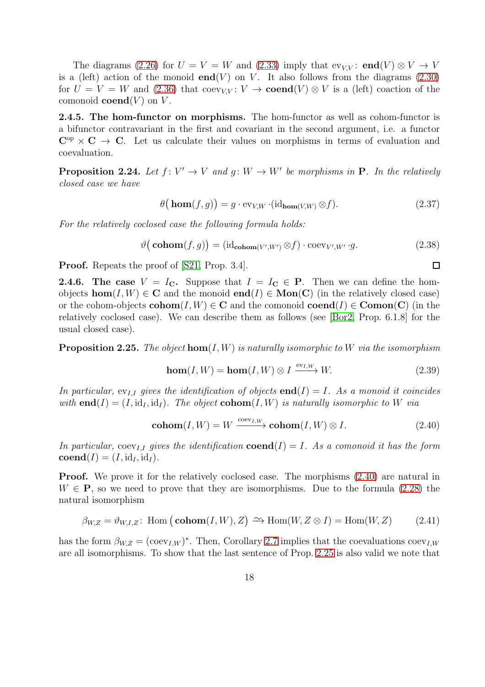The diagrams [\(2.26\)](#page-14-3) for  $U = V = W$  and [\(2.33\)](#page-15-3) imply that  $ev_{VV}$ : end(V)  $\otimes V \rightarrow V$ is a (left) action of the monoid **end**(V) on V. It also follows from the diagrams  $(2.30)$ for  $U = V = W$  and [\(2.36\)](#page-16-3) that coev<sub>V,V</sub>:  $V \rightarrow \mathbf{coend}(V) \otimes V$  is a (left) coaction of the comonoid **coend** $(V)$  on  $V$ .

2.4.5. The hom-functor on morphisms. The hom-functor as well as cohom-functor is a bifunctor contravariant in the first and covariant in the second argument, i.e. a functor  $C^{op} \times C \to C$ . Let us calculate their values on morphisms in terms of evaluation and coevaluation.

<span id="page-17-2"></span>**Proposition 2.24.** Let  $f: V' \to V$  and  $g: W \to W'$  be morphisms in **P**. In the relatively closed case we have

$$
\theta\big(\mathbf{hom}(f,g)\big) = g \cdot \text{ev}_{V,W} \cdot (\text{id}_{\text{hom}(V,W)} \otimes f). \tag{2.37}
$$

For the relatively coclosed case the following formula holds:

$$
\vartheta(\mathbf{cohom}(f,g)) = (\mathrm{id}_{\mathbf{cohom}(V',W')} \otimes f) \cdot \mathrm{coev}_{V',W'} \cdot g. \tag{2.38}
$$

Proof. Repeats the proof of [\[S21,](#page-54-0) Prop. 3.4].

**2.4.6.** The case  $V = I_C$ . Suppose that  $I = I_C \in P$ . Then we can define the homobjects  $\textbf{hom}(I, W) \in \mathbb{C}$  and the monoid  $\textbf{end}(I) \in \textbf{Mon}(\mathbb{C})$  (in the relatively closed case) or the cohom-objects  $\text{cohom}(I, W) \in \mathbb{C}$  and the comonoid  $\text{coend}(I) \in \text{Comon}(\mathbb{C})$  (in the relatively coclosed case). We can describe them as follows (see [\[Bor2,](#page-53-4) Prop. 6.1.8] for the usual closed case).

<span id="page-17-1"></span>**Proposition 2.25.** The object  $hom(I, W)$  is naturally isomorphic to W via the isomorphism

$$
\mathbf{hom}(I, W) = \mathbf{hom}(I, W) \otimes I \xrightarrow{\text{ev}_{I, W}} W. \tag{2.39}
$$

In particular,  $ev_{I,I}$  gives the identification of objects **end**(I) = I. As a monoid it coincides with **end**(I) =  $(I, id<sub>I</sub>, id<sub>I</sub>)$ . The object **cohom**(I, W) is naturally isomorphic to W via

$$
\mathbf{cohom}(I, W) = W \xrightarrow{\text{coev}_{I, W}} \mathbf{cohom}(I, W) \otimes I. \tag{2.40}
$$

In particular, coev<sub>II</sub> gives the identification **coend**(I) = I. As a comonoid it has the form  $\mathbf{coend}(I) = (I, id_I, id_I).$ 

**Proof.** We prove it for the relatively coclosed case. The morphisms  $(2.40)$  are natural in  $W \in \mathbf{P}$ , so we need to prove that they are isomorphisms. Due to the formula [\(2.28\)](#page-14-6) the natural isomorphism

$$
\beta_{W,Z} = \vartheta_{W,I,Z} \colon \text{Hom}\left(\text{cohom}(I,W), Z\right) \xrightarrow{\sim} \text{Hom}(W, Z \otimes I) = \text{Hom}(W, Z) \tag{2.41}
$$

has the form  $\beta_{W,Z} = (\text{coev}_{I,W})^*$ . Then, Corollary [2.7](#page-5-2) implies that the coevaluations  $\text{coev}_{I,W}$ are all isomorphisms. To show that the last sentence of Prop. [2.25](#page-17-1) is also valid we note that

<span id="page-17-4"></span><span id="page-17-3"></span><span id="page-17-0"></span> $\Box$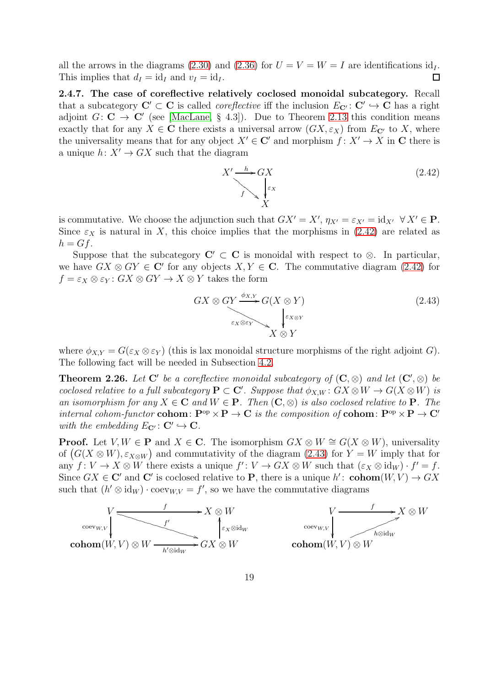all the arrows in the diagrams [\(2.30\)](#page-15-4) and [\(2.36\)](#page-16-3) for  $U = V = W = I$  are identifications  $\mathrm{id}_I$ . This implies that  $d_I = id_I$  and  $v_I = id_I$ .  $\Box$ 

2.4.7. The case of coreflective relatively coclosed monoidal subcategory. Recall that a subcategory  $\mathbf{C}' \subset \mathbf{C}$  is called *coreflective* iff the inclusion  $E_{\mathbf{C}'} : \mathbf{C}' \hookrightarrow \mathbf{C}$  has a right adjoint  $G: \mathbf{C} \to \mathbf{C}'$  (see [\[MacLane,](#page-53-3) § 4.3]). Due to Theorem [2.13](#page-8-2) this condition means exactly that for any  $X \in \mathbb{C}$  there exists a universal arrow  $(GX, \varepsilon_X)$  from  $E_{\mathbb{C}'}$  to X, where the universality means that for any object  $X' \in \mathbb{C}'$  and morphism  $f: X' \to X$  in C there is a unique  $h: X' \to GX$  such that the diagram

<span id="page-18-0"></span>
$$
X' \xrightarrow{h} GX
$$
  

$$
f \searrow \sqrt{\frac{\varepsilon_X}{X}}
$$
 (2.42)

is commutative. We choose the adjunction such that  $GX' = X'$ ,  $\eta_{X'} = \varepsilon_{X'} = id_{X'} \forall X' \in \mathbf{P}$ . Since  $\varepsilon_X$  is natural in X, this choice implies that the morphisms in [\(2.42\)](#page-18-0) are related as  $h = Gf$ .

Suppose that the subcategory  $C' \subset C$  is monoidal with respect to  $\otimes$ . In particular, we have  $GX \otimes GY \in \mathbb{C}'$  for any objects  $X, Y \in \mathbb{C}$ . The commutative diagram [\(2.42\)](#page-18-0) for  $f = \varepsilon_X \otimes \varepsilon_Y : GX \otimes GY \to X \otimes Y$  takes the form

<span id="page-18-1"></span>
$$
GX \otimes GY \xrightarrow{\phi_{X,Y}} G(X \otimes Y)
$$
  
\n
$$
\downarrow^{\varepsilon_{X \otimes Y}}
$$
  
\n
$$
X \otimes Y
$$
\n(2.43)

where  $\phi_{X,Y} = G(\varepsilon_X \otimes \varepsilon_Y)$  (this is lax monoidal structure morphisms of the right adjoint G). The following fact will be needed in Subsection [4.2.](#page-49-0)

<span id="page-18-2"></span>**Theorem 2.26.** Let  $C'$  be a coreflective monoidal subcategory of  $(C, \otimes)$  and let  $(C', \otimes)$  be coclosed relative to a full subcategory  $P \subset C'$ . Suppose that  $\phi_{X,W} : G X \otimes W \to G(X \otimes W)$  is an isomorphism for any  $X \in \mathbb{C}$  and  $W \in \mathbb{P}$ . Then  $(\mathbb{C}, \otimes)$  is also coclosed relative to  $\mathbb{P}$ . The internal cohom-functor cohom:  $P^{op} \times P \to C$  is the composition of cohom:  $P^{op} \times P \to C'$ with the embedding  $E_{\mathbf{C}'}: \mathbf{C}' \hookrightarrow \mathbf{C}$ .

**Proof.** Let  $V, W \in \mathbf{P}$  and  $X \in \mathbf{C}$ . The isomorphism  $GX \otimes W \cong G(X \otimes W)$ , universality of  $(G(X \otimes W), \varepsilon_{X \otimes W})$  and commutativity of the diagram [\(2.43\)](#page-18-1) for  $Y = W$  imply that for any  $f: V \to X \otimes W$  there exists a unique  $f': V \to GX \otimes W$  such that  $(\varepsilon_X \otimes id_W) \cdot f' = f$ . Since  $GX \in \mathbb{C}'$  and  $\mathbb{C}'$  is coclosed relative to P, there is a unique  $h'$ : cohom $(W, V) \to GX$ such that  $(h' \otimes id_W) \cdot \text{coev}_{W,V} = f'$ , so we have the commutative diagrams

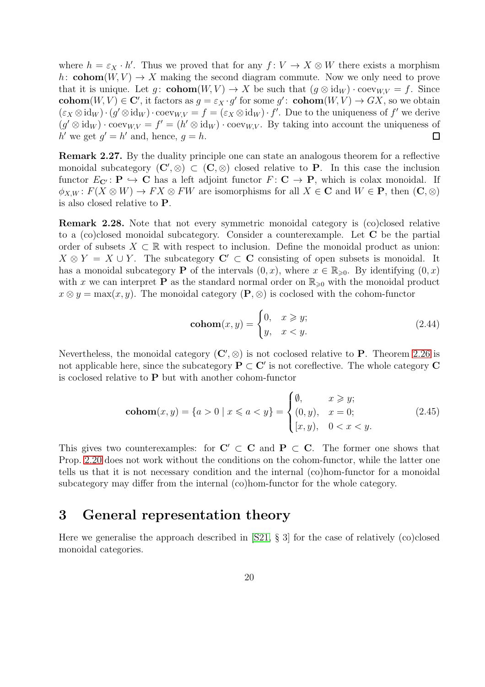where  $h = \varepsilon_X \cdot h'$ . Thus we proved that for any  $f: V \to X \otimes W$  there exists a morphism h: cohom $(W, V) \rightarrow X$  making the second diagram commute. Now we only need to prove that it is unique. Let g:  $\text{cohom}(W, V) \to X$  be such that  $(g \otimes id_W) \cdot \text{coev}_{W,V} = f$ . Since **cohom** $(W, V) \in \mathbb{C}'$ , it factors as  $g = \varepsilon_X \cdot g'$  for some  $g'$ : **cohom** $(W, V) \to GX$ , so we obtain  $(\varepsilon_X \otimes id_W) \cdot (g' \otimes id_W) \cdot \text{coev}_{W,V} = f = (\varepsilon_X \otimes id_W) \cdot f'$ . Due to the uniqueness of  $f'$  we derive  $(g' \otimes id_W) \cdot \text{coev}_{W,V} = f' = (h' \otimes id_W) \cdot \text{coev}_{W,V}.$  By taking into account the uniqueness of h' we get  $g' = h'$  and, hence,  $g = h$ .  $\Box$ 

Remark 2.27. By the duality principle one can state an analogous theorem for a reflective monoidal subcategory  $(C', \otimes) \subset (C, \otimes)$  closed relative to P. In this case the inclusion functor  $E_{\mathbf{C'}}: \mathbf{P} \hookrightarrow \mathbf{C}$  has a left adjoint functor  $F: \mathbf{C} \to \mathbf{P}$ , which is colax monoidal. If  $\phi_{X,W}$ :  $F(X \otimes W) \to FX \otimes FW$  are isomorphisms for all  $X \in \mathbf{C}$  and  $W \in \mathbf{P}$ , then  $(\mathbf{C}, \otimes)$ is also closed relative to P.

<span id="page-19-1"></span>Remark 2.28. Note that not every symmetric monoidal category is (co)closed relative to a (co)closed monoidal subcategory. Consider a counterexample. Let C be the partial order of subsets  $X \subset \mathbb{R}$  with respect to inclusion. Define the monoidal product as union:  $X \otimes Y = X \cup Y$ . The subcategory  $C' \subset C$  consisting of open subsets is monoidal. It has a monoidal subcategory **P** of the intervals  $(0, x)$ , where  $x \in \mathbb{R}_{\geqslant 0}$ . By identifying  $(0, x)$ with x we can interpret **P** as the standard normal order on  $\mathbb{R}_{\geq 0}$  with the monoidal product  $x \otimes y = \max(x, y)$ . The monoidal category  $(\mathbf{P}, \otimes)$  is coclosed with the cohom-functor

<span id="page-19-3"></span><span id="page-19-2"></span>
$$
\text{cohom}(x, y) = \begin{cases} 0, & x \ge y; \\ y, & x < y. \end{cases} \tag{2.44}
$$

Nevertheless, the monoidal category  $(C', \otimes)$  is not coclosed relative to P. Theorem [2.26](#page-18-2) is not applicable here, since the subcategory  $\dot{P} \subset C'$  is not coreflective. The whole category C is coclosed relative to P but with another cohom-functor

$$
\text{cohom}(x, y) = \{a > 0 \mid x \leq a < y\} = \begin{cases} \emptyset, & x \geq y; \\ (0, y), & x = 0; \\ [x, y), & 0 < x < y. \end{cases}
$$
 (2.45)

This gives two counterexamples: for  $C' \subset C$  and  $P \subset C$ . The former one shows that Prop. [2.20](#page-13-2) does not work without the conditions on the cohom-functor, while the latter one tells us that it is not necessary condition and the internal (co)hom-functor for a monoidal subcategory may differ from the internal (co)hom-functor for the whole category.

## <span id="page-19-0"></span>3 General representation theory

Here we generalise the approach described in [\[S21,](#page-54-0) § 3] for the case of relatively (co)closed monoidal categories.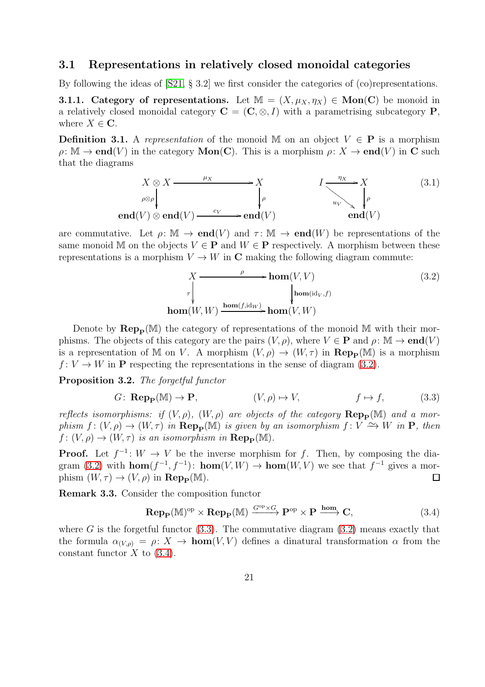#### <span id="page-20-0"></span>3.1 Representations in relatively closed monoidal categories

By following the ideas of [\[S21,](#page-54-0) § 3.2] we first consider the categories of (co)representations.

**3.1.1.** Category of representations. Let  $M = (X, \mu_X, \eta_X) \in \text{Mon}(C)$  be monoid in a relatively closed monoidal category  $C = (C, \otimes, I)$  with a parametrising subcategory P, where  $X \in \mathbb{C}$ .

<span id="page-20-4"></span>**Definition 3.1.** A representation of the monoid M on an object  $V \in \mathbf{P}$  is a morphism  $\rho: \mathbb{M} \to \mathbf{end}(V)$  in the category  $\mathbf{Mon}(\mathbf{C})$ . This is a morphism  $\rho: X \to \mathbf{end}(V)$  in C such that the diagrams

$$
X \otimes X \xrightarrow{\mu_X} X
$$
\n
$$
\rho \otimes \rho \downarrow \qquad \qquad I \xrightarrow{\eta_X} X
$$
\n
$$
\rho \downarrow \qquad \qquad I \downarrow \qquad \qquad (3.1)
$$
\n
$$
\text{end}(V) \otimes \text{end}(V) \xrightarrow{\text{cv}} \text{end}(V)
$$
\n
$$
(3.1)
$$

are commutative. Let  $\rho: \mathbb{M} \to \mathbf{end}(V)$  and  $\tau: \mathbb{M} \to \mathbf{end}(W)$  be representations of the same monoid M on the objects  $V \in \mathbf{P}$  and  $W \in \mathbf{P}$  respectively. A morphism between these representations is a morphism  $V \to W$  in C making the following diagram commute:

<span id="page-20-2"></span><span id="page-20-1"></span>
$$
X \xrightarrow{\rho} \text{hom}(V, V) \tag{3.2}
$$
\n
$$
\downarrow^{\tau} \qquad \qquad \downarrow^{\text{hom}(\text{id}_V, f)} \text{hom}(\text{W}, W) \xrightarrow{\text{hom}(f, \text{id}_W)} \text{hom}(V, W)
$$

Denote by  $\mathbf{Rep}_{\mathbf{P}}(\mathbb{M})$  the category of representations of the monoid M with their morphisms. The objects of this category are the pairs  $(V, \rho)$ , where  $V \in \mathbf{P}$  and  $\rho : \mathbb{M} \to \mathbf{end}(V)$ is a representation of M on V. A morphism  $(V, \rho) \to (W, \tau)$  in  $\mathbf{Rep}_{\mathbf{P}}(\mathbb{M})$  is a morphism  $f: V \to W$  in P respecting the representations in the sense of diagram [\(3.2\)](#page-20-1).

<span id="page-20-5"></span>Proposition 3.2. The forgetful functor

$$
G: \operatorname{Rep}_{\mathbf{P}}(\mathbb{M}) \to \mathbf{P}, \qquad (V, \rho) \mapsto V, \qquad f \mapsto f, \qquad (3.3)
$$

reflects isomorphisms: if  $(V, \rho)$ ,  $(W, \rho)$  are objects of the category  $\mathbf{Rep}_{\mathbf{P}}(\mathbb{M})$  and a morphism  $f: (V, \rho) \to (W, \tau)$  in  $\mathbf{Rep}_{\mathbf{P}}(\mathbb{M})$  is given by an isomorphism  $f: V \to W$  in  $\mathbf{P}$ , then  $f: (V, \rho) \to (W, \tau)$  is an isomorphism in  $\operatorname{Rep}_{\mathbf{P}}(\mathbb{M})$ .

**Proof.** Let  $f^{-1}: W \to V$  be the inverse morphism for f. Then, by composing the dia-gram [\(3.2\)](#page-20-1) with  $\textbf{hom}(f^{-1}, f^{-1})$ :  $\textbf{hom}(V, W) \to \textbf{hom}(W, V)$  we see that  $f^{-1}$  gives a morphism  $(W, \tau) \rightarrow (V, \rho)$  in  $\mathbf{Rep}_{\mathbf{p}}(\mathbb{M}).$  $\Box$ 

Remark 3.3. Consider the composition functor

<span id="page-20-3"></span>
$$
\operatorname{Rep}_{\mathbf{P}}(\mathbb{M})^{\mathrm{op}} \times \operatorname{Rep}_{\mathbf{P}}(\mathbb{M}) \xrightarrow{G^{\mathrm{op}} \times G} \mathbf{P}^{\mathrm{op}} \times \mathbf{P} \xrightarrow{\mathrm{hom}} \mathbf{C},\tag{3.4}
$$

where G is the forgetful functor  $(3.3)$ . The commutative diagram  $(3.2)$  means exactly that the formula  $\alpha_{(V,\rho)} = \rho: X \to \text{hom}(V,V)$  defines a dinatural transformation  $\alpha$  from the constant functor  $X$  to  $(3.4)$ .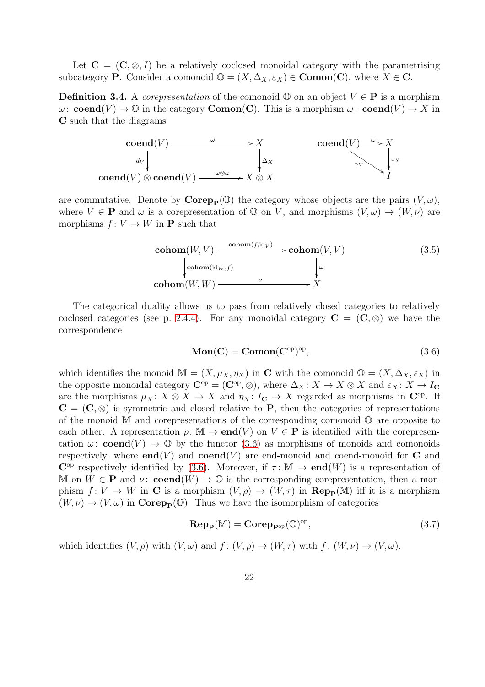Let  $C = (C, \otimes, I)$  be a relatively coclosed monoidal category with the parametrising subcategory **P**. Consider a comonoid  $\mathbb{O} = (X, \Delta_X, \varepsilon_X) \in \mathbf{Comon}(\mathbf{C})$ , where  $X \in \mathbf{C}$ .

**Definition 3.4.** A *corepresentation* of the comonoid  $\mathbb{O}$  on an object  $V \in \mathbb{P}$  is a morphism  $\omega: \mathbf{coend}(V) \to \mathbb{O}$  in the category  $\mathbf{Comon}(\mathbf{C})$ . This is a morphism  $\omega: \mathbf{coend}(V) \to X$  in C such that the diagrams



are commutative. Denote by  $\mathbf{Corep}_p(\mathbb{O})$  the category whose objects are the pairs  $(V, \omega)$ , where  $V \in \mathbf{P}$  and  $\omega$  is a corepresentation of  $\mathbb{O}$  on V, and morphisms  $(V, \omega) \to (W, \nu)$  are morphisms  $f: V \to W$  in **P** such that

$$
\underset{\text{cohom}(W, V) \longrightarrow \text{cohom}(f, \text{id}_{V})}{\underset{\text{cohom}(\text{id}_{W}, f)}{\text{cohom}(\text{id}_{W}, f)}} \longrightarrow \underset{\text{cohom}(V, V)}{\text{cohom}(V, V)} \tag{3.5}
$$

The categorical duality allows us to pass from relatively closed categories to relatively coclosed categories (see p. [2.4.4\)](#page-15-5). For any monoidal category  $C = (C, \otimes)$  we have the correspondence

<span id="page-21-0"></span>
$$
Mon(C) = Comon(C^{op})^{op}, \qquad (3.6)
$$

which identifies the monoid  $\mathbb{M} = (X, \mu_X, \eta_X)$  in C with the comonoid  $\mathbb{O} = (X, \Delta_X, \varepsilon_X)$  in the opposite monoidal category  $\mathbf{C}^{\text{op}} = (\mathbf{C}^{\text{op}}, \otimes)$ , where  $\Delta_X \colon X \to X \otimes X$  and  $\varepsilon_X \colon X \to I_{\mathbf{C}}$ are the morphisms  $\mu_X \colon X \otimes X \to X$  and  $\eta_X \colon I_{\mathbf{C}} \to X$  regarded as morphisms in  $\mathbf{C}^{\text{op}}$ . If  $C = (C, \otimes)$  is symmetric and closed relative to P, then the categories of representations of the monoid  $\mathbb M$  and corepresentations of the corresponding comonoid  $\mathbb O$  are opposite to each other. A representation  $\rho: \mathbb{M} \to \mathbf{end}(V)$  on  $V \in \mathbf{P}$  is identified with the corepresentation  $\omega$ : **coend** $(V) \rightarrow \mathbb{O}$  by the functor [\(3.6\)](#page-21-0) as morphisms of monoids and comonoids respectively, where **end**(V) and **coend**(V) are end-monoid and coend-monoid for **C** and  $\mathbb{C}^{\text{op}}$  respectively identified by [\(3.6\)](#page-21-0). Moreover, if  $\tau \colon \mathbb{M} \to \text{end}(W)$  is a representation of M on  $W \in \mathbf{P}$  and  $\nu: \mathbf{coend}(W) \to \mathbb{O}$  is the corresponding corepresentation, then a morphism  $f: V \to W$  in C is a morphism  $(V, \rho) \to (W, \tau)$  in  $\mathbf{Rep}_{\mathbf{P}}(\mathbb{M})$  iff it is a morphism  $(W, \nu) \rightarrow (V, \omega)$  in **Corep<sub>p</sub>**( $\mathbb{O}$ ). Thus we have the isomorphism of categories

<span id="page-21-1"></span>
$$
\mathbf{Rep}_{\mathbf{P}}(\mathbb{M}) = \mathbf{Corep}_{\mathbf{P}^{\mathrm{op}}}(\mathbb{O})^{\mathrm{op}},\tag{3.7}
$$

which identifies  $(V, \rho)$  with  $(V, \omega)$  and  $f : (V, \rho) \to (W, \tau)$  with  $f : (W, \nu) \to (V, \omega)$ .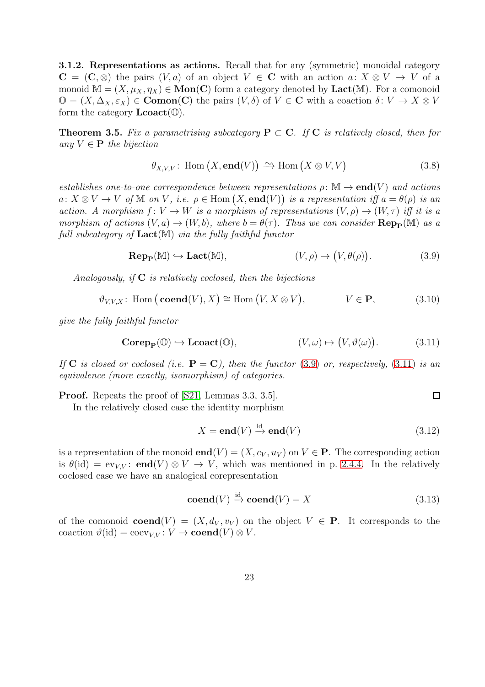3.1.2. Representations as actions. Recall that for any (symmetric) monoidal category  $C = (C, \otimes)$  the pairs  $(V, a)$  of an object  $V \in C$  with an action  $a: X \otimes V \to V$  of a monoid  $\mathbb{M} = (X, \mu_X, \eta_X) \in \mathbf{Mon}(\mathbf{C})$  form a category denoted by  $\mathbf{Lact}(\mathbb{M})$ . For a comonoid  $\mathbb{O} = (X, \Delta_X, \varepsilon_X) \in \mathbf{Comon}(\mathbf{C})$  the pairs  $(V, \delta)$  of  $V \in \mathbf{C}$  with a coaction  $\delta: V \to X \otimes V$ form the category  $\text{Lcoact}(\mathbb{O})$ .

<span id="page-22-2"></span>**Theorem 3.5.** Fix a parametrising subcategory  $P \subset C$ . If C is relatively closed, then for any  $V \in \mathbf{P}$  the bijection

$$
\theta_{X,V,V}: \text{Hom}(X, \text{end}(V)) \xrightarrow{\sim} \text{Hom}(X \otimes V, V) \tag{3.8}
$$

establishes one-to-one correspondence between representations  $\rho \colon \mathbb{M} \to \mathbf{end}(V)$  and actions  $a: X \otimes V \to V$  of M on V, i.e.  $\rho \in \text{Hom}(X, \text{end}(V))$  is a representation iff  $a = \theta(\rho)$  is an action. A morphism  $f: V \to W$  is a morphism of representations  $(V, \rho) \to (W, \tau)$  iff it is a morphism of actions  $(V, a) \to (W, b)$ , where  $b = \theta(\tau)$ . Thus we can consider  $\operatorname{Rep}_{\mathbf{P}}(\mathbb{M})$  as a full subcategory of  $Lact(M)$  via the fully faithful functor

$$
\mathbf{Rep}_{\mathbf{P}}(\mathbb{M}) \hookrightarrow \mathbf{Lact}(\mathbb{M}), \qquad (V, \rho) \mapsto (V, \theta(\rho)). \tag{3.9}
$$

Analogously, if  $C$  is relatively coclosed, then the bijections

$$
\vartheta_{V,V,X} : \text{Hom} \left( \text{coend}(V), X \right) \cong \text{Hom} \left( V, X \otimes V \right), \qquad V \in \mathbf{P}, \tag{3.10}
$$

give the fully faithful functor

$$
\mathbf{Corep}_{\mathbf{P}}(\mathbb{O}) \hookrightarrow \mathbf{Lcoact}(\mathbb{O}), \qquad \qquad (V, \omega) \mapsto (V, \vartheta(\omega)). \tag{3.11}
$$

If C is closed or coclosed (i.e.  $P = C$ ), then the functor [\(3.9\)](#page-22-0) or, respectively, [\(3.11\)](#page-22-1) is an equivalence (more exactly, isomorphism) of categories.

Proof. Repeats the proof of [\[S21,](#page-54-0) Lemmas 3.3, 3.5].

In the relatively closed case the identity morphism

$$
X = \mathbf{end}(V) \xrightarrow{\mathrm{id}} \mathbf{end}(V) \tag{3.12}
$$

<span id="page-22-3"></span><span id="page-22-1"></span><span id="page-22-0"></span> $\Box$ 

is a representation of the monoid **end** $(V) = (X, c_V, u_V)$  on  $V \in \mathbf{P}$ . The corresponding action is  $\theta(id) = \text{ev}_{VV}$ : **end** $(V) \otimes V \rightarrow V$ , which was mentioned in p. [2.4.4.](#page-15-5) In the relatively coclosed case we have an analogical corepresentation

$$
\mathbf{coend}(V) \xrightarrow{\mathrm{id}} \mathbf{coend}(V) = X \tag{3.13}
$$

of the comonoid  $\mathbf{coend}(V) = (X, d_V, v_V)$  on the object  $V \in \mathbf{P}$ . It corresponds to the coaction  $\vartheta(\text{id}) = \text{coev}_{VV} : V \to \text{coend}(V) \otimes V$ .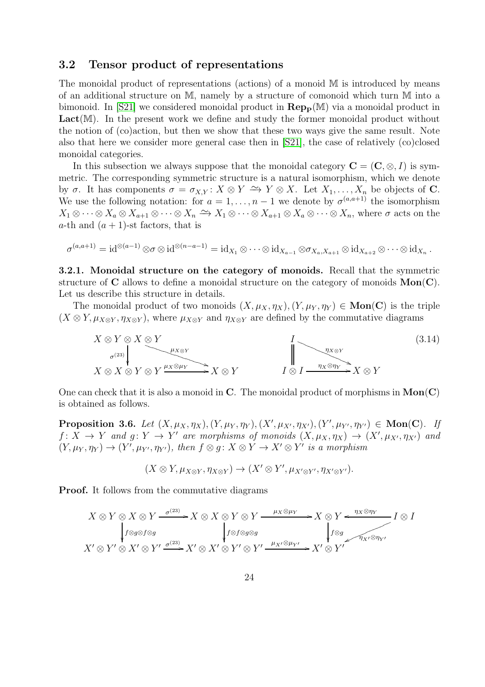#### <span id="page-23-0"></span>3.2 Tensor product of representations

The monoidal product of representations (actions) of a monoid M is introduced by means of an additional structure on M, namely by a structure of comonoid which turn M into a bimonoid. In [\[S21\]](#page-54-0) we considered monoidal product in  $\mathbf{Rep}_{\mathbf{P}}(\mathbb{M})$  via a monoidal product in  $Lact(M)$ . In the present work we define and study the former monoidal product without the notion of (co)action, but then we show that these two ways give the same result. Note also that here we consider more general case then in [\[S21\]](#page-54-0), the case of relatively (co)closed monoidal categories.

In this subsection we always suppose that the monoidal category  $\mathbf{C} = (\mathbf{C}, \otimes, I)$  is symmetric. The corresponding symmetric structure is a natural isomorphism, which we denote by  $\sigma$ . It has components  $\sigma = \sigma_{X,Y} : X \otimes Y \to Y \otimes X$ . Let  $X_1, \ldots, X_n$  be objects of **C**. We use the following notation: for  $a = 1, \ldots, n-1$  we denote by  $\sigma^{(a,a+1)}$  the isomorphism  $X_1 \otimes \cdots \otimes X_a \otimes X_{a+1} \otimes \cdots \otimes X_n \xrightarrow{\sim} X_1 \otimes \cdots \otimes X_{a+1} \otimes X_a \otimes \cdots \otimes X_n$ , where  $\sigma$  acts on the a-th and  $(a + 1)$ -st factors, that is

$$
\sigma^{(a,a+1)} = \mathrm{id}^{\otimes (a-1)} \otimes \sigma \otimes \mathrm{id}^{\otimes (n-a-1)} = \mathrm{id}_{X_1} \otimes \cdots \otimes \mathrm{id}_{X_{a-1}} \otimes \sigma_{X_a,X_{a+1}} \otimes \mathrm{id}_{X_{a+2}} \otimes \cdots \otimes \mathrm{id}_{X_n}.
$$

<span id="page-23-3"></span>3.2.1. Monoidal structure on the category of monoids. Recall that the symmetric structure of  $C$  allows to define a monoidal structure on the category of monoids  $Mon(C)$ . Let us describe this structure in details.

The monoidal product of two monoids  $(X, \mu_X, \eta_X), (Y, \mu_Y, \eta_Y) \in \mathbf{Mon}(\mathbf{C})$  is the triple  $(X \otimes Y, \mu_{X \otimes Y}, \eta_{X \otimes Y})$ , where  $\mu_{X \otimes Y}$  and  $\eta_{X \otimes Y}$  are defined by the commutative diagrams

$$
X \otimes Y \otimes X \otimes Y
$$
  
\n
$$
\downarrow^{L^{X \otimes Y}} \qquad \qquad \downarrow^{L^{X \otimes Y}} \qquad \qquad \downarrow^{L^{X \otimes Y}} \qquad \qquad \downarrow^{L^{X \otimes Y}} \qquad \qquad \downarrow^{L^{X \otimes Y}} \qquad \qquad \downarrow^{L^{X \otimes Y}} \qquad \qquad \downarrow^{L^{X \otimes Y}} \qquad \qquad \downarrow^{L^{X \otimes Y}} \qquad \qquad \downarrow^{L^{X \otimes Y}} \qquad \qquad \downarrow^{L^{X \otimes Y}} \qquad \qquad \downarrow^{L^{X \otimes Y}} \qquad \qquad \downarrow^{L^{X \otimes Y}} \qquad \qquad \downarrow^{L^{X \otimes Y}} \qquad \qquad \downarrow^{L^{X \otimes Y}} \qquad \qquad \downarrow^{L^{X \otimes Y}} \qquad \qquad \downarrow^{L^{X \otimes Y}} \qquad \qquad \downarrow^{L^{X \otimes Y}} \qquad \qquad \downarrow^{L^{X \otimes Y}} \qquad \qquad \downarrow^{L^{X \otimes Y}} \qquad \qquad \downarrow^{L^{X \otimes Y}} \qquad \qquad \downarrow^{L^{X \otimes Y}} \qquad \qquad \downarrow^{L^{X \otimes Y}} \qquad \qquad \downarrow^{L^{X \otimes Y}} \qquad \qquad \downarrow^{L^{X \otimes Y}} \qquad \qquad \downarrow^{L^{X \otimes Y}} \qquad \qquad \downarrow^{L^{X \otimes Y}} \qquad \qquad \downarrow^{L^{X \otimes Y}} \qquad \qquad \downarrow^{L^{X \otimes Y}} \qquad \qquad \downarrow^{L^{X \otimes Y}} \qquad \qquad \downarrow^{L^{X \otimes Y}} \qquad \qquad \downarrow^{L^{X \otimes Y}} \qquad \qquad \downarrow^{L^{X \otimes Y}} \qquad \qquad \downarrow^{L^{X \otimes Y}} \qquad \qquad \downarrow^{L^{X \otimes Y}} \qquad \qquad \downarrow^{L^{X \otimes Y}} \qquad \qquad \downarrow^{L^{X \otimes Y}} \qquad \qquad \downarrow^{L^{X \otimes Y}} \qquad \qquad \downarrow^{L^{X \otimes Y}} \qquad \qquad \downarrow^{L^{X \otimes Y}} \qquad \qquad \downarrow^{L^{X \otimes Y}} \qquad \qquad \downarrow^{L^{X \otimes Y}} \qquad
$$

One can check that it is also a monoid in C. The monoidal product of morphisms in  $Mon(C)$ is obtained as follows.

<span id="page-23-2"></span>Proposition 3.6. Let  $(X, \mu_X, \eta_X), (Y, \mu_Y, \eta_Y), (X', \mu_{X'}, \eta_{X'}), (Y', \mu_{Y'}, \eta_{Y'}) \in \text{Mon}(C)$ . If  $f: X \to Y$  and  $g: Y \to Y'$  are morphisms of monoids  $(X, \mu_X, \eta_X) \to (X', \mu_{X'}, \eta_{X'})$  and  $(Y, \mu_Y, \eta_Y) \to (Y', \mu_{Y'}, \eta_{Y'})$ , then  $f \otimes g : X \otimes Y \to X' \otimes Y'$  is a morphism

<span id="page-23-1"></span>
$$
(X \otimes Y, \mu_{X \otimes Y}, \eta_{X \otimes Y}) \to (X' \otimes Y', \mu_{X' \otimes Y'}, \eta_{X' \otimes Y'}).
$$

Proof. It follows from the commutative diagrams

$$
X \otimes Y \otimes X \otimes Y \xrightarrow{\sigma^{(23)}} X \otimes X \otimes Y \otimes Y \xrightarrow{\mu_X \otimes \mu_Y} X \otimes Y \xleftarrow{\eta_X \otimes \eta_Y} I \otimes I
$$
  
\n
$$
\downarrow f \otimes g \otimes f \otimes g
$$
  
\n
$$
X' \otimes Y' \otimes X' \otimes Y' \xrightarrow{\sigma^{(23)}} X' \otimes X' \otimes Y' \otimes Y' \xrightarrow{\mu_{X'} \otimes \mu_{Y'}} X' \otimes Y'
$$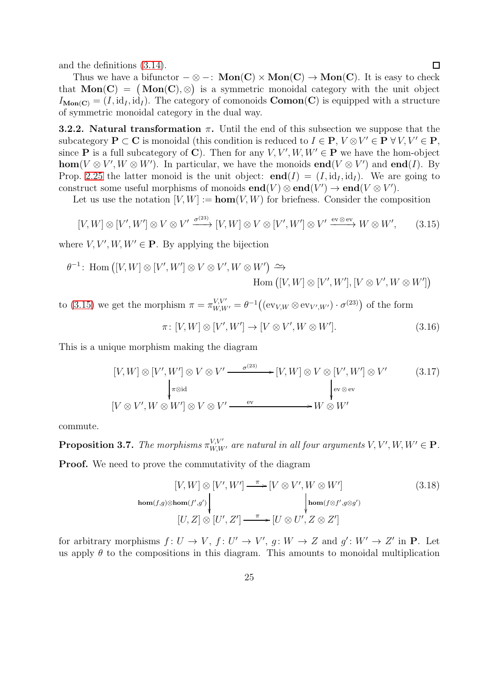and the definitions [\(3.14\)](#page-23-1).

Thus we have a bifunctor  $-\otimes -$ : Mon(C) × Mon(C) → Mon(C). It is easy to check that  $\text{Mon}(\mathbf{C}) = (\text{Mon}(\mathbf{C}), \otimes)$  is a symmetric monoidal category with the unit object  $I_{\text{Mon}(C)} = (I, id_I, id_I)$ . The category of comonoids  $\text{Comon}(C)$  is equipped with a structure of symmetric monoidal category in the dual way.

**3.2.2.** Natural transformation  $\pi$ . Until the end of this subsection we suppose that the subcategory  $P \subset C$  is monoidal (this condition is reduced to  $I \in P$ ,  $V \otimes V' \in P \forall V, V' \in P$ , since **P** is a full subcategory of **C**). Then for any  $V, V', W, W' \in \mathbf{P}$  we have the hom-object hom( $V \otimes V'$ ,  $W \otimes W'$ ). In particular, we have the monoids **end**( $V \otimes V'$ ) and **end**(*I*). By Prop. [2.25](#page-17-1) the latter monoid is the unit object:  $\mathbf{end}(I) = (I, id_I, id_I)$ . We are going to construct some useful morphisms of monoids  $end(V) \otimes end(V') \rightarrow end(V \otimes V')$ .

Let us use the notation  $[V, W] := \text{hom}(V, W)$  for briefness. Consider the composition

<span id="page-24-0"></span>
$$
[V, W] \otimes [V', W'] \otimes V \otimes V' \xrightarrow{\sigma^{(23)}} [V, W] \otimes V \otimes [V', W'] \otimes V' \xrightarrow{\text{ev} \otimes \text{ev}} W \otimes W', \qquad (3.15)
$$

where  $V, V', W, W' \in \mathbf{P}$ . By applying the bijection

$$
\theta^{-1}\colon \text{Hom}\left([V,W]\otimes [V',W'] \otimes V \otimes V',W \otimes W'\right) \xrightarrow{\sim} \text{Hom}\left([V,W]\otimes [V',W'],[V \otimes V',W \otimes W']\right)
$$

to [\(3.15\)](#page-24-0) we get the morphism  $\pi = \pi_{W,W'}^{V,V'} = \theta^{-1} ((ev_{V,W} \otimes ev_{V',W'}) \cdot \sigma^{(23)})$  of the form  $\pi\colon[V,W]\otimes[V',W']\to[V\otimes V',W\otimes W']$  $(3.16)$ 

This is a unique morphism making the diagram

<span id="page-24-3"></span>
$$
[V, W] \otimes [V', W'] \otimes V \otimes V' \xrightarrow{\sigma^{(23)}} [V, W] \otimes V \otimes [V', W'] \otimes V' \qquad (3.17)
$$
  
\n
$$
[V \otimes V', W \otimes W'] \otimes V \otimes V' \xrightarrow{\text{ev}} W \otimes W'
$$

commute.

<span id="page-24-4"></span>**Proposition 3.7.** The morphisms  $\pi_{W,W'}^{V,V'}$  are natural in all four arguments  $V, V', W, W' \in \mathbf{P}$ . **Proof.** We need to prove the commutativity of the diagram

<span id="page-24-2"></span><span id="page-24-1"></span>
$$
[V, W] \otimes [V', W'] \xrightarrow{\pi} [V \otimes V', W \otimes W']
$$
\n
$$
\downarrow \downarrow
$$
\n
$$
\downarrow
$$
\n
$$
\downarrow
$$
\n
$$
\downarrow
$$
\n
$$
\downarrow
$$
\n
$$
\downarrow
$$
\n
$$
\downarrow
$$
\n
$$
\downarrow
$$
\n
$$
\downarrow
$$
\n
$$
\downarrow
$$
\n
$$
\downarrow
$$
\n
$$
\downarrow
$$
\n
$$
\downarrow
$$
\n
$$
\downarrow
$$
\n
$$
\downarrow
$$
\n
$$
\downarrow
$$
\n
$$
\downarrow
$$
\n
$$
\downarrow
$$
\n
$$
\downarrow
$$
\n
$$
\downarrow
$$
\n
$$
\downarrow
$$
\n
$$
\downarrow
$$
\n
$$
\downarrow
$$
\n
$$
\downarrow
$$
\n
$$
\downarrow
$$
\n
$$
\downarrow
$$
\n
$$
\downarrow
$$
\n
$$
\downarrow
$$
\n
$$
\downarrow
$$
\n
$$
\downarrow
$$
\n
$$
\downarrow
$$
\n
$$
\downarrow
$$
\n
$$
\downarrow
$$
\n
$$
\downarrow
$$
\n
$$
\downarrow
$$
\n
$$
\downarrow
$$
\n
$$
\downarrow
$$
\n
$$
\downarrow
$$
\n
$$
\downarrow
$$
\n
$$
\downarrow
$$
\n
$$
\downarrow
$$
\n
$$
\downarrow
$$
\n
$$
\downarrow
$$
\n
$$
\downarrow
$$
\n
$$
\downarrow
$$
\n
$$
\downarrow
$$
\n
$$
\downarrow
$$
\n
$$
\downarrow
$$
\n
$$
\downarrow
$$
\n
$$
\downarrow
$$
\n
$$
\downarrow
$$
\n
$$
\downarrow
$$
\n
$$
\downarrow
$$
\n
$$
\downarrow
$$
\n
$$
\downarrow
$$
\n
$$
\downarrow
$$
\n
$$
\downarrow
$$
\n
$$
\downarrow
$$
\n
$$
\downarrow
$$
\n
$$
\downarrow
$$
\n

for arbitrary morphisms  $f: U \to V$ ,  $f: U' \to V'$ ,  $g: W \to Z$  and  $g': W' \to Z'$  in **P**. Let us apply  $\theta$  to the compositions in this diagram. This amounts to monoidal multiplication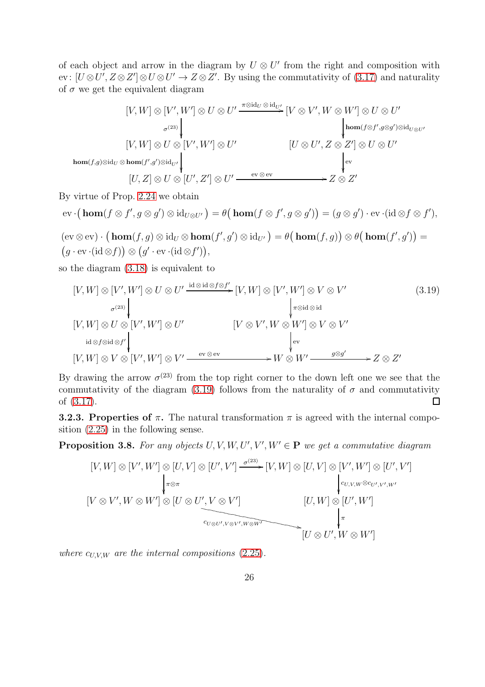of each object and arrow in the diagram by  $U \otimes U'$  from the right and composition with ev:  $[U \otimes U', Z \otimes Z'] \otimes U \otimes U' \rightarrow Z \otimes Z'$ . By using the commutativity of [\(3.17\)](#page-24-1) and naturality of  $\sigma$  we get the equivalent diagram

$$
[V, W] \otimes [V', W'] \otimes U \otimes U' \xrightarrow{\pi \otimes id_{U} \otimes id_{U'}} [V \otimes V', W \otimes W'] \otimes U \otimes U'
$$
  
\n
$$
\downarrow \downarrow \downarrow \downarrow
$$
  
\n
$$
[V, W] \otimes U \otimes [V', W'] \otimes U'
$$
  
\n
$$
[U \otimes U', Z \otimes Z'] \otimes U \otimes U'
$$
  
\n
$$
[U, Z] \otimes U \otimes [U', Z'] \otimes U' \xrightarrow{\text{ev} \otimes \text{ev}} Z \otimes Z'
$$

By virtue of Prop. [2.24](#page-17-2) we obtain

$$
\text{ev} \cdot (\mathbf{hom}(f \otimes f', g \otimes g') \otimes \text{id}_{U \otimes U'}) = \theta \big(\mathbf{hom}(f \otimes f', g \otimes g')\big) = (g \otimes g') \cdot \text{ev} \cdot (\text{id} \otimes f \otimes f'),
$$
  

$$
(\text{ev} \otimes \text{ev}) \cdot (\mathbf{hom}(f, g) \otimes \text{id}_U \otimes \mathbf{hom}(f', g') \otimes \text{id}_{U'}) = \theta \big(\mathbf{hom}(f, g)\big) \otimes \theta \big(\mathbf{hom}(f', g')\big) =
$$

$$
(g \cdot \text{ev} \cdot (\text{id} \otimes f)) \otimes (g' \cdot \text{ev} \cdot (\text{id} \otimes f')),
$$

so the diagram [\(3.18\)](#page-24-2) is equivalent to

<span id="page-25-0"></span>
$$
[V, W] \otimes [V', W'] \otimes U \otimes U' \xrightarrow{\mathrm{id} \otimes \mathrm{id} \otimes f \otimes f'} [V, W] \otimes [V', W'] \otimes V \otimes V' \qquad (3.19)
$$
  
\n
$$
V, W] \otimes U \otimes [V', W'] \otimes U' \qquad [V \otimes V', W \otimes W'] \otimes V \otimes V'
$$
  
\n
$$
[V, W] \otimes V \otimes [V', W'] \otimes V' \xrightarrow{\mathrm{ev} \otimes \mathrm{ev}} W \otimes W' \otimes W' \xrightarrow{g \otimes g'} Z \otimes Z'
$$
  
\n
$$
[V, W] \otimes V \otimes [V', W'] \otimes V' \xrightarrow{\mathrm{ev} \otimes \mathrm{ev}} W \otimes W' \xrightarrow{g \otimes g'} Z \otimes Z'
$$

By drawing the arrow  $\sigma^{(23)}$  from the top right corner to the down left one we see that the commutativity of the diagram [\(3.19\)](#page-25-0) follows from the naturality of  $\sigma$  and commutativity of [\(3.17\)](#page-24-1).  $\Box$ 

**3.2.3. Properties of**  $\pi$ **.** The natural transformation  $\pi$  is agreed with the internal composition [\(2.25\)](#page-14-1) in the following sense.

<span id="page-25-1"></span>**Proposition 3.8.** For any objects  $U, V, W, U', V', W' \in \mathbf{P}$  we get a commutative diagram

$$
[V, W] \otimes [V', W'] \otimes [U, V] \otimes [U', V'] \xrightarrow{\sigma^{(23)}} [V, W] \otimes [U, V] \otimes [V', W'] \otimes [U', V']
$$
\n
$$
[V \otimes V', W \otimes W'] \otimes [U \otimes U', V \otimes V'] \qquad [U, W] \otimes [U', W']
$$
\n
$$
[U, W] \otimes [U', W']
$$
\n
$$
[U, W] \otimes [U', W']
$$
\n
$$
[U \otimes U', W \otimes W']
$$

where  $c_{UVW}$  are the internal compositions [\(2.25\)](#page-14-1).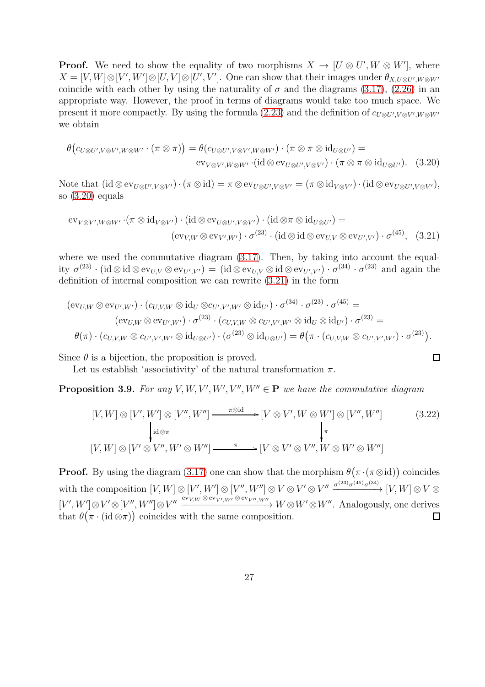**Proof.** We need to show the equality of two morphisms  $X \to [U \otimes U', W \otimes W']$ , where  $X = [V, W] \otimes [V', W'] \otimes [U, V] \otimes [U', V']$ . One can show that their images under  $\theta_{X, U \otimes U', W \otimes W'}$ coincide with each other by using the naturality of  $\sigma$  and the diagrams [\(3.17\)](#page-24-1), [\(2.26\)](#page-14-3) in an appropriate way. However, the proof in terms of diagrams would take too much space. We present it more compactly. By using the formula [\(2.23\)](#page-14-5) and the definition of  $c_{U\otimes U',V\otimes V',W\otimes W'}$ we obtain

$$
\theta\big(c_{U\otimes U',V\otimes V',W\otimes W'}\cdot(\pi\otimes\pi)\big) = \theta(c_{U\otimes U',V\otimes V',W\otimes W'})\cdot(\pi\otimes\pi\otimes\mathrm{id}_{U\otimes U'}) =
$$
  
ev<sub>V\otimes V',W\otimes W'}\cdot(\mathrm{id}\otimes\mathrm{ev}\_{U\otimes U',V\otimes V'})\cdot(\pi\otimes\pi\otimes\mathrm{id}\_{U\otimes U'})\,. (3.20)</sub>

Note that  $(\mathrm{id} \otimes \mathrm{ev}_{U \otimes U', V \otimes V'}) \cdot (\pi \otimes \mathrm{id}) = \pi \otimes \mathrm{ev}_{U \otimes U', V \otimes V'} = (\pi \otimes \mathrm{id}_{V \otimes V'}) \cdot (\mathrm{id} \otimes \mathrm{ev}_{U \otimes U', V \otimes V'}),$ so [\(3.20\)](#page-26-0) equals

$$
\text{ev}_{V \otimes V', W \otimes W'} \cdot (\pi \otimes \text{id}_{V \otimes V'}) \cdot (\text{id} \otimes \text{ev}_{U \otimes U', V \otimes V'}) \cdot (\text{id} \otimes \pi \otimes \text{id}_{U \otimes U'}) =
$$
  
\n
$$
(\text{ev}_{V,W} \otimes \text{ev}_{V',W'}) \cdot \sigma^{(23)} \cdot (\text{id} \otimes \text{id} \otimes \text{ev}_{U,V} \otimes \text{ev}_{U',V'}) \cdot \sigma^{(45)}, \quad (3.21)
$$

where we used the commutative diagram  $(3.17)$ . Then, by taking into account the equality  $\sigma^{(23)} \cdot (\mathrm{id} \otimes \mathrm{id} \otimes \mathrm{ev}_{U,V} \otimes \mathrm{ev}_{U',V'}) = (\mathrm{id} \otimes \mathrm{ev}_{U,V} \otimes \mathrm{id} \otimes \mathrm{ev}_{U',V'}) \cdot \sigma^{(34)} \cdot \sigma^{(23)}$  and again the definition of internal composition we can rewrite [\(3.21\)](#page-26-1) in the form

$$
(\text{ev}_{U,W} \otimes \text{ev}_{U',W'}) \cdot (c_{U,V,W} \otimes \text{id}_U \otimes c_{U',V',W'} \otimes \text{id}_{U'}) \cdot \sigma^{(34)} \cdot \sigma^{(23)} \cdot \sigma^{(45)} =
$$
  
\n
$$
(\text{ev}_{U,W} \otimes \text{ev}_{U',W'}) \cdot \sigma^{(23)} \cdot (c_{U,V,W} \otimes c_{U',V',W'} \otimes \text{id}_U \otimes \text{id}_{U'}) \cdot \sigma^{(23)} =
$$
  
\n
$$
\theta(\pi) \cdot (c_{U,V,W} \otimes c_{U',V',W'} \otimes \text{id}_{U \otimes U'}) \cdot (\sigma^{(23)} \otimes \text{id}_{U \otimes U'}) = \theta(\pi \cdot (c_{U,V,W} \otimes c_{U',V',W'}) \cdot \sigma^{(23)}).
$$

Since  $\theta$  is a bijection, the proposition is proved.

Let us establish 'associativity' of the natural transformation  $\pi$ .

<span id="page-26-2"></span>**Proposition 3.9.** For any  $V, W, V', W', V'', W'' \in \mathbf{P}$  we have the commutative diagram

$$
[V, W] \otimes [V', W'] \otimes [V'', W''] \xrightarrow{\pi \otimes id} [V \otimes V', W \otimes W'] \otimes [V'', W'']
$$
\n
$$
\downarrow id \otimes \pi
$$
\n
$$
[V, W] \otimes [V' \otimes V'', W' \otimes W''] \xrightarrow{\pi} [V \otimes V' \otimes V'', W \otimes W' \otimes W'']
$$
\n
$$
(3.22)
$$

<span id="page-26-1"></span><span id="page-26-0"></span> $\Box$ 

**Proof.** By using the diagram [\(3.17\)](#page-24-1) one can show that the morphism  $\theta(\pi \cdot (\pi \otimes id))$  coincides with the composition  $[V, W] \otimes [V', W''] \otimes [V'', W''] \otimes V \otimes V' \otimes V'' \xrightarrow{\sigma^{(23)} \sigma^{(45)} \sigma^{(34)}} [V, W] \otimes V \otimes V' \otimes V''$  $[V', W'] \otimes V' \otimes [V'', W''] \otimes V'' \xrightarrow{\mathrm{ev}_{V,W} \otimes \mathrm{ev}_{V', W'} \otimes \mathrm{ev}_{V'', W''}} W \otimes W' \otimes W''.$  Analogously, one derives that  $\theta(\pi \cdot (\text{id} \otimes \pi))$  coincides with the same composition.  $\Box$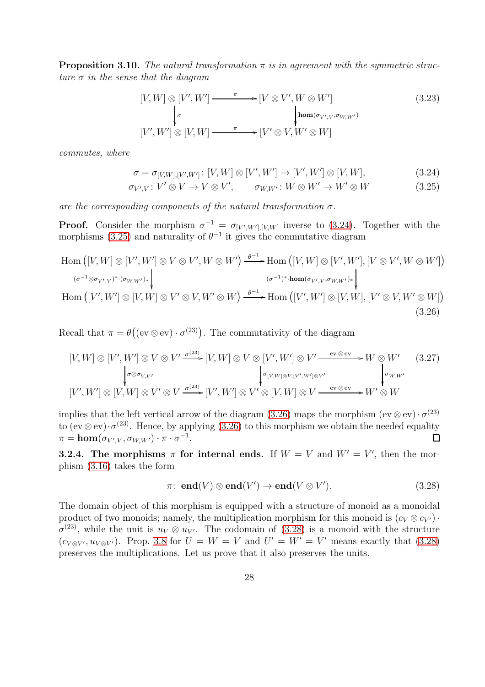<span id="page-27-4"></span>**Proposition 3.10.** The natural transformation  $\pi$  is in agreement with the symmetric structure  $\sigma$  in the sense that the diagram

$$
[V, W] \otimes [V', W'] \longrightarrow {\pi} \longrightarrow [V \otimes V', W \otimes W']
$$
\n
$$
\downarrow^{\sigma} \qquad \qquad {\downarrow}^{\text{hom}(\sigma_{V', V}, \sigma_{W, W'})}
$$
\n
$$
[V', W'] \otimes [V, W] \longrightarrow {\pi} \longrightarrow [V' \otimes V, W' \otimes W]
$$
\n
$$
(3.23)
$$

commutes, where

<span id="page-27-1"></span><span id="page-27-0"></span>
$$
\sigma = \sigma_{[V,W],[V',W']}: [V,W] \otimes [V',W'] \to [V',W'] \otimes [V,W],
$$
\n(3.24)

$$
\sigma_{V',V}: V' \otimes V \to V \otimes V', \qquad \sigma_{W,W'}: W \otimes W' \to W' \otimes W \tag{3.25}
$$

are the corresponding components of the natural transformation  $\sigma$ .

**Proof.** Consider the morphism  $\sigma^{-1} = \sigma_{[V',W'],[V,W]}$  inverse to [\(3.24\)](#page-27-0). Together with the morphisms [\(3.25\)](#page-27-1) and naturality of  $\theta^{-1}$  it gives the commutative diagram

$$
\text{Hom}\left([V,W] \otimes [V',W'] \otimes V \otimes V',W \otimes W'\right) \xrightarrow{\theta^{-1}} \text{Hom}\left([V,W] \otimes [V',W'],[V \otimes V',W \otimes W']\right) \xrightarrow{\left(\sigma^{-1} \otimes \sigma_{V',V}\right)^* \cdot \left(\sigma_{W,W'}\right)^*}
$$
\n
$$
\text{Hom}\left([V',W'] \otimes [V,W] \otimes V' \otimes V,W' \otimes W\right) \xrightarrow{\theta^{-1}} \text{Hom}\left([V',W'] \otimes [V,W],[V' \otimes V,W' \otimes W]\right) \xrightarrow{\left(\sigma^{-1} \otimes \sigma_{V',V}\right)^*} \text{Hom}\left([V',W'] \otimes [V,W],[V' \otimes V,W' \otimes W]\right) \xrightarrow{\left(\sigma_{V',V}\right)^*} \text{Hom}\left([V',W'] \otimes [V,W],[V' \otimes V,W' \otimes W]\right) \xrightarrow{\left(\sigma_{V',V}\right)^*} \text{Hom}\left([V',W'] \otimes [V,W],[V' \otimes V,W' \otimes W]\right) \xrightarrow{\left(\sigma_{V',V}\right)^*} \text{Hom}\left([V',W'] \otimes [V,W],[V' \otimes V,W' \otimes W]\right) \xrightarrow{\left(\sigma_{V',V}\right)^*} \text{Hom}\left([V',W'] \otimes [V,W],[V' \otimes V,W' \otimes W]\right) \xrightarrow{\left(\sigma_{V',V}\right)^*} \text{Hom}\left([V',W'] \otimes [V,W],[V' \otimes V,W' \otimes W]\right) \xrightarrow{\left(\sigma_{V',V}\right)^*} \text{Hom}\left([V',W'] \otimes [V,W],[V' \otimes V,W' \otimes W]\right) \xrightarrow{\left(\sigma_{V',V}\right)^*} \text{Hom}\left([V',W'] \otimes [V,W],[V' \otimes V,W' \otimes W]\right) \xrightarrow{\left(\sigma_{V',V}\right)^*} \text{Hom}\left([V',W'] \otimes [V,W],[V' \otimes V,W \otimes W]\right) \xrightarrow{\left(\sigma_{V',V}\right)^*} \text{Hom}\left([V',W'] \otimes [V,W],[V' \otimes V,W \otimes W]\right) \xrightarrow{\left(\sigma_{V',V}\right)^*} \text{Hom}\left([V',W'] \otimes [V,W],[V' \otimes V,W \otimes W]\right) \xrightarrow{\
$$

Recall that  $\pi = \theta((ev \otimes ev) \cdot \sigma^{(23)})$ . The commutativity of the diagram

$$
[V, W] \otimes [V', W'] \otimes V \otimes V' \xrightarrow{\sigma^{(23)}} [V, W] \otimes V \otimes [V', W'] \otimes V' \xrightarrow{\text{ev} \otimes \text{ev}} W \otimes W' \qquad (3.27)
$$
  
\n
$$
\downarrow^{\sigma \otimes \sigma_{V, V'}} \qquad \qquad \downarrow^{\sigma_{[V, W] \otimes V, [V', W'] \otimes V'}} \qquad \qquad \downarrow^{\sigma_{W, W'}} \qquad \qquad \downarrow^{\sigma_{W, W'}} \qquad (3.27)
$$
  
\n
$$
[V', W'] \otimes [V, W] \otimes V' \otimes V \xrightarrow{\sigma^{(23)}} [V', W'] \otimes V' \otimes [V, W] \otimes V \xrightarrow{\text{ev} \otimes \text{ev}} W' \otimes W
$$

implies that the left vertical arrow of the diagram [\(3.26\)](#page-27-2) maps the morphism  $(ev \otimes ev) \cdot \sigma^{(23)}$ to (ev⊗ev) $\cdot \sigma^{(23)}$ . Hence, by applying [\(3.26\)](#page-27-2) to this morphism we obtain the needed equality  $\pi = \mathbf{hom}(\sigma_{V',V}, \sigma_{W,W'}) \cdot \pi \cdot \sigma^{-1}.$  $\Box$ 

**3.2.4.** The morphisms  $\pi$  for internal ends. If  $W = V$  and  $W' = V'$ , then the morphism [\(3.16\)](#page-24-3) takes the form

<span id="page-27-3"></span><span id="page-27-2"></span>
$$
\pi: \text{ end}(V) \otimes \text{end}(V') \to \text{end}(V \otimes V'). \tag{3.28}
$$

The domain object of this morphism is equipped with a structure of monoid as a monoidal product of two monoids; namely, the multiplication morphism for this monoid is  $(c_V \otimes c_{V'})$ .  $\sigma^{(23)}$ , while the unit is  $u_V \otimes u_{V'}$ . The codomain of [\(3.28\)](#page-27-3) is a monoid with the structure  $(c_{V\otimes V'}, u_{V\otimes V'})$ . Prop. [3.8](#page-25-1) for  $U = W = V$  and  $U' = W' = V'$  means exactly that [\(3.28\)](#page-27-3) preserves the multiplications. Let us prove that it also preserves the units.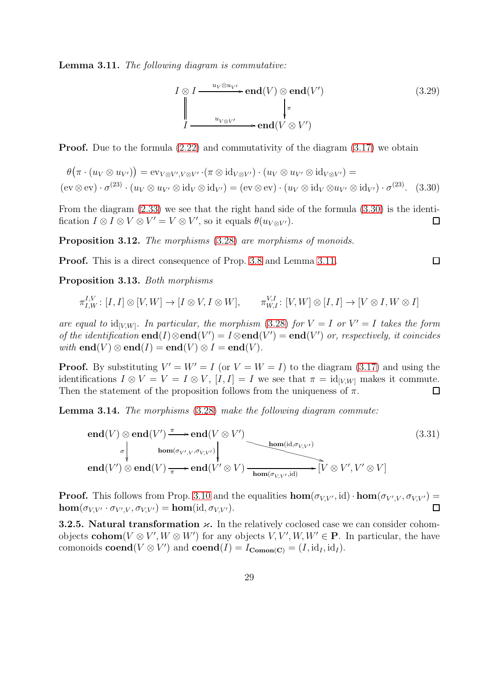<span id="page-28-1"></span>Lemma 3.11. The following diagram is commutative:

$$
I \otimes I \xrightarrow{u_V \otimes u_{V'}} \text{end}(V) \otimes \text{end}(V')
$$
(3.29)  

$$
\downarrow_{V \otimes V'} \qquad \qquad \downarrow_{\pi} \qquad \qquad \downarrow
$$
  

$$
I \xrightarrow{u_{V \otimes V'}} \text{end}(V \otimes V')
$$

**Proof.** Due to the formula  $(2.22)$  and commutativity of the diagram  $(3.17)$  we obtain

$$
\theta(\pi \cdot (u_V \otimes u_{V'})) = \text{ev}_{V \otimes V', V \otimes V'} \cdot (\pi \otimes \text{id}_{V \otimes V'}) \cdot (u_V \otimes u_{V'} \otimes \text{id}_{V \otimes V'}) =
$$
  
(ev \otimes ev)  $\cdot \sigma^{(23)} \cdot (u_V \otimes u_{V'} \otimes \text{id}_V \otimes \text{id}_{V'}) = (\text{ev} \otimes \text{ev}) \cdot (u_V \otimes \text{id}_V \otimes u_{V'} \otimes \text{id}_{V'}) \cdot \sigma^{(23)}.$  (3.30)

From the diagram [\(2.33\)](#page-15-3) we see that the right hand side of the formula [\(3.30\)](#page-28-0) is the identification  $I \otimes I \otimes V \otimes V' = V \otimes V'$ , so it equals  $\theta(u_{V \otimes V'})$ .  $\Box$ 

<span id="page-28-2"></span>Proposition 3.12. The morphisms  $(3.28)$  are morphisms of monoids.

Proof. This is a direct consequence of Prop. [3.8](#page-25-1) and Lemma [3.11.](#page-28-1)

<span id="page-28-3"></span>Proposition 3.13. Both morphisms

$$
\pi_{I,W}^{I,V}\colon [I,I]\otimes[V,W]\to [I\otimes V,I\otimes W],\qquad \pi_{W,I}^{V,I}\colon [V,W]\otimes[I,I]\to [V\otimes I,W\otimes I]
$$

are equal to  $\mathrm{id}_{[V,W]}$ . In particular, the morphism [\(3.28\)](#page-27-3) for  $V = I$  or  $V' = I$  takes the form of the identification  $end(I) \otimes end(V') = I \otimes end(V') = end(V')$  or, respectively, it coincides with  $\text{end}(V) \otimes \text{end}(I) = \text{end}(V) \otimes I = \text{end}(V)$ .

**Proof.** By substituting  $V' = W' = I$  (or  $V = W = I$ ) to the diagram [\(3.17\)](#page-24-1) and using the identifications  $I \otimes V = V = I \otimes V$ ,  $[I, I] = I$  we see that  $\pi = id_{[V,W]}$  makes it commute. Then the statement of the proposition follows from the uniqueness of  $\pi$ .  $\Box$ 

<span id="page-28-4"></span>Lemma 3.14. The morphisms [\(3.28\)](#page-27-3) make the following diagram commute:

$$
\mathbf{end}(V) \otimes \mathbf{end}(V') \xrightarrow{\pi} \mathbf{end}(V \otimes V')
$$
\n
$$
\downarrow \mathbf{end}(V')
$$
\n
$$
\downarrow \mathbf{end}(V')
$$
\n
$$
\mathbf{end}(V')
$$
\n
$$
\mathbf{end}(V')
$$
\n
$$
\mathbf{end}(V')
$$
\n
$$
\mathbf{end}(V')
$$
\n
$$
\mathbf{end}(V')
$$
\n
$$
\mathbf{end}(V')
$$
\n
$$
\mathbf{end}(V')
$$
\n
$$
\mathbf{end}(V')
$$
\n
$$
\mathbf{end}(V')
$$
\n
$$
\mathbf{end}(V')
$$
\n
$$
\mathbf{end}(V')
$$
\n
$$
\mathbf{end}(V')
$$
\n
$$
\mathbf{end}(V')
$$
\n
$$
\mathbf{end}(V')
$$
\n
$$
\mathbf{end}(V')
$$
\n
$$
\mathbf{end}(V')
$$
\n
$$
\mathbf{end}(V')
$$
\n
$$
\mathbf{end}(V')
$$
\n
$$
\mathbf{end}(V')
$$
\n
$$
\mathbf{end}(V')
$$
\n
$$
\mathbf{end}(V')
$$
\n
$$
\mathbf{end}(V')
$$
\n
$$
\mathbf{end}(V')
$$
\n
$$
\mathbf{end}(V')
$$
\n
$$
\mathbf{end}(V')
$$
\n
$$
\mathbf{end}(V')
$$
\n
$$
\mathbf{end}(V')
$$
\n
$$
\mathbf{end}(V')
$$
\n
$$
\mathbf{end}(V')
$$
\n
$$
\mathbf{end}(V')
$$
\n
$$
\mathbf{end}(V')
$$
\n
$$
\mathbf{end}(V')
$$
\n
$$
\mathbf{end}(V')
$$
\n
$$
\mathbf{end}(V')
$$
\n
$$
\mathbf{end}(V)
$$
\n
$$
\mathbf{end}(V)
$$
\n
$$
\mathbf{end}(V)
$$
\n
$$
\mathbf{end}(V)
$$
\n
$$
\mathbf{end}(V)
$$
\n
$$
\mathbf{end}(V)
$$
\n
$$
\mathbf{end}(V)
$$
\n
$$
\mathbf{end}(V)
$$
\n
$$
\mathbf{end
$$

**Proof.** This follows from Prop. [3.10](#page-27-4) and the equalities  $\text{hom}(\sigma_{V,V'}, id) \cdot \text{hom}(\sigma_{V',V}, \sigma_{V,V'}) =$  $\mathbf{hom}(\sigma_{V,V'}\cdot \sigma_{V',V},\sigma_{V,V'}) = \mathbf{hom}(\mathrm{id},\sigma_{V,V'}).$  $\Box$ 

**3.2.5.** Natural transformation  $\varkappa$ . In the relatively coclosed case we can consider cohomobjects **cohom**( $V \otimes V'$ ,  $W \otimes W'$ ) for any objects  $V, V', W, W' \in \mathbf{P}$ . In particular, the have comonoids **coend**( $V \otimes V'$ ) and **coend**( $I$ ) =  $I_{\text{Common}(C)} = (I, id_I, id_I)$ .

<span id="page-28-0"></span> $\Box$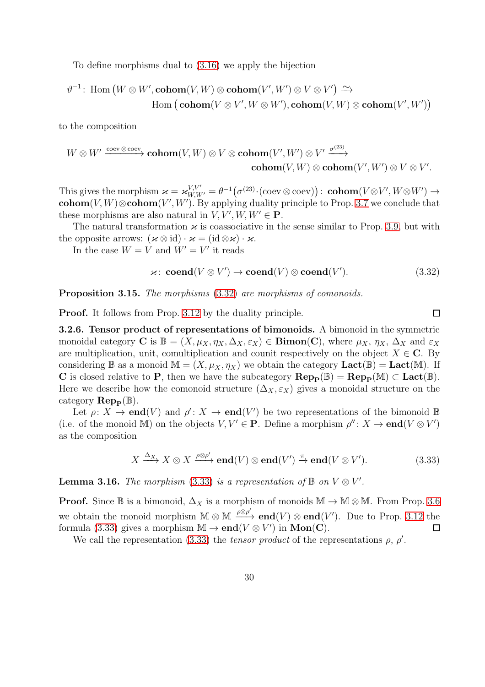To define morphisms dual to [\(3.16\)](#page-24-3) we apply the bijection

$$
\vartheta^{-1}\colon \text{Hom}\left(W\otimes W',\mathbf{cohom}(V,W)\otimes\mathbf{cohom}(V',W')\otimes V\otimes V'\right)\xrightarrow{\sim}\\\text{Hom}\left(\mathbf{cohom}(V\otimes V',W\otimes W'),\mathbf{cohom}(V,W)\otimes\mathbf{cohom}(V',W')\right)
$$

to the composition

$$
W\otimes W'\xrightarrow{\operatorname{coev}\otimes \operatorname{coev}}\operatorname{\mathbf{cohom}}(V,W)\otimes V\otimes\operatorname{\mathbf{cohom}}(V',W')\otimes V'\xrightarrow{\sigma^{(23)}}\operatorname{\mathbf{cohom}}(V',W')\otimes V\otimes V'.
$$
 
$$
\operatorname{\mathbf{cohom}}(V,W)\otimes\operatorname{\mathbf{cohom}}(V',W')\otimes V\otimes V'.
$$

This gives the morphism  $\varkappa = \varkappa_{W,W'}^{V,V'} = \theta^{-1} \big( \sigma^{(23)} \cdot (\mathrm{coev} \otimes \mathrm{coev}) \big)$ : **cohom** $(V \otimes V', W \otimes W') \rightarrow$ cohom $(V, W) \otimes \text{cohom}(V', W')$ . By applying duality principle to Prop. [3.7](#page-24-4) we conclude that these morphisms are also natural in  $V, V', W, W' \in \mathbf{P}$ .

The natural transformation  $\varkappa$  is coassociative in the sense similar to Prop. [3.9,](#page-26-2) but with the opposite arrows:  $(x \otimes id) \cdot x = (id \otimes x) \cdot x$ .

In the case  $W = V$  and  $W' = V'$  it reads

$$
\varkappa \colon \mathbf{coend}(V \otimes V') \to \mathbf{coend}(V) \otimes \mathbf{coend}(V'). \tag{3.32}
$$

Proposition 3.15. The morphisms  $(3.32)$  are morphisms of comonoids.

Proof. It follows from Prop. [3.12](#page-28-2) by the duality principle.

3.2.6. Tensor product of representations of bimonoids. A bimonoid in the symmetric monoidal category C is  $\mathbb{B} = (X, \mu_X, \eta_X, \Delta_X, \varepsilon_X) \in \textbf{Bimon}(\mathbb{C})$ , where  $\mu_X$ ,  $\eta_X$ ,  $\Delta_X$  and  $\varepsilon_X$ are multiplication, unit, comultiplication and counit respectively on the object  $X \in \mathbb{C}$ . By considering B as a monoid  $\mathbb{M} = (X, \mu_X, \eta_X)$  we obtain the category  $\text{Lact}(\mathbb{B}) = \text{Lact}(\mathbb{M})$ . If C is closed relative to P, then we have the subcategory  $\operatorname{Rep}_{\mathbf{P}}(\mathbb{B}) = \operatorname{Rep}_{\mathbf{P}}(\mathbb{M}) \subset \operatorname{Lact}(\mathbb{B})$ . Here we describe how the comonoid structure ( $\Delta_X, \varepsilon_X$ ) gives a monoidal structure on the category  $\mathbf{Rep}_{\mathbf{P}}(\mathbb{B})$ .

Let  $\rho: X \to \text{end}(V)$  and  $\rho' : X \to \text{end}(V')$  be two representations of the bimonoid  $\mathbb B$ (i.e. of the monoid M) on the objects  $V, V' \in \mathbf{P}$ . Define a morphism  $\rho'' : X \to \mathbf{end}(V \otimes V')$ as the composition

$$
X \xrightarrow{\Delta_X} X \otimes X \xrightarrow{\rho \otimes \rho'} \mathbf{end}(V) \otimes \mathbf{end}(V') \xrightarrow{\pi} \mathbf{end}(V \otimes V'). \tag{3.33}
$$

<span id="page-29-2"></span>**Lemma 3.16.** The morphism [\(3.33\)](#page-29-1) is a representation of  $\mathbb{B}$  on  $V \otimes V'$ .

**Proof.** Since  $\mathbb B$  is a bimonoid,  $\Delta_X$  is a morphism of monoids  $\mathbb M \to \mathbb M \otimes \mathbb M$ . From Prop. [3.6](#page-23-2) we obtain the monoid morphism  $M \otimes M \stackrel{\rho \otimes \rho'}{\longrightarrow} \mathbf{end}(V) \otimes \mathbf{end}(V')$ . Due to Prop. [3.12](#page-28-2) the formula [\(3.33\)](#page-29-1) gives a morphism  $M \to \mathbf{end}(V \otimes V')$  in  $\mathbf{Mon}(\mathbf{C})$ .  $\Box$ 

We call the representation [\(3.33\)](#page-29-1) the *tensor product* of the representations  $\rho$ ,  $\rho'$ .

<span id="page-29-1"></span><span id="page-29-0"></span> $\Box$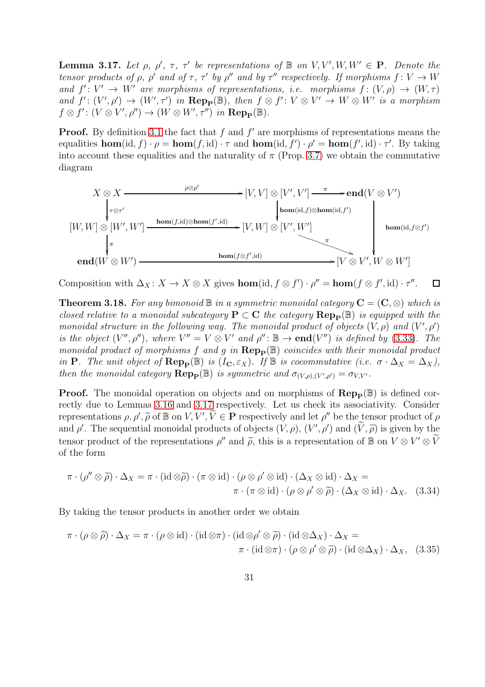<span id="page-30-0"></span>**Lemma 3.17.** Let  $\rho$ ,  $\rho'$ ,  $\tau$ ,  $\tau'$  be representations of  $\mathbb{B}$  on  $V, V', W, W' \in \mathbf{P}$ . Denote the tensor products of  $\rho$ ,  $\rho'$  and of  $\tau$ ,  $\tau'$  by  $\rho''$  and by  $\tau''$  respectively. If morphisms  $f: V \to W$ and  $f': V' \to W'$  are morphisms of representations, i.e. morphisms  $f: (V, \rho) \to (W, \tau)$ and  $f' : (V', \rho') \to (W', \tau')$  in  $\bf{Rep}_P(\mathbb{B})$ , then  $f \otimes f' : V \otimes V' \to W \otimes W'$  is a morphism  $f \otimes f' : (V \otimes V', \rho'') \to (W \otimes W', \tau'')$  in  $\text{Rep}_{\mathbf{P}}(\mathbb{B})$ .

**Proof.** By definition [3.1](#page-20-4) the fact that  $f$  and  $f'$  are morphisms of representations means the equalities  $\textbf{hom}(\text{id}, f) \cdot \rho = \textbf{hom}(f, \text{id}) \cdot \tau$  and  $\textbf{hom}(\text{id}, f') \cdot \rho' = \textbf{hom}(f', \text{id}) \cdot \tau'$ . By taking into account these equalities and the naturality of  $\pi$  (Prop. [3.7\)](#page-24-4) we obtain the commutative diagram



Composition with  $\Delta_X: X \to X \otimes X$  gives  $\textbf{hom}(\text{id}, f \otimes f') \cdot \rho'' = \textbf{hom}(f \otimes f', \text{id}) \cdot \tau''$ .  $\Box$ 

<span id="page-30-3"></span>**Theorem 3.18.** For any bimonoid  $\mathbb{B}$  in a symmetric monoidal category  $\mathbf{C} = (\mathbf{C}, \otimes)$  which is closed relative to a monoidal subcategory  $P \subset C$  the category  $\operatorname{Rep}_{\mathbf{P}}(\mathbb{B})$  is equipped with the monoidal structure in the following way. The monoidal product of objects  $(V, \rho)$  and  $(V', \rho')$ is the object  $(V'', \rho'')$ , where  $V'' = V \otimes V'$  and  $\rho'' : \mathbb{B} \to \text{end}(V'')$  is defined by [\(3.33\)](#page-29-1). The monoidal product of morphisms f and g in  $\mathbf{Rep}_{\mathbf{P}}(\mathbb{B})$  coincides with their monoidal product in P. The unit object of  $\operatorname{Rep}_{\mathbf{P}}(\mathbb{B})$  is  $(I_{\mathbf{C}}, \varepsilon_X)$ . If  $\mathbb{B}$  is cocommutative (i.e.  $\sigma \cdot \Delta_X = \Delta_X$ ), then the monoidal category  $\mathbf{Rep}_{\mathbf{P}}(\mathbb{B})$  is symmetric and  $\sigma_{(V,\rho),(V',\rho')}=\sigma_{V,V'}.$ 

**Proof.** The monoidal operation on objects and on morphisms of  $\text{Rep}_{\mathbf{P}}(\mathbb{B})$  is defined correctly due to Lemmas [3.16](#page-29-2) and [3.17](#page-30-0) respectively. Let us check its associativity. Consider representations  $\rho$ ,  $\rho'$ ,  $\tilde{\rho}$  of  $\mathbb{B}$  on  $V, V', \tilde{V} \in \mathbf{P}$  respectively and let  $\rho''$  be the tensor product of  $\rho$ and  $\rho'$ . The sequential monoidal products of objects  $(V, \rho)$ ,  $(V', \rho')$  and  $(\widetilde{V}, \widetilde{\rho})$  is given by the tensor product of the representations  $\rho''$  and  $\tilde{\rho}$ , this is a representation of  $\mathbb{B}$  on  $V \otimes V' \otimes \tilde{V}$ of the form

<span id="page-30-1"></span>
$$
\pi \cdot (\rho'' \otimes \widetilde{\rho}) \cdot \Delta_X = \pi \cdot (\mathrm{id} \otimes \widetilde{\rho}) \cdot (\pi \otimes \mathrm{id}) \cdot (\rho \otimes \rho' \otimes \mathrm{id}) \cdot (\Delta_X \otimes \mathrm{id}) \cdot \Delta_X =
$$

$$
\pi \cdot (\pi \otimes \mathrm{id}) \cdot (\rho \otimes \rho' \otimes \widetilde{\rho}) \cdot (\Delta_X \otimes \mathrm{id}) \cdot \Delta_X. \quad (3.34)
$$

By taking the tensor products in another order we obtain

<span id="page-30-2"></span>
$$
\pi \cdot (\rho \otimes \widehat{\rho}) \cdot \Delta_X = \pi \cdot (\rho \otimes id) \cdot (id \otimes \pi) \cdot (id \otimes \rho' \otimes \widetilde{\rho}) \cdot (id \otimes \Delta_X) \cdot \Delta_X =
$$

$$
\pi \cdot (id \otimes \pi) \cdot (\rho \otimes \rho' \otimes \widetilde{\rho}) \cdot (id \otimes \Delta_X) \cdot \Delta_X, (3.35)
$$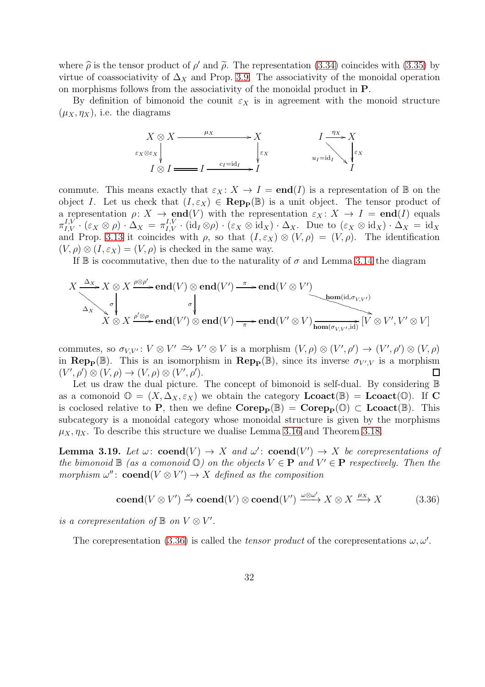where  $\hat{\rho}$  is the tensor product of  $\rho'$  and  $\tilde{\rho}$ . The representation [\(3.34\)](#page-30-1) coincides with [\(3.35\)](#page-30-2) by virtue of coassociativity of  $\Delta_X$  and Prop. [3.9.](#page-26-2) The associativity of the monoidal operation on morphisms follows from the associativity of the monoidal product in P.

By definition of bimonoid the counit  $\varepsilon_X$  is in agreement with the monoid structure  $(\mu_X, \eta_X)$ , i.e. the diagrams



commute. This means exactly that  $\varepsilon_X : X \to I = \text{end}(I)$  is a representation of  $\mathbb B$  on the object I. Let us check that  $(I, \varepsilon_X) \in \mathbf{Rep}_{\mathbf{P}}(\mathbb{B})$  is a unit object. The tensor product of a representation  $\rho: X \to \text{end}(V)$  with the representation  $\varepsilon_X: X \to I = \text{end}(I)$  equals  $\pi_{I,V}^{I,V}\cdot(\varepsilon_X\otimes\rho)\cdot\Delta_X\,=\,\pi_{I,V}^{I,V}\cdot(\mathrm{id}_I\otimes\rho)\cdot(\varepsilon_X\otimes\mathrm{id}_X)\cdot\Delta_X\cdot\quadmathrm{Due to }\;(\varepsilon_X\otimes\mathrm{id}_X)\cdot\Delta_X\,=\,\mathrm{id}_X$ and Prop. [3.13](#page-28-3) it coincides with  $\rho$ , so that  $(I, \varepsilon_X) \otimes (V, \rho) = (V, \rho)$ . The identification  $(V, \rho) \otimes (I, \varepsilon_X) = (V, \rho)$  is checked in the same way.

If  $\mathbb B$  is cocommutative, then due to the naturality of  $\sigma$  and Lemma [3.14](#page-28-4) the diagram

$$
X \xrightarrow{\Delta_X} X \otimes X \xrightarrow{\rho \otimes \rho'} \text{end}(V) \otimes \text{end}(V') \xrightarrow{\pi} \text{end}(V \otimes V')
$$
\n
$$
\Delta_X \searrow \phi'
$$
\n
$$
\Delta_X \searrow \phi'
$$
\n
$$
\wedge
$$
\n
$$
\downarrow
$$
\n
$$
\downarrow
$$
\n
$$
\downarrow
$$
\n
$$
\downarrow
$$
\n
$$
\downarrow
$$
\n
$$
\downarrow
$$
\n
$$
\downarrow
$$
\n
$$
\downarrow
$$
\n
$$
\downarrow
$$
\n
$$
\downarrow
$$
\n
$$
\downarrow
$$
\n
$$
\downarrow
$$
\n
$$
\downarrow
$$
\n
$$
\downarrow
$$
\n
$$
\downarrow
$$
\n
$$
\downarrow
$$
\n
$$
\downarrow
$$
\n
$$
\downarrow
$$
\n
$$
\downarrow
$$
\n
$$
\downarrow
$$
\n
$$
\downarrow
$$
\n
$$
\downarrow
$$
\n
$$
\downarrow
$$
\n
$$
\downarrow
$$
\n
$$
\downarrow
$$
\n
$$
\downarrow
$$
\n
$$
\downarrow
$$
\n
$$
\downarrow
$$
\n
$$
\downarrow
$$
\n
$$
\downarrow
$$
\n
$$
\downarrow
$$
\n
$$
\downarrow
$$
\n
$$
\downarrow
$$
\n
$$
\downarrow
$$
\n
$$
\downarrow
$$
\n
$$
\downarrow
$$
\n
$$
\downarrow
$$
\n
$$
\downarrow
$$
\n
$$
\downarrow
$$
\n
$$
\downarrow
$$
\n
$$
\downarrow
$$
\n
$$
\downarrow
$$
\n
$$
\downarrow
$$
\n
$$
\downarrow
$$
\n
$$
\downarrow
$$
\n
$$
\downarrow
$$
\n
$$
\downarrow
$$
\n
$$
\downarrow
$$
\n
$$
\downarrow
$$
\n
$$
\downarrow
$$
\n
$$
\downarrow
$$
\n
$$
\downarrow
$$
\n
$$
\downarrow
$$
\n
$$
\downarrow
$$
\n<math display="</math>

commutes, so  $\sigma_{V,V'}: V \otimes V' \xrightarrow{\sim} V' \otimes V$  is a morphism  $(V, \rho) \otimes (V', \rho') \rightarrow (V', \rho') \otimes (V, \rho)$ in Rep<sub>P</sub>( $\mathbb{B}$ ). This is an isomorphism in Rep<sub>P</sub>( $\mathbb{B}$ ), since its inverse  $\sigma_{V',V}$  is a morphism  $(V', \rho') \otimes (V, \rho) \rightarrow (V, \rho) \otimes (V', \rho').$  $\Box$ 

Let us draw the dual picture. The concept of bimonoid is self-dual. By considering  $\mathbb B$ as a comonoid  $\mathbb{O} = (X, \Delta_X, \varepsilon_X)$  we obtain the category  $\mathbf{Lcoact}(\mathbb{B}) = \mathbf{Lcoact}(\mathbb{O})$ . If C is coclosed relative to P, then we define  $\mathbf{Corep}_P(\mathbb{B}) = \mathbf{Corep}_P(\mathbb{O}) \subset \mathbf{Locact}(\mathbb{B})$ . This subcategory is a monoidal category whose monoidal structure is given by the morphisms  $\mu_X$ ,  $\eta_X$ . To describe this structure we dualise Lemma [3.16](#page-29-2) and Theorem [3.18.](#page-30-3)

**Lemma 3.19.** Let  $\omega$ : **coend** $(V) \rightarrow X$  and  $\omega'$ : **coend** $(V') \rightarrow X$  be corepresentations of the bimonoid  $\mathbb B$  (as a comonoid  $\mathbb O$ ) on the objects  $V \in \mathbf P$  and  $V' \in \mathbf P$  respectively. Then the morphism  $\omega''$ : **coend**( $V \otimes V'$ )  $\rightarrow X$  defined as the composition

<span id="page-31-0"></span>
$$
\mathbf{coend}(V \otimes V') \xrightarrow{\varkappa} \mathbf{coend}(V) \otimes \mathbf{coend}(V') \xrightarrow{\omega \otimes \omega'} X \otimes X \xrightarrow{\mu_X} X \tag{3.36}
$$

is a corepresentation of  $\mathbb B$  on  $V \otimes V'$ .

The corepresentation [\(3.36\)](#page-31-0) is called the *tensor product* of the corepresentations  $\omega, \omega'$ .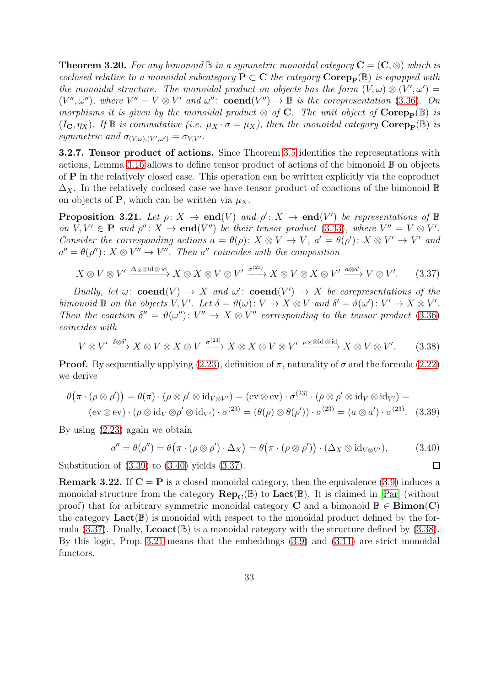<span id="page-32-5"></span>**Theorem 3.20.** For any bimonoid  $\mathbb{B}$  in a symmetric monoidal category  $\mathbf{C} = (\mathbf{C}, \otimes)$  which is coclosed relative to a monoidal subcategory  $P \subset C$  the category  $\text{Corep}_{\mathbf{P}}(\mathbb{B})$  is equipped with the monoidal structure. The monoidal product on objects has the form  $(V, \omega) \otimes (V', \omega') =$  $(V'', \omega'')$ , where  $V'' = V \otimes V'$  and  $\omega''$ : **coend** $(V'') \rightarrow \mathbb{B}$  is the corepresentation [\(3.36\)](#page-31-0). On morphisms it is given by the monoidal product  $\otimes$  of C. The unit object of Corep<sub>p</sub>(B) is  $(I_{\mathbf{C}}, \eta_X)$ . If  $\mathbb B$  is commutative (i.e.  $\mu_X \cdot \sigma = \mu_X$ ), then the monoidal category Corep<sub>p</sub>( $\mathbb B$ ) is symmetric and  $\sigma_{(V,\omega),(V',\omega')} = \sigma_{V,V'}$ .

3.2.7. Tensor product of actions. Since Theorem [3.5](#page-22-2) identifies the representations with actions, Lemma [3.16](#page-29-2) allows to define tensor product of actions of the bimonoid B on objects of P in the relatively closed case. This operation can be written explicitly via the coproduct  $\Delta_X$ . In the relatively coclosed case we have tensor product of coactions of the bimonoid B on objects of **P**, which can be written via  $\mu_X$ .

<span id="page-32-4"></span>**Proposition 3.21.** Let  $\rho: X \to \text{end}(V)$  and  $\rho': X \to \text{end}(V')$  be representations of  $\mathbb B$ on  $V, V' \in \mathbf{P}$  and  $\rho'' \colon X \to \mathbf{end}(V'')$  be their tensor product [\(3.33\)](#page-29-1), where  $V'' = V \otimes V'$ . Consider the corresponding actions  $a = \theta(\rho)$ :  $X \otimes V \to V$ ,  $a' = \theta(\rho')$ :  $X \otimes V' \to V'$  and  $a'' = \theta(\rho'') : X \otimes V'' \to V''$ . Then a'' coincides with the composition

$$
X \otimes V \otimes V' \xrightarrow{\Delta_X \otimes \mathrm{id} \otimes \mathrm{id}} X \otimes X \otimes V \otimes V' \xrightarrow{\sigma^{(23)}} X \otimes V \otimes X \otimes V' \xrightarrow{a \otimes a'} V \otimes V'. \tag{3.37}
$$

Dually, let  $\omega$ : **coend**(V)  $\rightarrow$  X and  $\omega'$ : **coend**(V')  $\rightarrow$  X be corepresentations of the bimonoid  $\mathbb B$  on the objects  $V, V'$ . Let  $\delta = \vartheta(\omega) : V \to X \otimes V$  and  $\delta' = \vartheta(\omega') : V' \to X \otimes V'$ . Then the coaction  $\delta'' = \vartheta(\omega'') : V'' \to X \otimes V''$  corresponding to the tensor product [\(3.36\)](#page-31-0) coincides with

$$
V \otimes V' \xrightarrow{\delta \otimes \delta'} X \otimes V \otimes X \otimes V \xrightarrow{\sigma^{(23)}} X \otimes X \otimes V \otimes V' \xrightarrow{\mu_X \otimes \mathrm{id} \otimes \mathrm{id}} X \otimes V \otimes V'. \tag{3.38}
$$

**Proof.** By sequentially applying [\(2.23\)](#page-14-5), definition of  $\pi$ , naturality of  $\sigma$  and the formula [\(2.22\)](#page-14-4) we derive

$$
\theta(\pi \cdot (\rho \otimes \rho')) = \theta(\pi) \cdot (\rho \otimes \rho' \otimes id_{V \otimes V'}) = (\text{ev} \otimes \text{ev}) \cdot \sigma^{(23)} \cdot (\rho \otimes \rho' \otimes id_V \otimes id_{V'}) =
$$
  
\n
$$
(\text{ev} \otimes \text{ev}) \cdot (\rho \otimes id_V \otimes \rho' \otimes id_{V'}) \cdot \sigma^{(23)} = (\theta(\rho) \otimes \theta(\rho')) \cdot \sigma^{(23)} = (a \otimes a') \cdot \sigma^{(23)}.
$$
 (3.39)

By using [\(2.23\)](#page-14-5) again we obtain

$$
a'' = \theta(\rho'') = \theta(\pi \cdot (\rho \otimes \rho') \cdot \Delta_X) = \theta(\pi \cdot (\rho \otimes \rho')) \cdot (\Delta_X \otimes id_{V \otimes V'}), \tag{3.40}
$$

<span id="page-32-3"></span><span id="page-32-2"></span><span id="page-32-1"></span><span id="page-32-0"></span> $\Box$ 

Substitution of [\(3.39\)](#page-32-0) to [\(3.40\)](#page-32-1) yields [\(3.37\)](#page-32-2).

<span id="page-32-6"></span>**Remark 3.22.** If  $C = P$  is a closed monoidal category, then the equivalence [\(3.9\)](#page-22-0) induces a monoidal structure from the category  $\mathbf{Rep}_{\mathbf{C}}(\mathbb{B})$  to  $\mathbf{Lact}(\mathbb{B})$ . It is claimed in [\[Par\]](#page-53-5) (without proof) that for arbitrary symmetric monoidal category C and a bimonoid  $\mathbb{B} \in \mathbf{Bimon}(C)$ the category  $\text{Lact}(\mathbb{B})$  is monoidal with respect to the monoidal product defined by the formula  $(3.37)$ . Dually, **Lcoact**( $\mathbb{B}$ ) is a monoidal category with the structure defined by  $(3.38)$ . By this logic, Prop. [3.21](#page-32-4) means that the embeddings [\(3.9\)](#page-22-0) and [\(3.11\)](#page-22-1) are strict monoidal functors.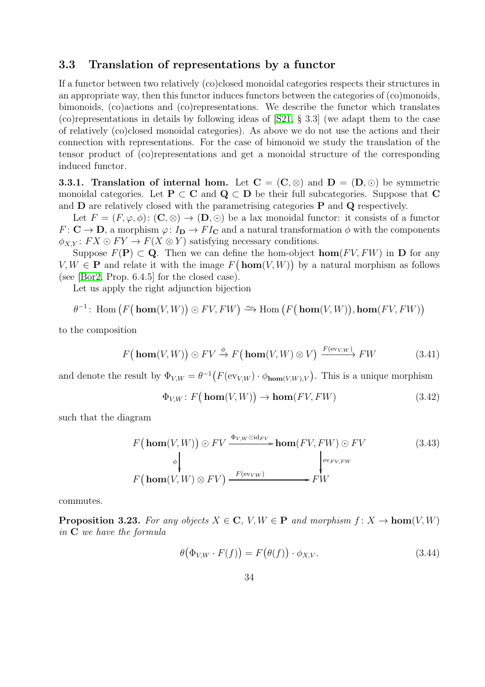#### <span id="page-33-0"></span>3.3 Translation of representations by a functor

If a functor between two relatively (co)closed monoidal categories respects their structures in an appropriate way, then this functor induces functors between the categories of (co)monoids, bimonoids, (co)actions and (co)representations. We describe the functor which translates (co)representations in details by following ideas of [\[S21,](#page-54-0) § 3.3] (we adapt them to the case of relatively (co)closed monoidal categories). As above we do not use the actions and their connection with representations. For the case of bimonoid we study the translation of the tensor product of (co)representations and get a monoidal structure of the corresponding induced functor.

<span id="page-33-5"></span>**3.3.1. Translation of internal hom.** Let  $C = (C, \otimes)$  and  $D = (D, \odot)$  be symmetric monoidal categories. Let **P**  $\subset$  **C** and **Q**  $\subset$  **D** be their full subcategories. Suppose that **C** and  $\bf{D}$  are relatively closed with the parametrising categories  $\bf{P}$  and  $\bf{Q}$  respectively.

Let  $F = (F, \varphi, \phi) : (\mathbf{C}, \otimes) \to (\mathbf{D}, \odot)$  be a lax monoidal functor: it consists of a functor  $F: \mathbf{C} \to \mathbf{D}$ , a morphism  $\varphi: I_{\mathbf{D}} \to FI_{\mathbf{C}}$  and a natural transformation  $\phi$  with the components  $\phi_{X,Y}$ :  $FX \odot FY \rightarrow F(X \otimes Y)$  satisfying necessary conditions.

Suppose  $F(\mathbf{P}) \subset \mathbf{Q}$ . Then we can define the hom-object  $\textbf{hom}(FV, FW)$  in  $\mathbf{D}$  for any  $V, W \in \mathbf{P}$  and relate it with the image  $F(\mathbf{hom}(V, W))$  by a natural morphism as follows (see [\[Bor2,](#page-53-4) Prop. 6.4.5] for the closed case).

Let us apply the right adjunction bijection

$$
\theta^{-1}\colon \operatorname{Hom} \big( F\big(\mathop{\mathrm{\bf hom}}\nolimits(V,W)\big)\odot FV, FW\big) \xrightarrow{\sim} \operatorname{Hom} \big( F\big(\mathop{\mathrm{\bf hom}}\nolimits(V,W)\big), \mathop{\mathrm{\bf hom}}\nolimits(FV, FW)\big)
$$

to the composition

$$
F\big(\mathbf{hom}(V,W)\big) \odot FV \xrightarrow{\phi} F\big(\mathbf{hom}(V,W) \otimes V\big) \xrightarrow{F(\text{ev}_{V,W})} FW \tag{3.41}
$$

and denote the result by  $\Phi_{V,W} = \theta^{-1}(F(\text{ev}_{V,W}) \cdot \phi_{\text{hom}(V,W),V})$ . This is a unique morphism

<span id="page-33-4"></span><span id="page-33-2"></span>
$$
\Phi_{V,W}: F\big(\mathbf{hom}(V,W)\big) \to \mathbf{hom}(FV, FW) \tag{3.42}
$$

such that the diagram

F hom(V, W) ⊙ F V ΦV,W ⊙idF V / φ hom(F V, FW) ⊙ F V evF V,FW F hom(V, W) ⊗ F V <sup>F</sup>(evV W ) /FW (3.43)

commutes.

<span id="page-33-3"></span>**Proposition 3.23.** For any objects  $X \in \mathbb{C}$ ,  $V, W \in \mathbb{P}$  and morphism  $f: X \to \text{hom}(V, W)$ in C we have the formula

<span id="page-33-1"></span>
$$
\theta(\Phi_{V,W} \cdot F(f)) = F(\theta(f)) \cdot \phi_{X,V}.
$$
\n(3.44)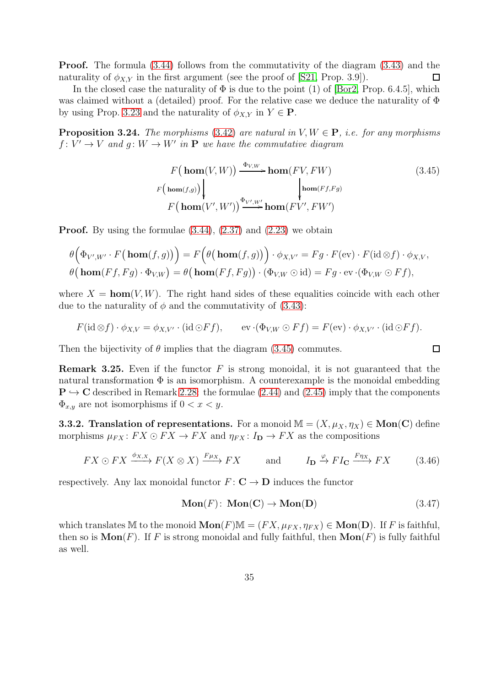Proof. The formula [\(3.44\)](#page-33-1) follows from the commutativity of the diagram [\(3.43\)](#page-33-2) and the naturality of  $\phi_{X,Y}$  in the first argument (see the proof of [\[S21,](#page-54-0) Prop. 3.9]).  $\Box$ 

In the closed case the naturality of  $\Phi$  is due to the point (1) of [\[Bor2,](#page-53-4) Prop. 6.4.5], which was claimed without a (detailed) proof. For the relative case we deduce the naturality of Φ by using Prop. [3.23](#page-33-3) and the naturality of  $\phi_{X,Y}$  in  $Y \in \mathbf{P}$ .

<span id="page-34-1"></span>**Proposition 3.24.** The morphisms [\(3.42\)](#page-33-4) are natural in  $V, W \in \mathbf{P}$ , i.e. for any morphisms  $f: V' \to V$  and  $g: W \to W'$  in **P** we have the commutative diagram

$$
F\left(\mathbf{hom}(V,W)\right) \xrightarrow{\Phi_{V,W}} \mathbf{hom}(FV, FW) \tag{3.45}
$$
\n
$$
F\left(\mathbf{hom}(f,g)\right) \downarrow \qquad \qquad \downarrow \mathbf{hom}(Ff, Fg)
$$
\n
$$
F\left(\mathbf{hom}(V', W')\right) \xrightarrow{\Phi_{V',W'}} \mathbf{hom}(FV', FW')
$$

**Proof.** By using the formulae  $(3.44)$ ,  $(2.37)$  and  $(2.23)$  we obtain

$$
\theta\Big(\Phi_{V',W'}\cdot F\big(\mathbf{hom}(f,g)\big)\Big)=F\Big(\theta\big(\mathbf{hom}(f,g)\big)\Big)\cdot\phi_{X,V'}=Fg\cdot F(\mathrm{ev})\cdot F(\mathrm{id}\otimes f)\cdot\phi_{X,V},\theta\big(\mathbf{hom}(Ff,Fg)\cdot\Phi_{V,W}\big)=\theta\big(\mathbf{hom}(Ff,Fg)\big)\cdot(\Phi_{V,W}\odot\mathrm{id})=Fg\cdot\mathrm{ev}\cdot(\Phi_{V,W}\odot Ff),
$$

where  $X = \text{hom}(V, W)$ . The right hand sides of these equalities coincide with each other due to the naturality of  $\phi$  and the commutativity of [\(3.43\)](#page-33-2):

$$
F(\mathrm{id}\otimes f)\cdot \phi_{X,V} = \phi_{X,V'}\cdot (\mathrm{id}\odot Ff), \qquad \mathrm{ev}\cdot(\Phi_{V,W}\odot Ff) = F(\mathrm{ev})\cdot \phi_{X,V'}\cdot (\mathrm{id}\odot Ff).
$$

Then the bijectivity of  $\theta$  implies that the diagram [\(3.45\)](#page-34-0) commutes.

**Remark 3.25.** Even if the functor  $F$  is strong monoidal, it is not guaranteed that the natural transformation  $\Phi$  is an isomorphism. A counterexample is the monoidal embedding  $P \hookrightarrow C$  described in Remark [2.28:](#page-19-1) the formulae [\(2.44\)](#page-19-2) and [\(2.45\)](#page-19-3) imply that the components  $\Phi_{x,y}$  are not isomorphisms if  $0 < x < y$ .

<span id="page-34-2"></span>**3.3.2. Translation of representations.** For a monoid  $\mathbb{M} = (X, \mu_X, \eta_X) \in \text{Mon}(C)$  define morphisms  $\mu_{FX} : FX \odot FX \rightarrow FX$  and  $\eta_{FX} : I_D \rightarrow FX$  as the compositions

$$
FX \odot FX \xrightarrow{\phi_{X,X}} F(X \otimes X) \xrightarrow{F\mu_X} FX \quad \text{and} \quad I_{\mathbf{D}} \xrightarrow{\varphi} FI_{\mathbf{C}} \xrightarrow{F\eta_X} FX \quad (3.46)
$$

respectively. Any lax monoidal functor  $F: \mathbb{C} \to \mathbb{D}$  induces the functor

$$
Mon(F): Mon(C) \to Mon(D)
$$
\n(3.47)

<span id="page-34-4"></span><span id="page-34-3"></span><span id="page-34-0"></span> $\Box$ 

which translates M to the monoid  $\text{Mon}(F) \mathbb{M} = (FX, \mu_{FX}, \eta_{FX}) \in \text{Mon}(D)$ . If F is faithful, then so is  $\text{Mon}(F)$ . If F is strong monoidal and fully faithful, then  $\text{Mon}(F)$  is fully faithful as well.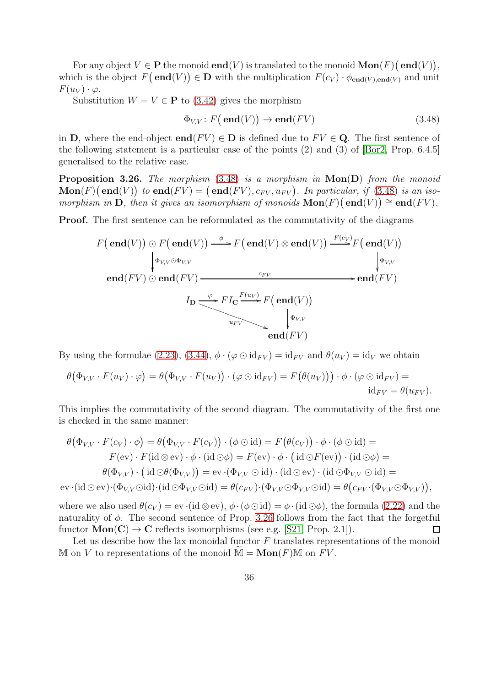For any object  $V \in \mathbf{P}$  the monoid  $\mathbf{end}(V)$  is translated to the monoid  $\mathbf{Mon}(F)(\mathbf{end}(V)),$ which is the object  $F(\text{end}(V)) \in \mathbf{D}$  with the multiplication  $F(c_V) \cdot \phi_{\text{end}(V), \text{end}(V)$  and unit  $F(u_V) \cdot \varphi$ .

Substitution  $W = V \in \mathbf{P}$  to [\(3.42\)](#page-33-4) gives the morphism

<span id="page-35-0"></span>
$$
\Phi_{V,V}: F(\text{end}(V)) \to \text{end}(FV) \tag{3.48}
$$

in D, where the end-object **end**( $FV$ )  $\in$  D is defined due to  $FV \in Q$ . The first sentence of the following statement is a particular case of the points (2) and (3) of [\[Bor2,](#page-53-4) Prop. 6.4.5] generalised to the relative case.

<span id="page-35-1"></span>**Proposition 3.26.** The morphism  $(3.48)$  is a morphism in  $Mon(D)$  from the monoid  $\textbf{Mon}(F) \big(\textbf{end}(V) \big)$  to  $\textbf{end}(FV) = \big(\textbf{end}(FV), c_{FV}, u_{FV} \big)$ . In particular, if [\(3.48\)](#page-35-0) is an isomorphism in  $\mathbf{D}$ , then it gives an isomorphism of monoids  $\mathbf{Mon}(F)(\mathbf{end}(V)) \cong \mathbf{end}(FV)$ .

Proof. The first sentence can be reformulated as the commutativity of the diagrams

$$
F(\text{end}(V)) \odot F(\text{end}(V)) \xrightarrow{\phi} F(\text{end}(V)) \xrightarrow{\phi} F(\text{end}(V)) \xrightarrow{\text{erf}(\text{end}(V))} \begin{cases} F(c_V) \\ F(\text{end}(V)) \\ \text{end}(FV) \odot \text{end}(FV) \xrightarrow{\text{erf}(\text{end}(V))} F(\text{end}(FV) \xrightarrow{\text{erf}(\text{end}(V))} F(\text{end}(FV) \xrightarrow{\text{erf}(\text{end}(V))} \begin{cases} F(c_V) \\ F(\text{end}(V)) \\ \text{end}(FV) \xrightarrow{\text{end}(FV)} \begin{cases} F(c_V) \\ F(c_V) \\ F(\text{end}(V)) \xrightarrow{\text{end}(FV)} \begin{cases} F(c_V) \\ F(c_V) \\ F(\text{end}(V)) \xrightarrow{\text{end}(FV)} F(\text{end}(V)
$$

By using the formulae [\(2.23\)](#page-14-5), [\(3.44\)](#page-33-1),  $\phi \cdot (\varphi \odot id_{FV}) = id_{FV}$  and  $\theta(u_V) = id_V$  we obtain

$$
\theta(\Phi_{V,V} \cdot F(u_V) \cdot \varphi) = \theta(\Phi_{V,V} \cdot F(u_V)) \cdot (\varphi \odot id_{FV}) = F(\theta(u_V))) \cdot \phi \cdot (\varphi \odot id_{FV}) = id_{FV} = \theta(u_{FV}).
$$

This implies the commutativity of the second diagram. The commutativity of the first one is checked in the same manner:

$$
\theta(\Phi_{V,V} \cdot F(c_V) \cdot \phi) = \theta(\Phi_{V,V} \cdot F(c_V)) \cdot (\phi \odot id) = F(\theta(c_V)) \cdot \phi \cdot (\phi \odot id) =
$$
  
\n
$$
F(\text{ev}) \cdot F(\text{id} \otimes \text{ev}) \cdot \phi \cdot (\text{id} \odot \phi) = F(\text{ev}) \cdot \phi \cdot (\text{id} \odot F(\text{ev})) \cdot (\text{id} \odot \phi) =
$$
  
\n
$$
\theta(\Phi_{V,V}) \cdot (\text{id} \odot \theta(\Phi_{V,V})) = \text{ev} \cdot (\Phi_{V,V} \odot id) \cdot (\text{id} \odot \text{ev}) \cdot (\text{id} \odot \Phi_{V,V} \odot id) =
$$
  
\n
$$
\text{ev} \cdot (\text{id} \odot \text{ev}) \cdot (\Phi_{V,V} \odot id) \cdot (\text{id} \odot \Phi_{V,V} \odot id) = \theta(c_{FV}) \cdot (\Phi_{V,V} \odot \Phi_{V,V} \odot id) = \theta(c_{FV} \cdot (\Phi_{V,V} \odot \Phi_{V,V}))
$$

where we also used  $\theta(c_V) = \text{ev} \cdot (\text{id} \otimes \text{ev}), \phi \cdot (\phi \odot \text{id}) = \phi \cdot (\text{id} \odot \phi)$ , the formula [\(2.22\)](#page-14-4) and the naturality of  $\phi$ . The second sentence of Prop. [3.26](#page-35-1) follows from the fact that the forgetful functor  $Mon(C) \rightarrow C$  reflects isomorphisms (see e.g. [\[S21,](#page-54-0) Prop. 2.1]).  $\Box$ 

Let us describe how the lax monoidal functor  $F$  translates representations of the monoid M on V to representations of the monoid  $M = \text{Mon}(F)$ M on FV.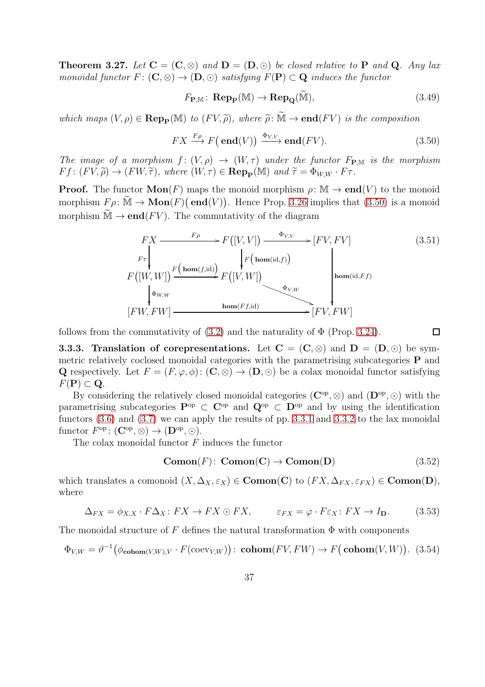<span id="page-36-2"></span>**Theorem 3.27.** Let  $C = (C, \otimes)$  and  $D = (D, \odot)$  be closed relative to P and Q. Any lax monoidal functor  $F: (\mathbf{C}, \otimes) \to (\mathbf{D}, \odot)$  satisfying  $F(\mathbf{P}) \subset \mathbf{Q}$  induces the functor

<span id="page-36-1"></span>
$$
F_{\mathbf{P},\mathbb{M}}\colon \mathbf{Rep}_{\mathbf{P}}(\mathbb{M}) \to \mathbf{Rep}_{\mathbf{Q}}(\widetilde{\mathbb{M}}),\tag{3.49}
$$

which maps  $(V, \rho) \in \bf{Rep}_{\bf{P}}(\mathbb{M})$  to  $(FV, \tilde{\rho})$ , where  $\tilde{\rho}: \tilde{\mathbb{M}} \to \bf{end}(FV)$  is the composition

$$
FX \xrightarrow{F\rho} F(\text{end}(V)) \xrightarrow{\Phi_{V,V}} \text{end}(FV).
$$
 (3.50)

The image of a morphism  $f: (V, \rho) \to (W, \tau)$  under the functor  $F_{\mathbf{P},M}$  is the morphism  $F f : (F V, \widetilde{\rho}) \to (F W, \widetilde{\tau}),$  where  $(W, \tau) \in \mathbf{Rep}_{\mathbf{P}}(\mathbb{M})$  and  $\widetilde{\tau} = \Phi_{W,W} \cdot F \tau.$ 

**Proof.** The functor  $\text{Mon}(F)$  maps the monoid morphism  $\rho: \mathbb{M} \to \text{end}(V)$  to the monoid morphism  $F \rho : \widetilde{M} \to \text{Mon}(F) (\text{end}(V))$ . Hence Prop. [3.26](#page-35-1) implies that [\(3.50\)](#page-36-0) is a monoid morphism  $\tilde{M} \to \mathbf{end}(FV)$ . The commutativity of the diagram

$$
FX \xrightarrow{F\rho} F([V,V]) \xrightarrow{\Phi_{V,V}} [FV, FV]
$$
\n
$$
F(\vert W, W \vert) \xrightarrow{F(\text{hom}(f,\text{id}))} F([V,W])
$$
\n
$$
\downarrow^{F(\text{hom}(\text{id},f))} F([V,W])
$$
\n
$$
\downarrow^{F(\text{hom}(\text{id},f))} \downarrow^{F(\text{hom}(\text{id},f))} F([V,W])
$$
\n
$$
\downarrow^{F(\text{hom}(\text{id},f))} F[V, FW]
$$
\n
$$
[FW, FW] \xrightarrow{\text{hom}(Ff,\text{id})} [FV, FW]
$$
\n(3.51)

follows from the commutativity of  $(3.2)$  and the naturality of  $\Phi$  (Prop. [3.24\)](#page-34-1).

<span id="page-36-5"></span><span id="page-36-4"></span><span id="page-36-0"></span> $\Box$ 

<span id="page-36-3"></span>**3.3.3.** Translation of corepresentations. Let  $C = (C, \otimes)$  and  $D = (D, \odot)$  be symmetric relatively coclosed monoidal categories with the parametrising subcategories P and Q respectively. Let  $F = (F, \varphi, \phi) : (\mathbf{C}, \otimes) \to (\mathbf{D}, \odot)$  be a colax monoidal functor satisfying  $F(\mathbf{P}) \subset \mathbf{Q}$ .

By considering the relatively closed monoidal categories  $(\mathbf{C}^{\mathrm{op}}, \otimes)$  and  $(\mathbf{D}^{\mathrm{op}}, \odot)$  with the parametrising subcategories  $P^{\rm op} \subset C^{\rm op}$  and  $Q^{\rm op} \subset D^{\rm op}$  and by using the identification functors  $(3.6)$  and  $(3.7)$  we can apply the results of pp. [3.3.1](#page-33-5) and [3.3.2](#page-34-2) to the lax monoidal functor  $F^{\rm op} \colon (\mathbf{C}^{\rm op}, \otimes) \to (\mathbf{D}^{\rm op}, \odot).$ 

The colax monoidal functor  $F$  induces the functor

$$
Comon(F): Comon(C) \to Comon(D)
$$
\n(3.52)

which translates a comonoid  $(X, \Delta_X, \varepsilon_X) \in \mathbf{Comon}(\mathbf{C})$  to  $(FX, \Delta_{FX}, \varepsilon_{FX}) \in \mathbf{Comon}(\mathbf{D}),$ where

$$
\Delta_{FX} = \phi_{X,X} \cdot F \Delta_X \colon FX \to FX \odot FX, \qquad \varepsilon_{FX} = \varphi \cdot F \varepsilon_X \colon FX \to I_{\mathbf{D}}.
$$
 (3.53)

The monoidal structure of F defines the natural transformation  $\Phi$  with components

$$
\Phi_{V,W} = \vartheta^{-1}(\phi_{\mathbf{cohom}(V,W),V} \cdot F(\mathbf{coev}_{V,W})): \mathbf{cohom}(FV, FW) \to F(\mathbf{cohom}(V,W)).
$$
 (3.54)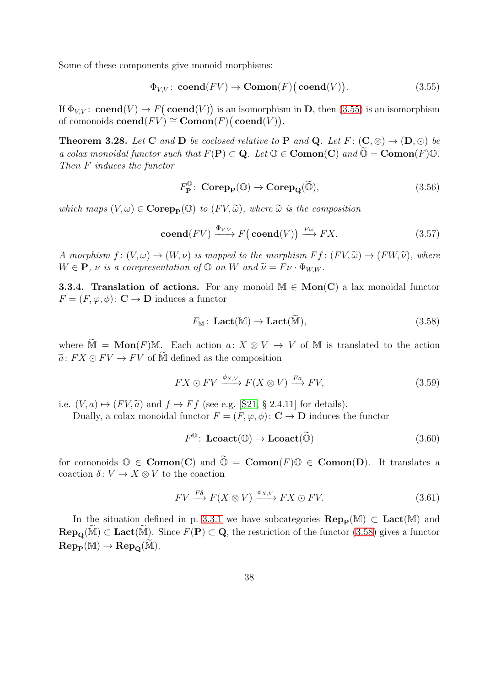Some of these components give monoid morphisms:

$$
\Phi_{V,V}: \mathbf{coend}(FV) \to \mathbf{Comon}(F) \big(\mathbf{coend}(V)\big).
$$
\n(3.55)

If  $\Phi_{V,V}$ : **coend** $(V) \to F(\textbf{coend}(V))$  is an isomorphism in **D**, then [\(3.55\)](#page-37-0) is an isomorphism of comonoids  $\mathbf{coend}(FV) \cong \mathbf{Comon}(F) \big(\mathbf{coend}(V)\big).$ 

<span id="page-37-4"></span>**Theorem 3.28.** Let C and D be coclosed relative to P and Q. Let  $F: (\mathbb{C}, \otimes) \to (\mathbb{D}, \odot)$  be a colax monoidal functor such that  $F(\mathbf{P}) \subset \mathbf{Q}$ . Let  $\mathbb{O} \in \mathbf{Comon}(\mathbf{C})$  and  $\mathbb{O} = \mathbf{Comon}(F)\mathbb{O}$ . Then F induces the functor

<span id="page-37-3"></span><span id="page-37-0"></span>
$$
F_{\mathbf{P}}^{\mathbb{O}}\colon \operatorname{\mathbf{Corep}}_{\mathbf{P}}(\mathbb{O}) \to \operatorname{\mathbf{Corep}}_{\mathbf{Q}}(\widetilde{\mathbb{O}}),\tag{3.56}
$$

which maps  $(V, \omega) \in \mathbf{Corep}_{\mathbf{P}}(\mathbb{O})$  to  $(FV, \widetilde{\omega})$ , where  $\widetilde{\omega}$  is the composition

$$
\mathbf{coend}(FV) \xrightarrow{\Phi_{V,V}} F(\mathbf{coend}(V)) \xrightarrow{F\omega} FX. \tag{3.57}
$$

A morphism  $f: (V, \omega) \to (W, \nu)$  is mapped to the morphism  $F f: (F V, \tilde{\omega}) \to (F W, \tilde{\nu})$ , where  $W \in \mathbf{P}$ ,  $\nu$  is a corepresentation of  $\mathbb{O}$  on W and  $\widetilde{\nu} = F \nu \cdot \Phi_{WW}$ .

**3.3.4. Translation of actions.** For any monoid  $M \in \text{Mon}(C)$  a lax monoidal functor  $F = (F, \varphi, \phi) : \mathbf{C} \to \mathbf{D}$  induces a functor

<span id="page-37-1"></span>
$$
F_{\mathbb{M}}\colon \mathbf{Lact}(\mathbb{M}) \to \mathbf{Lact}(\widetilde{\mathbb{M}}),\tag{3.58}
$$

where  $\tilde{M} = \text{Mon}(F)M$ . Each action  $a: X \otimes V \to V$  of M is translated to the action  $\tilde{a}$ :  $FX \odot FV \rightarrow FV$  of M defined as the composition

$$
FX \odot FV \xrightarrow{\phi_{X,V}} F(X \otimes V) \xrightarrow{Fa} FV, \tag{3.59}
$$

i.e.  $(V, a) \mapsto (F V, \tilde{a})$  and  $f \mapsto F f$  (see e.g. [\[S21,](#page-54-0) § 2.4.11] for details).

Dually, a colax monoidal functor  $F = (F, \varphi, \phi) : \mathbf{C} \to \mathbf{D}$  induces the functor

<span id="page-37-2"></span>
$$
F^{\mathbb{O}}\colon \mathbf{Lcoact}(\mathbb{O}) \to \mathbf{Lcoact}(\widetilde{\mathbb{O}}) \tag{3.60}
$$

for comonoids  $\mathbb{O} \in \mathbf{Comon}(\mathbf{C})$  and  $\widetilde{\mathbb{O}} = \mathbf{Comon}(F)\mathbb{O} \in \mathbf{Comon}(\mathbf{D})$ . It translates a coaction  $\delta: V \to X \otimes V$  to the coaction

$$
FV \xrightarrow{F\delta} F(X \otimes V) \xrightarrow{\phi_{X,V}} FX \odot FV. \tag{3.61}
$$

In the situation defined in p. [3.3.1](#page-33-5) we have subcategories  $\mathbf{Rep}_{\mathbf{P}}(\mathbb{M}) \subset \mathbf{Lact}(\mathbb{M})$  and  $\mathbf{Rep}_{\mathbf{O}}(\overline{\mathbb{M}}) \subset \mathbf{Lact}(\overline{\mathbb{M}})$ . Since  $F(\mathbf{P}) \subset \mathbf{Q}$ , the restriction of the functor [\(3.58\)](#page-37-1) gives a functor  $\operatorname{Rep}_{\mathbf{P}}(\mathbb{M}) \to \operatorname{Rep}_{\mathbf{Q}}(\mathbb{M}).$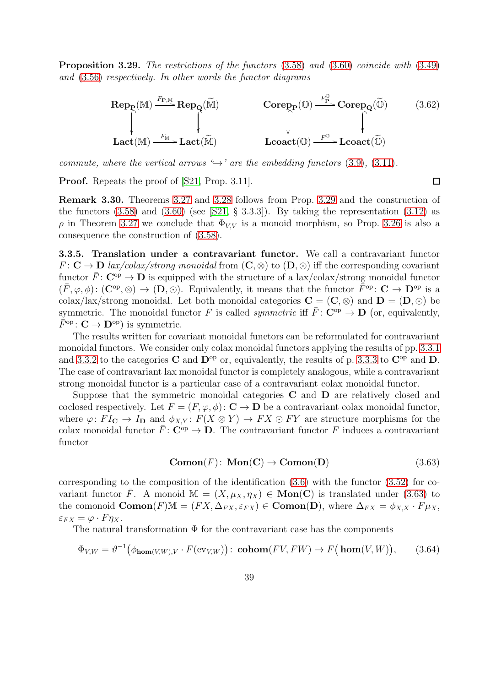<span id="page-38-0"></span>Proposition 3.29. The restrictions of the functors [\(3.58\)](#page-37-1) and [\(3.60\)](#page-37-2) coincide with [\(3.49\)](#page-36-1) and [\(3.56\)](#page-37-3) respectively. In other words the functor diagrams

$$
\mathbf{Rep}_{\mathbf{P}}(\mathbb{M}) \xrightarrow{F_{\mathbf{P},\mathbb{M}}} \mathbf{Rep}_{\mathbf{Q}}(\widetilde{\mathbb{M}}) \qquad \qquad \mathbf{Corep}_{\mathbf{P}}(\mathbb{O}) \xrightarrow{F_{\mathbf{P}}^{\mathbb{O}}} \mathbf{Corep}_{\mathbf{Q}}(\widetilde{\mathbb{O}}) \qquad (3.62)
$$
\n
$$
\mathbf{Lact}(\mathbb{M}) \xrightarrow{F_{\mathbb{M}}} \mathbf{Lact}(\widetilde{\mathbb{M}}) \qquad \qquad \mathbf{Lcoact}(\mathbb{O}) \xrightarrow{F^{\mathbb{O}}} \mathbf{Lcoact}(\widetilde{\mathbb{O}})
$$

commute, where the vertical arrows  $\hookrightarrow$  are the embedding functors [\(3.9\)](#page-22-0), [\(3.11\)](#page-22-1).

Proof. Repeats the proof of [\[S21,](#page-54-0) Prop. 3.11].

Remark 3.30. Theorems [3.27](#page-36-2) and [3.28](#page-37-4) follows from Prop. [3.29](#page-38-0) and the construction of the functors  $(3.58)$  and  $(3.60)$  (see [\[S21,](#page-54-0) § 3.3.3]). By taking the representation  $(3.12)$  as  $ρ$  in Theorem [3.27](#page-36-2) we conclude that  $Φ<sub>V,V</sub>$  is a monoid morphism, so Prop. [3.26](#page-35-1) is also a consequence the construction of [\(3.58\)](#page-37-1).

3.3.5. Translation under a contravariant functor. We call a contravariant functor  $F: \mathbf{C} \to \mathbf{D}$  lax/colax/strong monoidal from  $(\mathbf{C}, \otimes)$  to  $(\mathbf{D}, \odot)$  iff the corresponding covariant functor  $\bar{F}: \mathbf{C}^{\mathrm{op}} \to \mathbf{D}$  is equipped with the structure of a lax/colax/strong monoidal functor  $(\bar{F}, \varphi, \phi) : (\mathbf{C}^{\mathrm{op}}, \otimes) \to (\mathbf{D}, \odot)$ . Equivalently, it means that the functor  $\bar{F}^{\mathrm{op}} : \mathbf{C} \to \mathbf{D}^{\mathrm{op}}$  is a colax/lax/strong monoidal. Let both monoidal categories  $C = (C, \otimes)$  and  $D = (D, \odot)$  be symmetric. The monoidal functor F is called *symmetric* iff  $\bar{F}$ :  $\mathbf{C}^{\text{op}} \to \mathbf{D}$  (or, equivalently,  $F^{\rm op}\colon {\bf C}\to {\bf D}^{\rm op}$  is symmetric.

The results written for covariant monoidal functors can be reformulated for contravariant monoidal functors. We consider only colax monoidal functors applying the results of pp. [3.3.1](#page-33-5) and [3.3.2](#page-34-2) to the categories C and  $\mathbf{D}^{\rm op}$  or, equivalently, the results of p. [3.3.3](#page-36-3) to  $\mathbf{C}^{\rm op}$  and  $\mathbf{D}$ . The case of contravariant lax monoidal functor is completely analogous, while a contravariant strong monoidal functor is a particular case of a contravariant colax monoidal functor.

Suppose that the symmetric monoidal categories  $C$  and  $D$  are relatively closed and coclosed respectively. Let  $F = (F, \varphi, \phi) : \mathbf{C} \to \mathbf{D}$  be a contravariant colax monoidal functor, where  $\varphi: FI_{\mathbf{C}} \to I_{\mathbf{D}}$  and  $\phi_{X,Y}: F(X \otimes Y) \to FX \odot FY$  are structure morphisms for the colax monoidal functor  $\bar{F}: \mathbf{C}^{\mathrm{op}} \to \mathbf{D}$ . The contravariant functor F induces a contravariant functor

<span id="page-38-1"></span>
$$
Comon(F): Mon(C) \to Comon(D)
$$
\n(3.63)

corresponding to the composition of the identification  $(3.6)$  with the functor  $(3.52)$  for covariant functor  $\bar{F}$ . A monoid  $\mathbb{M} = (X, \mu_X, \eta_X) \in \mathbf{Mon}(\mathbf{C})$  is translated under [\(3.63\)](#page-38-1) to the comonoid  $\mathbf{Comon}(F)\mathbb{M} = (FX, \Delta_{FX}, \varepsilon_{FX}) \in \mathbf{Comon}(\mathbf{D})$ , where  $\Delta_{FX} = \phi_{X,X} \cdot F \mu_X$ ,  $\varepsilon_{FX} = \varphi \cdot F \eta_X.$ 

The natural transformation  $\Phi$  for the contravariant case has the components

$$
\Phi_{V,W} = \vartheta^{-1} \big( \phi_{\mathbf{hom}(V,W),V} \cdot F(\mathrm{ev}_{V,W}) \big) \colon \mathbf{cohom}(FV, FW) \to F\big(\mathbf{hom}(V,W)\big),\tag{3.64}
$$

 $\Box$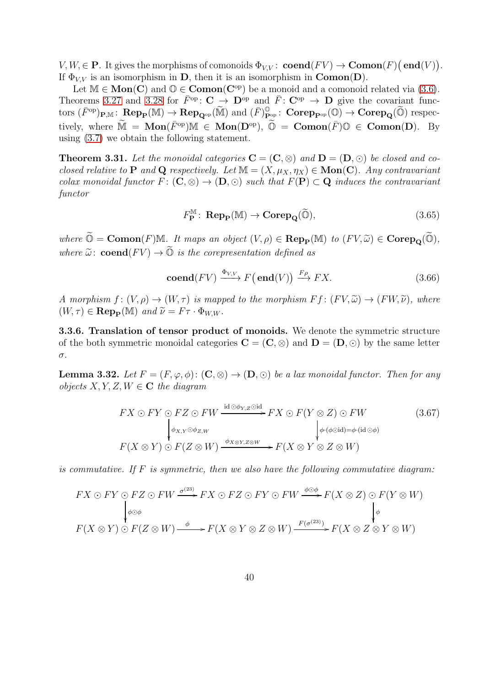$V, W \in \mathbf{P}$ . It gives the morphisms of comonoids  $\Phi_{V,V}$ :  $\mathbf{coend}(FV) \to \mathbf{Comon}(F)(\mathbf{end}(V)).$ If  $\Phi_{VV}$  is an isomorphism in D, then it is an isomorphism in Comon(D).

Let  $M \in \text{Mon}(C)$  and  $\mathbb{O} \in \text{Comon}(C^{\text{op}})$  be a monoid and a comonoid related via [\(3.6\)](#page-21-0). Theorems [3.27](#page-36-2) and [3.28](#page-37-4) for  $\bar{F}^{\text{op}}$ :  $\mathbf{C} \to \mathbf{D}^{\text{op}}$  and  $\bar{F}$ :  $\mathbf{C}^{\text{op}} \to \mathbf{D}$  give the covariant func- $\mathrm{tors} \; (\bar{F}^\mathrm{op})_{\mathbf{P}, \mathbb{M}} \colon \mathbf{Rep}_{\mathbf{P}}(\mathbb{M}) \to \mathbf{Rep}_{\mathbf{Q}^\mathrm{op}}(\widetilde{\mathbb{M}}) \; \mathrm{and} \; (\bar{F})^\mathbb{O}_{\mathbf{P}^\mathrm{op}} \colon \mathbf{Corep}_{\mathbf{P}^\mathrm{op}}(\mathbb{O}) \to \mathbf{Corep}_{\mathbf{Q}}(\widetilde{\mathbb{O}}) \; \mathrm{respect}$ tively, where  $\widetilde{M} = \text{Mon}(\overline{F}^{op})\mathbb{M} \in \text{Mon}(D^{op})$ ,  $\widetilde{\mathbb{O}} = \text{Comon}(\overline{F})\mathbb{O} \in \text{Comon}(D)$ . By using [\(3.7\)](#page-21-1) we obtain the following statement.

**Theorem 3.31.** Let the monoidal categories  $C = (C, \otimes)$  and  $D = (D, \odot)$  be closed and coclosed relative to P and Q respectively. Let  $\mathbb{M} = (X, \mu_X, \eta_X) \in \mathbf{Mon}(\mathbf{C})$ . Any contravariant colax monoidal functor  $F: (\mathbf{C}, \otimes) \to (\mathbf{D}, \odot)$  such that  $F(\mathbf{P}) \subset \mathbf{Q}$  induces the contravariant functor

<span id="page-39-2"></span>
$$
F_{\mathbf{P}}^{\mathbb{M}}\colon \operatorname{Rep}_{\mathbf{P}}(\mathbb{M}) \to \operatorname{Corep}_{\mathbf{Q}}(\widetilde{\mathbb{O}}),\tag{3.65}
$$

where  $\widetilde{\mathbb{O}} = \text{Comon}(F) \mathbb{M}$ . It maps an object  $(V, \rho) \in \text{Rep}_{\mathbf{P}}(\mathbb{M})$  to  $(FV, \widetilde{\omega}) \in \text{Corep}_{\mathbf{Q}}(\widetilde{\mathbb{O}})$ , where  $\widetilde{\omega}$ : **coend**( $FV$ )  $\rightarrow \widetilde{\mathbb{Q}}$  is the corepresentation defined as

<span id="page-39-0"></span>
$$
\mathbf{coend}(FV) \xrightarrow{\Phi_{V,V}} F(\mathbf{end}(V)) \xrightarrow{F\rho} FX. \tag{3.66}
$$

A morphism  $f: (V, \rho) \to (W, \tau)$  is mapped to the morphism  $F f: (FV, \tilde{\omega}) \to (FW, \tilde{\nu})$ , where  $(W, \tau) \in \operatorname{Rep}_{\mathbf{P}}(\mathbb{M})$  and  $\widetilde{\nu} = F \tau \cdot \Phi_{WW}$ .

3.3.6. Translation of tensor product of monoids. We denote the symmetric structure of the both symmetric monoidal categories  $C = (C, \otimes)$  and  $D = (D, \odot)$  by the same letter σ.

<span id="page-39-1"></span>**Lemma 3.32.** Let  $F = (F, \varphi, \phi) : (\mathbf{C}, \otimes) \to (\mathbf{D}, \odot)$  be a lax monoidal functor. Then for any *objects*  $X, Y, Z, W \in \mathbb{C}$  the diagram

$$
FX \odot FY \odot FZ \odot FW \xrightarrow{\text{id} \odot \phi_{Y,Z} \odot \text{id}} FX \odot F(Y \otimes Z) \odot FW
$$
  
\n
$$
\downarrow^{\phi_{X,Y} \odot \phi_{Z,W}} \qquad \qquad \downarrow^{\phi \cdot (\phi \odot \text{id}) = \phi \cdot (\text{id} \odot \phi)}
$$
  
\n
$$
F(X \otimes Y) \odot F(Z \otimes W) \xrightarrow{\phi_{X \otimes Y, Z \otimes W}} F(X \otimes Y \otimes Z \otimes W)
$$
  
\n(3.67)

is commutative. If  $F$  is symmetric, then we also have the following commutative diagram:

$$
FX \odot FY \odot FZ \odot FW \xrightarrow{\sigma^{(23)}} FX \odot FZ \odot FY \odot FW \xrightarrow{\phi \odot \phi} F(X \otimes Z) \odot F(Y \otimes W)
$$
  

$$
\downarrow^{\phi \odot \phi} F(X \otimes Y) \odot F(Z \otimes W) \xrightarrow{\phi} F(X \otimes Y \otimes Z \otimes W) \xrightarrow{F(\sigma^{(23)})} F(X \otimes Z \otimes Y \otimes W)
$$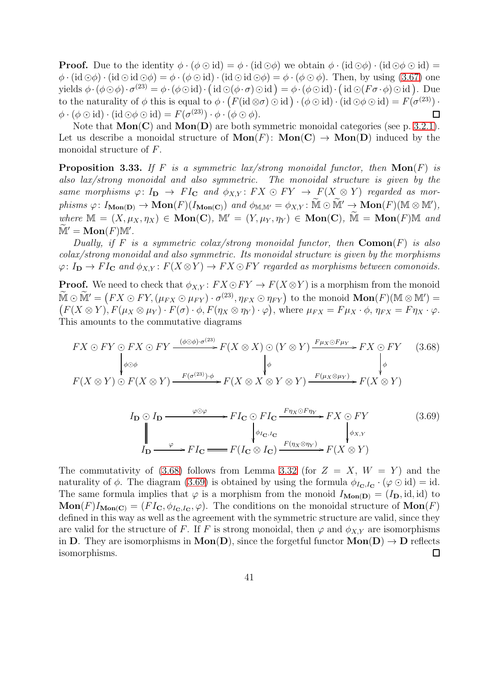**Proof.** Due to the identity  $\phi \cdot (\phi \odot id) = \phi \cdot (id \odot \phi)$  we obtain  $\phi \cdot (id \odot \phi) \cdot (id \odot \phi \odot id) =$  $\phi \cdot (\mathrm{id} \odot \phi) \cdot (\mathrm{id} \odot \mathrm{id} \odot \phi) = \phi \cdot (\phi \odot \mathrm{id}) \cdot (\mathrm{id} \odot \mathrm{id} \odot \phi) = \phi \cdot (\phi \odot \phi)$ . Then, by using [\(3.67\)](#page-39-0) one yields  $\phi \cdot (\phi \odot \phi) \cdot \sigma^{(23)} = \phi \cdot (\phi \odot id) \cdot (\text{id} \odot (\phi \cdot \sigma) \odot id) = \phi \cdot (\phi \odot id) \cdot (\text{id} \odot (F \sigma \cdot \phi) \odot id).$  Due to the naturality of  $\phi$  this is equal to  $\phi \cdot (F(\mathrm{id} \otimes \sigma) \odot \mathrm{id}) \cdot (\phi \odot \mathrm{id}) \cdot (\mathrm{id} \odot \phi \odot \mathrm{id}) = F(\sigma^{(23)}) \cdot$  $\phi \cdot (\phi \odot \text{id}) \cdot (\text{id} \odot \phi \odot \text{id}) = F(\sigma^{(23)}) \cdot \phi \cdot (\phi \odot \phi).$  $\Box$ 

Note that  $Mon(C)$  and  $Mon(D)$  are both symmetric monoidal categories (see p. [3.2.1\)](#page-23-3). Let us describe a monoidal structure of  $\text{Mon}(F)$ :  $\text{Mon}(C) \to \text{Mon}(D)$  induced by the monoidal structure of F.

<span id="page-40-2"></span>**Proposition 3.33.** If F is a symmetric lax/strong monoidal functor, then  $\text{Mon}(F)$  is also lax/strong monoidal and also symmetric. The monoidal structure is given by the same morphisms  $\varphi: I_{\mathbf{D}} \to FI_{\mathbf{C}}$  and  $\phi_{X,Y}: FX \odot FY \to F(X \otimes Y)$  regarded as mor $phisms \varphi: I_{\mathbf{Mon}(\mathbf{D})} \to \mathbf{Mon}(F)(I_{\mathbf{Mon}(\mathbf{C})}) \text{ and } \phi_{\mathbb{M},\mathbb{M}'} = \phi_{X,Y} \colon \widetilde{\mathbb{M}} \odot \widetilde{\mathbb{M}}' \to \mathbf{Mon}(F)(\mathbb{M} \otimes \mathbb{M}'),$ where  $\mathbb{M} = (X, \mu_X, \eta_X) \in \text{Mon}(\mathbf{C}), \mathbb{M}' = (Y, \mu_Y, \eta_Y) \in \text{Mon}(\mathbf{C}), \mathbb{M} = \text{Mon}(F)\mathbb{M}$  and  $\widetilde{\mathbb M}' = \mathbf{Mon}(F) \mathbb M'.$ 

Dually, if F is a symmetric colax/strong monoidal functor, then  $\mathbf{Comon}(F)$  is also colax/strong monoidal and also symmetric. Its monoidal structure is given by the morphisms  $\varphi: I_{\mathbf{D}} \to FI_{\mathbf{C}}$  and  $\phi_{X,Y}: F(X \otimes Y) \to FX \circ FY$  regarded as morphisms between comonoids.

**Proof.** We need to check that  $\phi_{X,Y} : FX \odot FY \rightarrow F(X \otimes Y)$  is a morphism from the monoid  $\widetilde{\mathbb{M}} \odot \widetilde{\mathbb{M}}' = (FX \odot FY, (\mu_{FX} \odot \mu_{FY}) \cdot \sigma^{(23)}, \eta_{FX} \odot \eta_{FY})$  to the monoid  $\mathbf{Mon}(F)(\mathbb{M} \otimes \mathbb{M}') =$  $(F(X \otimes Y), F(\mu_X \otimes \mu_Y) \cdot F(\sigma) \cdot \phi, F(\eta_X \otimes \eta_Y) \cdot \varphi)$ , where  $\mu_{FX} = F\mu_X \cdot \phi, \eta_{FX} = F\eta_X \cdot \varphi$ . This amounts to the commutative diagrams

$$
FX \odot FY \odot FX \odot FY \xrightarrow{(\phi \odot \phi) \cdot \sigma^{(23)}} F(X \otimes X) \odot (Y \otimes Y) \xrightarrow{F\mu_X \odot F\mu_Y} FX \odot FY \qquad (3.68)
$$
  
\n
$$
\downarrow^{\phi} \downarrow^{\phi}
$$
  
\n
$$
F(X \otimes Y) \odot F(X \otimes Y) \xrightarrow{F(\sigma^{(23)}) \cdot \phi} F(X \otimes X \otimes Y \otimes Y) \xrightarrow{F(\mu_X \otimes \mu_Y)} F(X \otimes Y)
$$

<span id="page-40-1"></span><span id="page-40-0"></span>
$$
I_{\mathbf{D}} \odot I_{\mathbf{D}} \xrightarrow{\varphi \odot \varphi} F I_{\mathbf{C}} \odot F I_{\mathbf{C}} \xrightarrow{F \eta_X \odot F \eta_Y} FX \odot FY
$$
\n
$$
\downarrow^{\phi_{I_{\mathbf{C}},I_{\mathbf{C}}}} I_{\mathbf{D}} \xrightarrow{\varphi} FI_{\mathbf{C}} \xrightarrow{\varphi} F I_{\mathbf{C}} \xrightarrow{\varphi} F (I_{\mathbf{C}} \otimes I_{\mathbf{C}}) \xrightarrow{F (\eta_X \otimes \eta_Y)} F (X \otimes Y)
$$
\n(3.69)

The commutativity of [\(3.68\)](#page-40-0) follows from Lemma [3.32](#page-39-1) (for  $Z = X, W = Y$ ) and the naturality of  $\phi$ . The diagram [\(3.69\)](#page-40-1) is obtained by using the formula  $\phi_{I_{\mathbf{C}},I_{\mathbf{C}}}\cdot(\varphi\odot id) = id$ . The same formula implies that  $\varphi$  is a morphism from the monoid  $I_{\text{Mon}(D)} = (I_D, id, id)$  to  $\text{Mon}(F)I_{\text{Mon}(C)} = (FI_{\text{C}}, \phi_{I_{\text{C}},I_{\text{C}}}, \varphi)$ . The conditions on the monoidal structure of  $\text{Mon}(F)$ defined in this way as well as the agreement with the symmetric structure are valid, since they are valid for the structure of F. If F is strong monoidal, then  $\varphi$  and  $\phi_{X,Y}$  are isomorphisms in D. They are isomorphisms in  $Mon(D)$ , since the forgetful functor  $Mon(D) \rightarrow D$  reflects isomorphisms.  $\Box$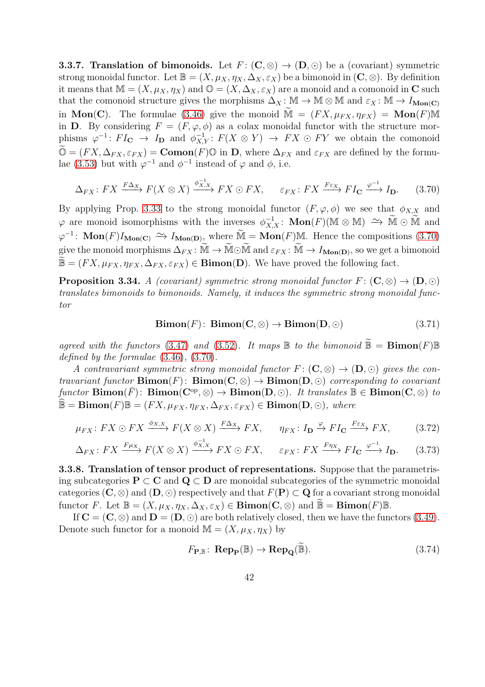**3.3.7. Translation of bimonoids.** Let  $F: (\mathbb{C}, \otimes) \to (\mathbb{D}, \odot)$  be a (covariant) symmetric strong monoidal functor. Let  $\mathbb{B} = (X, \mu_X, \eta_X, \Delta_X, \varepsilon_X)$  be a bimonoid in  $(C, \otimes)$ . By definition it means that  $\mathbb{M} = (X, \mu_X, \eta_X)$  and  $\mathbb{O} = (X, \Delta_X, \varepsilon_X)$  are a monoid and a comonoid in C such that the comonoid structure gives the morphisms  $\Delta_X : \mathbb{M} \to \mathbb{M} \otimes \mathbb{M}$  and  $\varepsilon_X : \mathbb{M} \to I_{\text{Mon}(C)}$ in Mon(C). The formulae [\(3.46\)](#page-34-3) give the monoid  $\tilde{M} = (FX, \mu_{FX}, \eta_{FX}) = \text{Mon}(F)M$ in D. By considering  $F = (F, \varphi, \phi)$  as a colax monoidal functor with the structure morphisms  $\varphi^{-1} \colon FI_{\mathbf{C}} \to I_{\mathbf{D}}$  and  $\phi_{X,Y}^{-1} \colon F(X \otimes Y) \to FX \otimes FY$  we obtain the comonoid  $\widetilde{\mathbb{O}} = (FX, \Delta_{FX}, \varepsilon_{FX}) = \textbf{Comon}(F) \mathbb{O}$  in D, where  $\Delta_{FX}$  and  $\varepsilon_{FX}$  are defined by the formu-lae [\(3.53\)](#page-36-5) but with  $\varphi^{-1}$  and  $\phi^{-1}$  instead of  $\varphi$  and  $\phi$ , i.e.

$$
\Delta_{FX}: FX \xrightarrow{F\Delta_X} F(X \otimes X) \xrightarrow{\phi_{X,X}^{-1}} FX \odot FX, \qquad \varepsilon_{FX}: FX \xrightarrow{F\varepsilon_X} FI_{\mathbf{C}} \xrightarrow{\varphi^{-1}} I_{\mathbf{D}}.
$$
 (3.70)

By applying Prop. [3.33](#page-40-2) to the strong monoidal functor  $(F, \varphi, \phi)$  we see that  $\phi_{X,X}$  and  $\varphi$  are monoid isomorphisms with the inverses  $\phi_{X,X}^{-1}$ : **Mon** $(F)(\mathbb{M} \otimes \mathbb{M}) \cong \widetilde{\mathbb{M}} \otimes \widetilde{\mathbb{M}}$  and  $\varphi^{-1}$ : Mon $(F)I_{\text{Mon}(C)} \nightharpoonup I_{\text{Mon}(D)}$ , where  $\widetilde{\mathbb{M}} = \text{Mon}(F)\mathbb{M}$ . Hence the compositions [\(3.70\)](#page-41-0) give the monoid morphisms  $\Delta_{FX} \colon \widetilde{M} \to \widetilde{M} \odot \widetilde{M}$  and  $\varepsilon_{FX} \colon \widetilde{M} \to I_{\mathrm{Mon}(D)}$ , so we get a bimonoid  $\widetilde{\mathbb{B}} = (FX, \mu_{FX}, \eta_{FX}, \Delta_{FX}, \varepsilon_{FX}) \in \mathbf{Bimon}(\mathbf{D})$ . We have proved the following fact.

**Proposition 3.34.** A (covariant) symmetric strong monoidal functor  $F: (\mathbf{C}, \otimes) \to (\mathbf{D}, \odot)$ translates bimonoids to bimonoids. Namely, it induces the symmetric strong monoidal functor

<span id="page-41-0"></span>
$$
Bimon(F): Bimon(C, \otimes) \to Bimon(D, \odot) \tag{3.71}
$$

agreed with the functors [\(3.47\)](#page-34-4) and [\(3.52\)](#page-36-4). It maps  $\mathbb B$  to the bimonoid  $\mathbb B = \text{Bimon}(F)\mathbb B$ defined by the formulae [\(3.46\)](#page-34-3), [\(3.70\)](#page-41-0).

A contravariant symmetric strong monoidal functor  $F: (\mathbf{C}, \otimes) \to (\mathbf{D}, \odot)$  gives the contravariant functor  $\mathbf{Bimon}(F)$ :  $\mathbf{Bimon}(C, \otimes) \to \mathbf{Bimon}(D, \odot)$  corresponding to covariant functor  $\textbf{Bimon}(\bar{F})$ :  $\textbf{Bimon}(\mathbf{C}^{\text{op}}, \otimes) \to \textbf{Bimon}(\mathbf{D}, \odot)$ . It translates  $\mathbb{B} \in \textbf{Bimon}(\mathbf{C}, \otimes)$  to  $\mathbb{B} = \text{Bimon}(F)\mathbb{B} = (FX, \mu_{FX}, \eta_{FX}, \Delta_{FX}, \varepsilon_{FX}) \in \text{Bimon}(\mathbf{D}, \odot)$ , where

$$
\mu_{FX}: FX \odot FX \xrightarrow{\phi_{X,X}} F(X \otimes X) \xrightarrow{F\Delta_X} FX, \qquad \eta_{FX}: I_{\mathbf{D}} \xrightarrow{\varphi} FI_{\mathbf{C}} \xrightarrow{F\epsilon_X} FX,
$$
 (3.72)

$$
\Delta_{FX}: FX \xrightarrow{F\mu_X} F(X \otimes X) \xrightarrow{\phi_{X,X}^{-1}} FX \odot FX, \qquad \varepsilon_{FX}: FX \xrightarrow{F\eta_X} FI_{\mathbf{C}} \xrightarrow{\varphi^{-1}} I_{\mathbf{D}}.
$$
 (3.73)

3.3.8. Translation of tensor product of representations. Suppose that the parametrising subcategories  $P \subset C$  and  $Q \subset D$  are monoidal subcategories of the symmetric monoidal categories  $(C, \otimes)$  and  $(D, \odot)$  respectively and that  $F(P) \subset Q$  for a covariant strong monoidal functor F. Let  $\mathbb{B} = (X, \mu_X, \eta_X, \Delta_X, \varepsilon_X) \in \mathbf{Bimon}(\mathbf{C}, \otimes)$  and  $\mathbb{B} = \mathbf{Bimon}(F)\mathbb{B}$ .

If  $\mathbf{C} = (\mathbf{C}, \otimes)$  and  $\mathbf{D} = (\mathbf{D}, \odot)$  are both relatively closed, then we have the functors [\(3.49\)](#page-36-1). Denote such functor for a monoid  $\mathbb{M} = (X, \mu_X, \eta_X)$  by

<span id="page-41-3"></span><span id="page-41-2"></span><span id="page-41-1"></span>
$$
F_{\mathbf{P}, \mathbb{B}} \colon \mathbf{Rep}_{\mathbf{P}}(\mathbb{B}) \to \mathbf{Rep}_{\mathbf{Q}}(\widetilde{\mathbb{B}}). \tag{3.74}
$$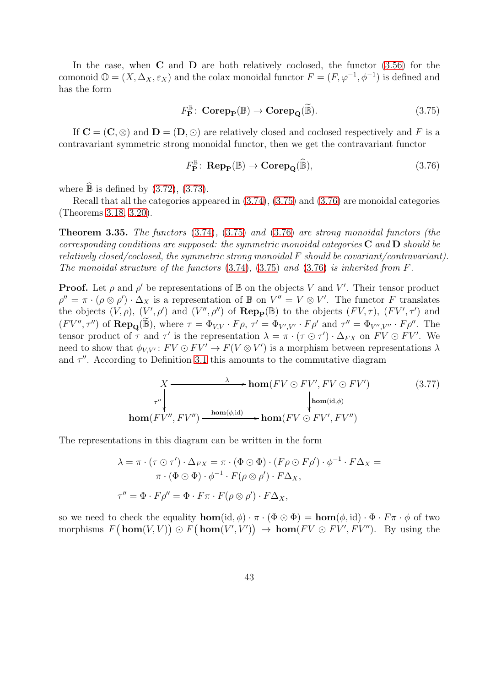In the case, when  $C$  and  $D$  are both relatively coclosed, the functor  $(3.56)$  for the comonoid  $\mathbb{O} = (X, \Delta_X, \varepsilon_X)$  and the colax monoidal functor  $F = (F, \varphi^{-1}, \varphi^{-1})$  is defined and has the form

<span id="page-42-0"></span>
$$
F_{\mathbf{P}}^{\mathbb{B}}\colon \operatorname{\mathbf{Corep}}_{\mathbf{P}}(\mathbb{B}) \to \operatorname{\mathbf{Corep}}_{\mathbf{Q}}(\widetilde{\mathbb{B}}). \tag{3.75}
$$

If  $\mathbf{C} = (\mathbf{C}, \otimes)$  and  $\mathbf{D} = (\mathbf{D}, \odot)$  are relatively closed and coclosed respectively and F is a contravariant symmetric strong monoidal functor, then we get the contravariant functor

<span id="page-42-1"></span>
$$
F_{\mathbf{P}}^{\mathbb{B}}\colon \mathbf{Rep}_{\mathbf{P}}(\mathbb{B}) \to \mathbf{Corep}_{\mathbf{Q}}(\widehat{\mathbb{B}}),\tag{3.76}
$$

where  $\widehat{\mathbb{B}}$  is defined by [\(3.72\)](#page-41-1), [\(3.73\)](#page-41-2).

Recall that all the categories appeared in [\(3.74\)](#page-41-3), [\(3.75\)](#page-42-0) and [\(3.76\)](#page-42-1) are monoidal categories (Theorems [3.18,](#page-30-3) [3.20\)](#page-32-5).

<span id="page-42-3"></span>Theorem 3.35. The functors [\(3.74\)](#page-41-3), [\(3.75\)](#page-42-0) and [\(3.76\)](#page-42-1) are strong monoidal functors (the corresponding conditions are supposed: the symmetric monoidal categories  $C$  and  $D$  should be relatively closed/coclosed, the symmetric strong monoidal F should be covariant/contravariant). The monoidal structure of the functors  $(3.74)$ ,  $(3.75)$  and  $(3.76)$  is inherited from F.

**Proof.** Let  $\rho$  and  $\rho'$  be representations of  $\mathbb{B}$  on the objects V and V'. Their tensor product  $\rho'' = \pi \cdot (\rho \otimes \rho') \cdot \Delta_X$  is a representation of B on  $V'' = V \otimes V'$ . The functor F translates the objects  $(V, \rho)$ ,  $(V', \rho')$  and  $(V'', \rho'')$  of  $\mathbf{Rep}_{\mathbf{P}}(\mathbb{B})$  to the objects  $(FV, \tau)$ ,  $(FV', \tau')$  and  $(FV'', \tau'')$  of  $\mathbf{Rep}_{\mathbf{Q}}(\widetilde{\mathbb{B}})$ , where  $\tau = \Phi_{V,V} \cdot F\rho$ ,  $\tau' = \Phi_{V',V'} \cdot F\rho'$  and  $\tau'' = \Phi_{V'',V''} \cdot F\rho''$ . The tensor product of  $\tau$  and  $\tau'$  is the representation  $\lambda = \pi \cdot (\tau \odot \tau') \cdot \Delta_{FX}$  on  $FV \odot FV'$ . We need to show that  $\phi_{V,V'} : FV \odot FV' \rightarrow F(V \otimes V')$  is a morphism between representations  $\lambda$ and  $\tau''$ . According to Definition [3.1](#page-20-4) this amounts to the commutative diagram

<span id="page-42-2"></span>
$$
X \longrightarrow \mathbf{hom}(FV \odot FV', FV \odot FV') \tag{3.77}
$$
  
\n
$$
\downarrow \mathbf{hom}(\mathrm{id}, \phi)
$$
  
\n
$$
\mathbf{hom}(FV'', FV'') \longrightarrow \mathbf{hom}(\phi, \mathrm{id}) \longrightarrow \mathbf{hom}(FV \odot FV', FV'')
$$

The representations in this diagram can be written in the form

$$
\lambda = \pi \cdot (\tau \odot \tau') \cdot \Delta_{FX} = \pi \cdot (\Phi \odot \Phi) \cdot (F\rho \odot F\rho') \cdot \phi^{-1} \cdot F\Delta_X =
$$

$$
\pi \cdot (\Phi \odot \Phi) \cdot \phi^{-1} \cdot F(\rho \otimes \rho') \cdot F\Delta_X,
$$

$$
\tau'' = \Phi \cdot F\rho'' = \Phi \cdot F\pi \cdot F(\rho \otimes \rho') \cdot F\Delta_X,
$$

so we need to check the equality  $\textbf{hom}(\text{id}, \phi) \cdot \pi \cdot (\Phi \odot \Phi) = \textbf{hom}(\phi, \text{id}) \cdot \Phi \cdot F \pi \cdot \phi$  of two morphisms  $F(\textbf{hom}(V, V)) \odot F(\textbf{hom}(V', V')) \rightarrow \textbf{hom}(FV \odot FV', FV'')$ . By using the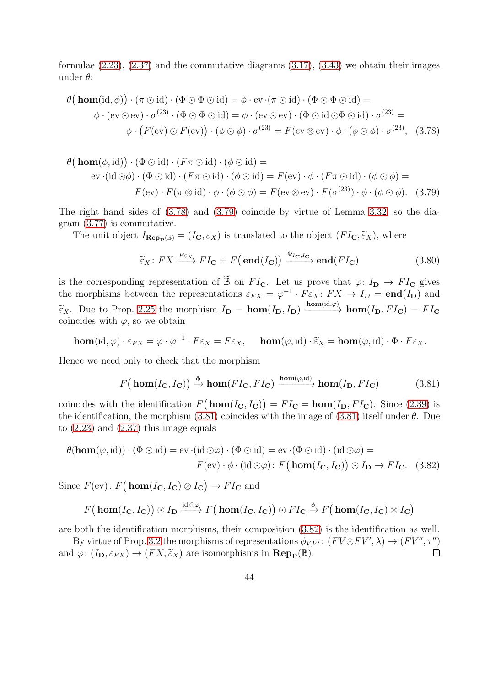formulae  $(2.23)$ ,  $(2.37)$  and the commutative diagrams  $(3.17)$ ,  $(3.43)$  we obtain their images under  $\theta$ :

$$
\theta\big(\mathbf{hom}(\mathrm{id},\phi)\big)\cdot(\pi\odot\mathrm{id})\cdot(\Phi\odot\Phi\odot\mathrm{id}) = \phi\cdot\mathrm{ev}\cdot(\pi\odot\mathrm{id})\cdot(\Phi\odot\Phi\odot\mathrm{id}) =
$$
  

$$
\phi\cdot(\mathrm{ev}\odot\mathrm{ev})\cdot\sigma^{(23)}\cdot(\Phi\odot\Phi\odot\mathrm{id}) = \phi\cdot(\mathrm{ev}\odot\mathrm{ev})\cdot(\Phi\odot\mathrm{id}\odot\Phi\odot\mathrm{id})\cdot\sigma^{(23)} =
$$
  

$$
\phi\cdot\big(F(\mathrm{ev})\odot F(\mathrm{ev})\big)\cdot(\phi\odot\phi)\cdot\sigma^{(23)} = F(\mathrm{ev}\otimes\mathrm{ev})\cdot\phi\cdot(\phi\odot\phi)\cdot\sigma^{(23)},\quad(3.78)
$$

$$
\theta\big(\mathbf{hom}(\phi, \mathrm{id})\big) \cdot (\Phi \odot \mathrm{id}) \cdot (F\pi \odot \mathrm{id}) \cdot (\phi \odot \mathrm{id}) =
$$
  
\nev·(id  $\odot \phi$ ) · ( $\Phi \odot \mathrm{id}$ ) · ( $F\pi \odot \mathrm{id}$ ) · ( $\phi \odot \mathrm{id}$ ) =  $F(\mathrm{ev}) \cdot \phi \cdot (F\pi \odot \mathrm{id}) \cdot (\phi \odot \phi) =$   
\n
$$
F(\mathrm{ev}) \cdot F(\pi \otimes \mathrm{id}) \cdot \phi \cdot (\phi \odot \phi) = F(\mathrm{ev} \otimes \mathrm{ev}) \cdot F(\sigma^{(23)}) \cdot \phi \cdot (\phi \odot \phi).
$$
 (3.79)

The right hand sides of [\(3.78\)](#page-43-0) and [\(3.79\)](#page-43-1) coincide by virtue of Lemma [3.32,](#page-39-1) so the diagram [\(3.77\)](#page-42-2) is commutative.

The unit object  $I_{\mathbf{Rep}_{\mathbf{P}}(\mathbb{B})} = (I_{\mathbf{C}}, \varepsilon_X)$  is translated to the object  $(FI_{\mathbf{C}}, \tilde{\varepsilon}_X)$ , where

<span id="page-43-1"></span><span id="page-43-0"></span>
$$
\widetilde{\varepsilon}_X \colon FX \xrightarrow{F\varepsilon_X} FI_{\mathbf{C}} = F\big(\operatorname{end}(I_{\mathbf{C}})\big) \xrightarrow{\Phi_{I_{\mathbf{C}},I_{\mathbf{C}}}} \operatorname{end}(FI_{\mathbf{C}}) \tag{3.80}
$$

is the corresponding representation of  $\widetilde{\mathbb{B}}$  on  $FI_{\mathbf{C}}$ . Let us prove that  $\varphi: I_{\mathbf{D}} \to FI_{\mathbf{C}}$  gives the morphisms between the representations  $\varepsilon_{FX} = \varphi^{-1} \cdot F \varepsilon_X : FX \to I_D = \text{end}(I_D)$  and  $\widetilde{\varepsilon}_X$ . Due to Prop. [2.25](#page-17-1) the morphism  $I_{\mathbf{D}} = \mathbf{hom}(I_{\mathbf{D}}, I_{\mathbf{D}}) \xrightarrow{\mathbf{hom}(\mathrm{id}, \varphi)} \mathbf{hom}(I_{\mathbf{D}}, FI_{\mathbf{C}}) = FI_{\mathbf{C}}$ coincides with  $\varphi$ , so we obtain

$$
\mathbf{hom}(\mathrm{id}, \varphi) \cdot \varepsilon_{FX} = \varphi \cdot \varphi^{-1} \cdot F \varepsilon_X = F \varepsilon_X, \quad \mathbf{hom}(\varphi, \mathrm{id}) \cdot \widetilde{\varepsilon}_X = \mathbf{hom}(\varphi, \mathrm{id}) \cdot \Phi \cdot F \varepsilon_X.
$$

Hence we need only to check that the morphism

<span id="page-43-3"></span><span id="page-43-2"></span>
$$
F\big(\mathbf{hom}(I_{\mathbf{C}}, I_{\mathbf{C}})\big) \xrightarrow{\Phi} \mathbf{hom}(FI_{\mathbf{C}}, FI_{\mathbf{C}}) \xrightarrow{\mathbf{hom}(\varphi, \mathrm{id})} \mathbf{hom}(I_{\mathbf{D}}, FI_{\mathbf{C}})
$$
(3.81)

coincides with the identification  $F(\mathbf{hom}(I_{\mathbf{C}}, I_{\mathbf{C}})) = FI_{\mathbf{C}} = \mathbf{hom}(I_{\mathbf{D}}, FI_{\mathbf{C}})$ . Since [\(2.39\)](#page-17-4) is the identification, the morphism [\(3.81\)](#page-43-2) coincides with the image of (3.81) itself under  $\theta$ . Due to  $(2.23)$  and  $(2.37)$  this image equals

$$
\theta(\mathbf{hom}(\varphi, \mathrm{id})) \cdot (\Phi \odot \mathrm{id}) = \mathrm{ev} \cdot (\mathrm{id} \odot \varphi) \cdot (\Phi \odot \mathrm{id}) = \mathrm{ev} \cdot (\Phi \odot \mathrm{id}) \cdot (\mathrm{id} \odot \varphi) =
$$
  

$$
F(\mathrm{ev}) \cdot \phi \cdot (\mathrm{id} \odot \varphi) \colon F(\mathbf{hom}(I_{\mathbf{C}}, I_{\mathbf{C}})) \odot I_{\mathbf{D}} \to FI_{\mathbf{C}}.
$$
 (3.82)

Since  $F(\text{ev})$ :  $F(\text{hom}(I_{\text{C}}, I_{\text{C}}) \otimes I_{\text{C}}) \rightarrow FI_{\text{C}}$  and

$$
F\big(\mathop{\mathrm{\bf hom}}\nolimits(I_{\mathbf{C}}, I_{\mathbf{C}})\big) \odot I_{\mathbf{D}} \xrightarrow{\mathrm{id} \odot \varphi} F\big(\mathop{\mathrm{\bf hom}}\nolimits(I_{\mathbf{C}}, I_{\mathbf{C}})\big) \odot FI_{\mathbf{C}} \xrightarrow{\phi} F\big(\mathop{\mathrm{\bf hom}}\nolimits(I_{\mathbf{C}}, I_{\mathbf{C}}) \otimes I_{\mathbf{C}}\big)
$$

are both the identification morphisms, their composition [\(3.82\)](#page-43-3) is the identification as well.

By virtue of Prop. [3.2](#page-20-5) the morphisms of representations  $\phi_{V,V'} : (FV \odot FV', \lambda) \rightarrow (FV'', \tau'')$ and  $\varphi: (I_{\mathbf{D}}, \varepsilon_{FX}) \to (FX, \tilde{\varepsilon}_X)$  are isomorphisms in  $\mathbf{Rep}_{\mathbf{P}}(\mathbb{B})$ .  $\Box$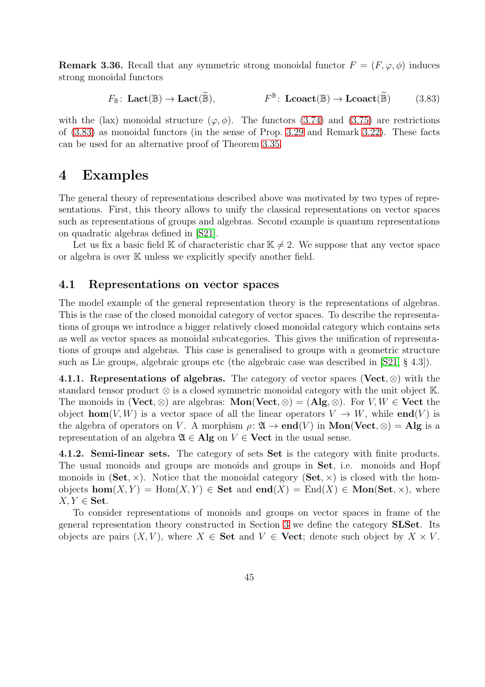**Remark 3.36.** Recall that any symmetric strong monoidal functor  $F = (F, \varphi, \phi)$  induces strong monoidal functors

<span id="page-44-2"></span>
$$
F_{\mathbb{B}}\colon \mathbf{Lact}(\mathbb{B}) \to \mathbf{Lact}(\widetilde{\mathbb{B}}), \qquad F^{\mathbb{B}}\colon \mathbf{Lcoact}(\mathbb{B}) \to \mathbf{Lcoact}(\widetilde{\mathbb{B}}) \qquad (3.83)
$$

with the (lax) monoidal structure  $(\varphi, \phi)$ . The functors [\(3.74\)](#page-41-3) and [\(3.75\)](#page-42-0) are restrictions of [\(3.83\)](#page-44-2) as monoidal functors (in the sense of Prop. [3.29](#page-38-0) and Remark [3.22\)](#page-32-6). These facts can be used for an alternative proof of Theorem [3.35.](#page-42-3)

### <span id="page-44-0"></span>4 Examples

The general theory of representations described above was motivated by two types of representations. First, this theory allows to unify the classical representations on vector spaces such as representations of groups and algebras. Second example is quantum representations on quadratic algebras defined in [\[S21\]](#page-54-0).

Let us fix a basic field K of characteristic char  $\mathbb{K} \neq 2$ . We suppose that any vector space or algebra is over K unless we explicitly specify another field.

#### <span id="page-44-1"></span>4.1 Representations on vector spaces

The model example of the general representation theory is the representations of algebras. This is the case of the closed monoidal category of vector spaces. To describe the representations of groups we introduce a bigger relatively closed monoidal category which contains sets as well as vector spaces as monoidal subcategories. This gives the unification of representations of groups and algebras. This case is generalised to groups with a geometric structure such as Lie groups, algebraic groups etc (the algebraic case was described in [\[S21,](#page-54-0) § 4.3]).

4.1.1. Representations of algebras. The category of vector spaces (Vect,  $\otimes$ ) with the standard tensor product  $\otimes$  is a closed symmetric monoidal category with the unit object K. The monoids in (Vect, ⊗) are algebras:  $\text{Mon}(\text{Vect}, \otimes) = (\text{Alg}, \otimes)$ . For  $V, W \in \text{Vect}$  the object **hom**(V, W) is a vector space of all the linear operators  $V \to W$ , while **end**(V) is the algebra of operators on V. A morphism  $\rho: \mathfrak{A} \to \mathbf{end}(V)$  in  $\mathbf{Mon}(\mathbf{Vect}, \otimes) = \mathbf{Alg}$  is a representation of an algebra  $\mathfrak{A} \in \mathbf{Alg}$  on  $V \in \mathbf{Vect}$  in the usual sense.

4.1.2. Semi-linear sets. The category of sets Set is the category with finite products. The usual monoids and groups are monoids and groups in Set, i.e. monoids and Hopf monoids in  $(Set, \times)$ . Notice that the monoidal category  $(Set, \times)$  is closed with the homobjects  $\text{hom}(X, Y) = \text{Hom}(X, Y) \in \textbf{Set}$  and  $\text{end}(X) = \text{End}(X) \in \textbf{Mon}(\textbf{Set}, \times)$ , where  $X, Y \in \mathbf{Set}.$ 

To consider representations of monoids and groups on vector spaces in frame of the general representation theory constructed in Section [3](#page-19-0) we define the category SLSet. Its objects are pairs  $(X, V)$ , where  $X \in \mathbf{Set}$  and  $V \in \mathbf{Vect}$ ; denote such object by  $X \times V$ .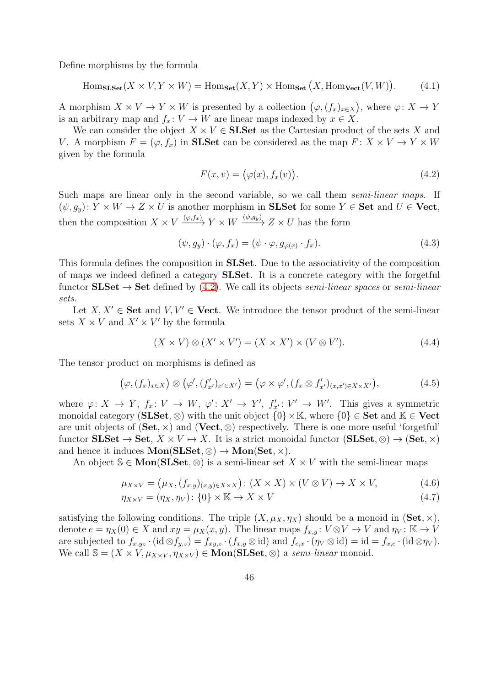Define morphisms by the formula

$$
\text{Hom}_{\text{SLSet}}(X \times V, Y \times W) = \text{Hom}_{\text{Set}}(X, Y) \times \text{Hom}_{\text{Set}}(X, \text{Hom}_{\text{Vect}}(V, W)). \tag{4.1}
$$

A morphism  $X \times V \to Y \times W$  is presented by a collection  $(\varphi, (f_x)_{x \in X})$ , where  $\varphi: X \to Y$ is an arbitrary map and  $f_x: V \to W$  are linear maps indexed by  $x \in X$ .

We can consider the object  $X \times V \in$  SLSet as the Cartesian product of the sets X and V. A morphism  $F = (\varphi, f_x)$  in **SLSet** can be considered as the map  $F: X \times V \to Y \times W$ given by the formula

<span id="page-45-1"></span><span id="page-45-0"></span>
$$
F(x,v) = (\varphi(x), f_x(v)).
$$
\n(4.2)

Such maps are linear only in the second variable, so we call them *semi-linear maps*. If  $(\psi, g_y): Y \times W \to Z \times U$  is another morphism in **SLSet** for some  $Y \in$  **Set** and  $U \in$  **Vect**, then the composition  $X \times V \xrightarrow{(\varphi, f_x)} Y \times W \xrightarrow{(\psi, g_y)} Z \times U$  has the form

<span id="page-45-2"></span>
$$
(\psi, g_y) \cdot (\varphi, f_x) = (\psi \cdot \varphi, g_{\varphi(x)} \cdot f_x). \tag{4.3}
$$

This formula defines the composition in SLSet. Due to the associativity of the composition of maps we indeed defined a category SLSet. It is a concrete category with the forgetful functor  $SLSet \rightarrow Set$  defined by [\(4.2\)](#page-45-0). We call its objects semi-linear spaces or semi-linear sets.

Let  $X, X' \in \mathbf{Set}$  and  $V, V' \in \mathbf{Vect}$ . We introduce the tensor product of the semi-linear sets  $X \times V$  and  $X' \times V'$  by the formula

<span id="page-45-3"></span>
$$
(X \times V) \otimes (X' \times V') = (X \times X') \times (V \otimes V'). \tag{4.4}
$$

The tensor product on morphisms is defined as

$$
(\varphi,(f_x)_{x\in X})\otimes(\varphi',(f'_{x'})_{x'\in X'})=(\varphi\times\varphi',(f_x\otimes f'_{x'})_{(x,x')\in X\times X'}),
$$
\n(4.5)

where  $\varphi: X \to Y$ ,  $f_x: V \to W$ ,  $\varphi': X' \to Y'$ ,  $f'_{x'}: V' \to W'$ . This gives a symmetric monoidal category (SLSet, ⊗) with the unit object  $\{0\} \times \mathbb{K}$ , where  $\{0\} \in$  Set and  $\mathbb{K} \in$  Vect are unit objects of  $(Set, \times)$  and  $(Vect, \otimes)$  respectively. There is one more useful 'forgetful' functor  $SLSet \to Set$ ,  $X \times V \mapsto X$ . It is a strict monoidal functor  $(SLSet, \otimes) \to (Set, \times)$ and hence it induces  $\text{Mon}(SLSet, \otimes) \to \text{Mon}(Set, \times)$ .

An object  $\mathcal{S} \in \text{Mon}(SLSet, \otimes)$  is a semi-linear set  $X \times V$  with the semi-linear maps

$$
\mu_{X \times V} = (\mu_X, (f_{x,y})_{(x,y) \in X \times X}) : (X \times X) \times (V \otimes V) \to X \times V,
$$
\n(4.6)

$$
\eta_{X\times V} = (\eta_X, \eta_V) \colon \{0\} \times \mathbb{K} \to X \times V \tag{4.7}
$$

satisfying the following conditions. The triple  $(X, \mu_X, \eta_X)$  should be a monoid in  $(\mathbf{Set}, \times),$ denote  $e = \eta_X(0) \in X$  and  $xy = \mu_X(x, y)$ . The linear maps  $f_{x,y} : V \otimes V \to V$  and  $\eta_V : \mathbb{K} \to V$ are subjected to  $f_{x,yz} \cdot (\mathrm{id} \otimes f_{y,z}) = f_{xy,z} \cdot (f_{x,y} \otimes \mathrm{id})$  and  $f_{e,x} \cdot (\eta_V \otimes \mathrm{id}) = \mathrm{id} = f_{x,e} \cdot (\mathrm{id} \otimes \eta_V)$ . We call  $\mathbb{S} = (X \times V, \mu_{X \times V}, \eta_{X \times V}) \in \textbf{Mon}(SLSet, \otimes)$  a semi-linear monoid.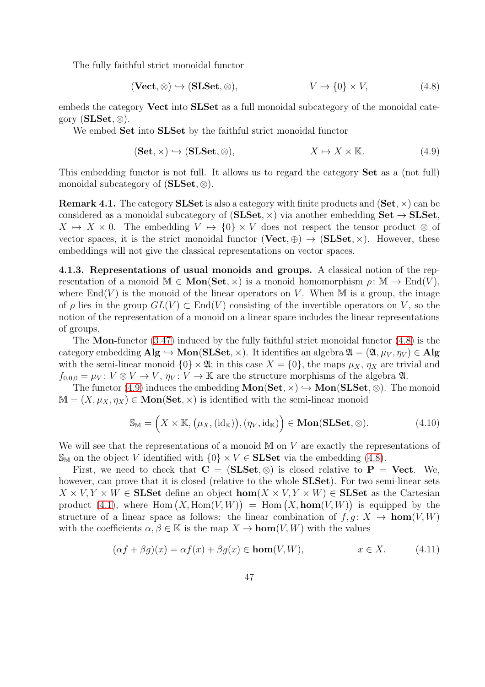The fully faithful strict monoidal functor

<span id="page-46-0"></span>
$$
(\mathbf{Vect}, \otimes) \hookrightarrow (\mathbf{SLSet}, \otimes), \qquad V \mapsto \{0\} \times V, \tag{4.8}
$$

embeds the category **Vect** into **SLSet** as a full monoidal subcategory of the monoidal category  $(SLSet, \otimes)$ .

We embed Set into SLSet by the faithful strict monoidal functor

<span id="page-46-1"></span>
$$
(\mathbf{Set}, \times) \hookrightarrow (\mathbf{SLSet}, \otimes), \qquad X \mapsto X \times \mathbb{K}.\tag{4.9}
$$

This embedding functor is not full. It allows us to regard the category Set as a (not full) monoidal subcategory of  $(SLSet, \otimes)$ .

**Remark 4.1.** The category **SLSet** is also a category with finite products and  $(Set, \times)$  can be considered as a monoidal subcategory of  $(SLSet, \times)$  via another embedding  $Set \rightarrow SLSet$ ,  $X \mapsto X \times 0$ . The embedding  $V \mapsto \{0\} \times V$  does not respect the tensor product  $\otimes$  of vector spaces, it is the strict monoidal functor  $(Vect, \oplus) \rightarrow (SLSet, \times)$ . However, these embeddings will not give the classical representations on vector spaces.

<span id="page-46-3"></span>4.1.3. Representations of usual monoids and groups. A classical notion of the representation of a monoid  $\mathbb{M} \in \text{Mon}(\mathbf{Set}, \times)$  is a monoid homomorphism  $\rho \colon \mathbb{M} \to \text{End}(V)$ , where  $\text{End}(V)$  is the monoid of the linear operators on V. When M is a group, the image of  $\rho$  lies in the group  $GL(V) \subset End(V)$  consisting of the invertible operators on V, so the notion of the representation of a monoid on a linear space includes the linear representations of groups.

The Mon-functor [\(3.47\)](#page-34-4) induced by the fully faithful strict monoidal functor [\(4.8\)](#page-46-0) is the category embedding  $\mathbf{Alg} \hookrightarrow \mathbf{Mon}(\mathbf{SLSet}, \times)$ . It identifies an algebra  $\mathfrak{A} = (\mathfrak{A}, \mu_V, \eta_V) \in \mathbf{Alg}$ with the semi-linear monoid  $\{0\} \times \mathfrak{A}$ ; in this case  $X = \{0\}$ , the maps  $\mu_X$ ,  $\eta_X$  are trivial and  $f_{0,0,0} = \mu_V : V \otimes V \to V$ ,  $\eta_V : V \to \mathbb{K}$  are the structure morphisms of the algebra  $\mathfrak{A}$ .

The functor [\(4.9\)](#page-46-1) induces the embedding  $Mon(Set, \times) \hookrightarrow Mon(SLSet, \otimes)$ . The monoid  $\mathbb{M} = (X, \mu_X, \eta_X) \in \mathbf{Mon}(\mathbf{Set}, \times)$  is identified with the semi-linear monoid

<span id="page-46-2"></span>
$$
\mathbb{S}_{\mathbb{M}} = \left(X \times \mathbb{K}, (\mu_X, (\text{id}_{\mathbb{K}})), (\eta_V, \text{id}_{\mathbb{K}})\right) \in \text{Mon}(\text{SLSet}, \otimes). \tag{4.10}
$$

We will see that the representations of a monoid  $\mathbb M$  on  $V$  are exactly the representations of  $\mathbb{S}_{\mathbb{M}}$  on the object V identified with  $\{0\} \times V \in$  **SLSet** via the embedding [\(4.8\)](#page-46-0).

First, we need to check that  $C = (SLSet, \otimes)$  is closed relative to  $P = Vect$ . We, however, can prove that it is closed (relative to the whole **SLSet**). For two semi-linear sets  $X \times V, Y \times W \in$  SLSet define an object  $hom(X \times V, Y \times W) \in$  SLSet as the Cartesian product [\(4.1\)](#page-45-1), where Hom  $(X, \text{Hom}(V, W)) = \text{Hom}(X, \text{hom}(V, W))$  is equipped by the structure of a linear space as follows: the linear combination of  $f, q: X \to \text{hom}(V, W)$ with the coefficients  $\alpha, \beta \in \mathbb{K}$  is the map  $X \to \text{hom}(V, W)$  with the values

$$
(\alpha f + \beta g)(x) = \alpha f(x) + \beta g(x) \in \text{hom}(V, W), \qquad x \in X. \tag{4.11}
$$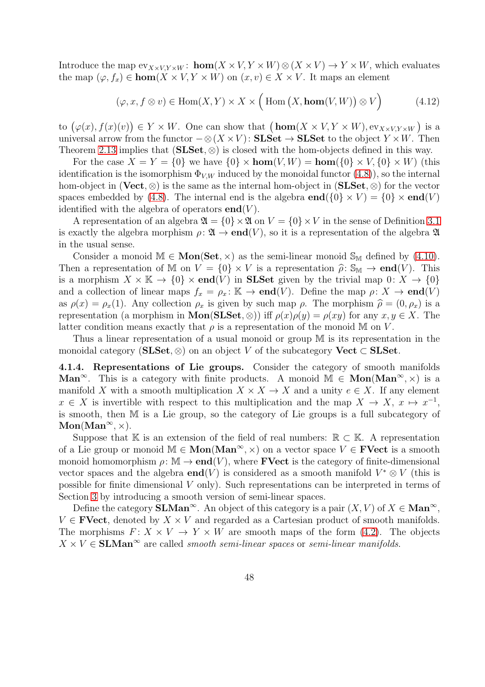Introduce the map  $ev_{X\times V,Y\times W}$ :  $\textbf{hom}(X\times V, Y\times W) \otimes (X\times V) \to Y\times W$ , which evaluates the map  $(\varphi, f_x) \in \text{hom}(X \times V, Y \times W)$  on  $(x, v) \in X \times V$ . It maps an element

$$
(\varphi, x, f \otimes v) \in \text{Hom}(X, Y) \times X \times \left( \text{Hom}(X, \text{hom}(V, W)) \otimes V \right) \tag{4.12}
$$

to  $(\varphi(x), f(x)(v)) \in Y \times W$ . One can show that  $(\mathbf{hom}(X \times V, Y \times W), \mathbf{ev}_{X \times V, Y \times W})$  is a universal arrow from the functor  $-\otimes (X \times V)$ : SLSet  $\rightarrow$  SLSet to the object  $Y \times W$ . Then Theorem [2.13](#page-8-2) implies that  $(SLSet, \otimes)$  is closed with the hom-objects defined in this way.

For the case  $X = Y = \{0\}$  we have  $\{0\} \times \text{hom}(V, W) = \text{hom}(\{0\} \times V, \{0\} \times W)$  (this identification is the isomorphism  $\Phi_{V,W}$  induced by the monoidal functor  $(4.8)$ , so the internal hom-object in (Vect,  $\otimes$ ) is the same as the internal hom-object in (SLSet,  $\otimes$ ) for the vector spaces embedded by [\(4.8\)](#page-46-0). The internal end is the algebra  $\mathbf{end}(\{0\} \times V) = \{0\} \times \mathbf{end}(V)$ identified with the algebra of operators  $end(V)$ .

A representation of an algebra  $\mathfrak{A} = \{0\} \times \mathfrak{A}$  on  $V = \{0\} \times V$  in the sense of Definition [3.1](#page-20-4) is exactly the algebra morphism  $\rho: \mathfrak{A} \to \mathbf{end}(V)$ , so it is a representation of the algebra  $\mathfrak{A}$ in the usual sense.

Consider a monoid  $M \in \text{Mon}(Set, \times)$  as the semi-linear monoid  $\mathbb{S}_M$  defined by [\(4.10\)](#page-46-2). Then a representation of M on  $V = \{0\} \times V$  is a representation  $\hat{\rho} \colon \mathbb{S}_M \to \mathbf{end}(V)$ . This is a morphism  $X \times \mathbb{K} \to \{0\} \times \text{end}(V)$  in **SLSet** given by the trivial map  $0: X \to \{0\}$ and a collection of linear maps  $f_x = \rho_x : \mathbb{K} \to \text{end}(V)$ . Define the map  $\rho: X \to \text{end}(V)$ as  $\rho(x) = \rho_x(1)$ . Any collection  $\rho_x$  is given by such map  $\rho$ . The morphism  $\hat{\rho} = (0, \rho_x)$  is a representation (a morphism in **Mon(SLSet**, ⊗)) iff  $\rho(x)\rho(y) = \rho(xy)$  for any  $x, y \in X$ . The latter condition means exactly that  $\rho$  is a representation of the monoid M on V.

Thus a linear representation of a usual monoid or group M is its representation in the monoidal category (SLSet,  $\otimes$ ) on an object V of the subcategory Vect  $\subset$  SLSet.

4.1.4. Representations of Lie groups. Consider the category of smooth manifolds Man<sup>∞</sup>. This is a category with finite products. A monoid  $M \in \text{Mon}(\text{Man}^{\infty}, \times)$  is a manifold X with a smooth multiplication  $X \times X \to X$  and a unity  $e \in X$ . If any element  $x \in X$  is invertible with respect to this multiplication and the map  $X \to X$ ,  $x \mapsto x^{-1}$ , is smooth, then M is a Lie group, so the category of Lie groups is a full subcategory of  $Mon(Man^{\infty}, x)$ .

Suppose that K is an extension of the field of real numbers:  $\mathbb{R} \subset \mathbb{K}$ . A representation of a Lie group or monoid  $M \in \text{Mon}(\text{Man}^{\infty}, \times)$  on a vector space  $V \in \text{FVect}$  is a smooth monoid homomorphism  $\rho \colon \mathbb{M} \to \mathbf{end}(V)$ , where **FVect** is the category of finite-dimensional vector spaces and the algebra  $\mathbf{end}(V)$  is considered as a smooth manifold  $V^* \otimes V$  (this is possible for finite dimensional  $V$  only). Such representations can be interpreted in terms of Section [3](#page-19-0) by introducing a smooth version of semi-linear spaces.

Define the category **SLMan**<sup>∞</sup>. An object of this category is a pair  $(X, V)$  of  $X \in \mathbf{Man}^\infty$ ,  $V \in \textbf{FVect}$ , denoted by  $X \times V$  and regarded as a Cartesian product of smooth manifolds. The morphisms  $F: X \times V \to Y \times W$  are smooth maps of the form [\(4.2\)](#page-45-0). The objects  $X \times V \in \mathbf{SLMan}^{\infty}$  are called *smooth semi-linear spaces* or *semi-linear manifolds*.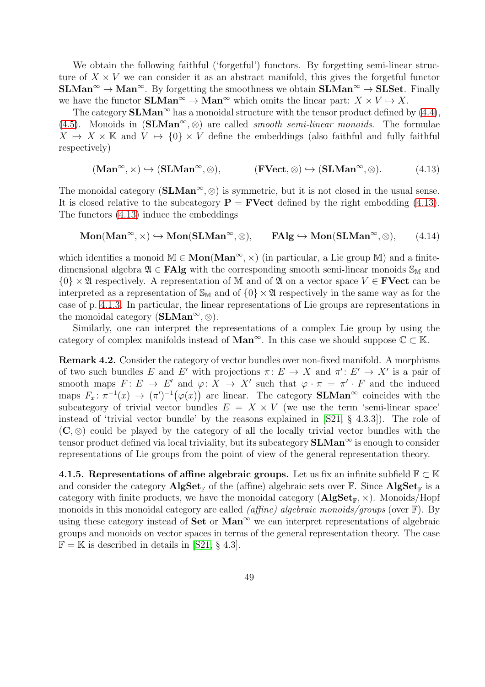We obtain the following faithful ('forgetful') functors. By forgetting semi-linear structure of  $X \times V$  we can consider it as an abstract manifold, this gives the forgetful functor  $SLMan^{\infty} \to Man^{\infty}$ . By forgetting the smoothness we obtain  $SLMan^{\infty} \to SLSet$ . Finally we have the functor  $SLMan^{\infty} \to Man^{\infty}$  which omits the linear part:  $X \times V \mapsto X$ .

The category  $SLMan^{\infty}$  has a monoidal structure with the tensor product defined by [\(4.4\)](#page-45-2), [\(4.5\)](#page-45-3). Monoids in  $(SLMan^{\infty}, \otimes)$  are called *smooth semi-linear monoids*. The formulae  $X \mapsto X \times \mathbb{K}$  and  $V \mapsto \{0\} \times V$  define the embeddings (also faithful and fully faithful respectively)

<span id="page-48-0"></span>
$$
(\mathbf{Man}^{\infty}, \times) \hookrightarrow (\mathbf{SLMan}^{\infty}, \otimes), \qquad (\mathbf{FVect}, \otimes) \hookrightarrow (\mathbf{SLMan}^{\infty}, \otimes). \tag{4.13}
$$

The monoidal category ( $SLMan^{\infty}$ ,  $\otimes$ ) is symmetric, but it is not closed in the usual sense. It is closed relative to the subcategory  $P = FVect$  defined by the right embedding [\(4.13\)](#page-48-0). The functors [\(4.13\)](#page-48-0) induce the embeddings

$$
\mathbf{Mon}(\mathbf{Man}^{\infty}, \times) \hookrightarrow \mathbf{Mon}(\mathbf{SLMan}^{\infty}, \otimes), \qquad \mathbf{FAlg} \hookrightarrow \mathbf{Mon}(\mathbf{SLMan}^{\infty}, \otimes), \qquad (4.14)
$$

which identifies a monoid  $M \in \text{Mon}(\text{Man}^{\infty}, \times)$  (in particular, a Lie group M) and a finitedimensional algebra  $\mathfrak{A} \in \mathbf{FAlg}$  with the corresponding smooth semi-linear monoids  $\mathbb{S}_M$  and  $\{0\} \times \mathfrak{A}$  respectively. A representation of M and of  $\mathfrak{A}$  on a vector space  $V \in \mathbf{FVect}$  can be interpreted as a representation of  $\mathbb{S}_{M}$  and of  $\{0\} \times \mathfrak{A}$  respectively in the same way as for the case of p. [4.1.3.](#page-46-3) In particular, the linear representations of Lie groups are representations in the monoidal category  $(SLMan^{\infty}, \otimes)$ .

Similarly, one can interpret the representations of a complex Lie group by using the category of complex manifolds instead of  $\text{Man}^{\infty}$ . In this case we should suppose  $\mathbb{C} \subset \mathbb{K}$ .

Remark 4.2. Consider the category of vector bundles over non-fixed manifold. A morphisms of two such bundles E and E' with projections  $\pi: E \to X$  and  $\pi': E' \to X'$  is a pair of smooth maps  $F: E \to E'$  and  $\varphi: X \to X'$  such that  $\varphi \cdot \pi = \pi' \cdot F$  and the induced maps  $F_x: \pi^{-1}(x) \to (\pi')^{-1}(\varphi(x))$  are linear. The category **SLMan**<sup>∞</sup> coincides with the subcategory of trivial vector bundles  $E = X \times V$  (we use the term 'semi-linear space' instead of 'trivial vector bundle' by the reasons explained in [\[S21,](#page-54-0) § 4.3.3]). The role of  $(C, \otimes)$  could be played by the category of all the locally trivial vector bundles with the tensor product defined via local triviality, but its subcategory  $SLMan^{\infty}$  is enough to consider representations of Lie groups from the point of view of the general representation theory.

4.1.5. Representations of affine algebraic groups. Let us fix an infinite subfield  $\mathbb{F} \subset \mathbb{K}$ and consider the category  $\mathbf{AlgSet}_{\mathbb{F}}$  of the (affine) algebraic sets over  $\mathbb{F}$ . Since  $\mathbf{AlgSet}_{\mathbb{F}}$  is a category with finite products, we have the monoidal category  $(AlgSet_{F} \times)$ . Monoids/Hopf monoids in this monoidal category are called *(affine) algebraic monoids/groups* (over  $\mathbb{F}$ ). By using these category instead of  $Set$  or  $Man^{\infty}$  we can interpret representations of algebraic groups and monoids on vector spaces in terms of the general representation theory. The case  $\mathbb{F} = \mathbb{K}$  is described in details in [\[S21,](#page-54-0) § 4.3].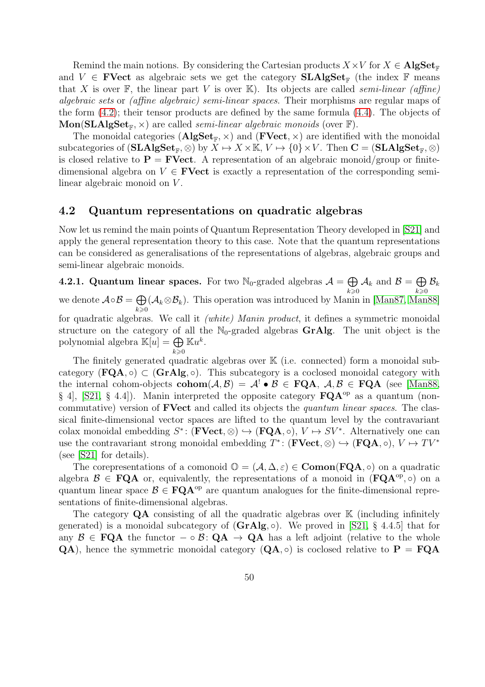Remind the main notions. By considering the Cartesian products  $X \times V$  for  $X \in \mathbf{AlgSet}_{\mathbb{F}}$ and  $V \in \mathbf{FVect}$  as algebraic sets we get the category  $\mathbf{SLAlgSet}_{\mathbb{F}}$  (the index  $\mathbb{F}$  means that X is over  $\mathbb{F}$ , the linear part V is over  $\mathbb{K}$ ). Its objects are called semi-linear (affine) algebraic sets or (affine algebraic) semi-linear spaces. Their morphisms are regular maps of the form [\(4.2\)](#page-45-0); their tensor products are defined by the same formula [\(4.4\)](#page-45-2). The objects of  $\mathbf{Mon}(\mathbf{SLAlgSet}_{\mathbb{F}}, \times)$  are called *semi-linear algebraic monoids* (over  $\mathbb{F}$ ).

The monoidal categories  $(AlgSet_{\mathbb{F}}, \times)$  and  $(FVect, \times)$  are identified with the monoidal subcategories of  $(SLAlgSet_{\mathbb{F}}, \otimes)$  by  $\overline{X} \mapsto X \times \mathbb{K}, V \mapsto \{0\} \times V$ . Then  $\mathbf{C} = (SLAlgSet_{\mathbb{F}}, \otimes)$ is closed relative to  $\mathbf{P} = \mathbf{FVect}$ . A representation of an algebraic monoid/group or finitedimensional algebra on  $V \in \mathbf{FVect}$  is exactly a representation of the corresponding semilinear algebraic monoid on V.

#### <span id="page-49-0"></span>4.2 Quantum representations on quadratic algebras

Now let us remind the main points of Quantum Representation Theory developed in [\[S21\]](#page-54-0) and apply the general representation theory to this case. Note that the quantum representations can be considered as generalisations of the representations of algebras, algebraic groups and semi-linear algebraic monoids.

4.2.1. Quantum linear spaces. For two  $\mathbb{N}_0$ -graded algebras  $\mathcal{A} = \bigoplus$  $\llap{k\geqslant}0$  $\mathcal{A}_k$  and  $\mathcal{B} = \bigoplus$  $\left\langle k\right\rangle \geqslant 0$  $\mathcal{B}_k$ we denote  $\mathcal{A} \circ \mathcal{B} = \bigoplus$  $\left\langle k\right\rangle \geqslant 0$  $(\mathcal{A}_k \otimes \mathcal{B}_k)$ . This operation was introduced by Manin in [\[Man87,](#page-53-0) [Man88\]](#page-53-1) for quadratic algebras. We call it (white) Manin product, it defines a symmetric monoidal structure on the category of all the  $\mathbb{N}_0$ -graded algebras **GrAlg**. The unit object is the polynomial algebra  $\mathbb{K}[u] = \bigoplus \mathbb{K}u^k$ .  $\llap{k\geqslant}0$ 

The finitely generated quadratic algebras over  $K$  (i.e. connected) form a monoidal subcategory  $(\mathbf{FQA}, \circ) \subset (\mathbf{GrAlg}, \circ)$ . This subcategory is a coclosed monoidal category with the internal cohom-objects  $\text{cohom}(\mathcal{A}, \mathcal{B}) = \mathcal{A}^{\perp} \bullet \mathcal{B} \in \text{FQA}, \mathcal{A}, \mathcal{B} \in \text{FQA}$  (see [\[Man88,](#page-53-1) § 4, [\[S21,](#page-54-0) § 4.4]). Manin interpreted the opposite category  $\mathbf{FQA}^{\mathrm{op}}$  as a quantum (noncommutative) version of **FVect** and called its objects the *quantum linear spaces*. The classical finite-dimensional vector spaces are lifted to the quantum level by the contravariant colax monoidal embedding  $S^*$ : (**FVect**,  $\otimes$ )  $\hookrightarrow$  (**FQA**,  $\circ$ ),  $V \mapsto SV^*$ . Alternatively one can use the contravariant strong monoidal embedding  $T^*$ : (**FVect**, ⊗)  $\hookrightarrow$  (**FQA**,  $\circ$ ),  $V \mapsto TV^*$ (see [\[S21\]](#page-54-0) for details).

The corepresentations of a comonoid  $\mathbb{O} = (\mathcal{A}, \Delta, \varepsilon) \in \mathbf{Comon}(\mathbf{FQA}, \circ)$  on a quadratic algebra  $\mathcal{B} \in \mathbf{FQA}$  or, equivalently, the representations of a monoid in  $(\mathbf{FQA}^{\text{op}}, \circ)$  on a quantum linear space  $\mathcal{B} \in \mathbf{FQA}^{\mathrm{op}}$  are quantum analogues for the finite-dimensional representations of finite-dimensional algebras.

The category  $QA$  consisting of all the quadratic algebras over  $K$  (including infinitely generated) is a monoidal subcategory of  $(GrAlg, \circ)$ . We proved in [\[S21,](#page-54-0) § 4.4.5] that for any  $\mathcal{B} \in \text{FQA}$  the functor  $-\circ \mathcal{B} \colon \text{QA} \to \text{QA}$  has a left adjoint (relative to the whole  $QA$ ), hence the symmetric monoidal category  $(QA, \circ)$  is coclosed relative to  $P = FQA$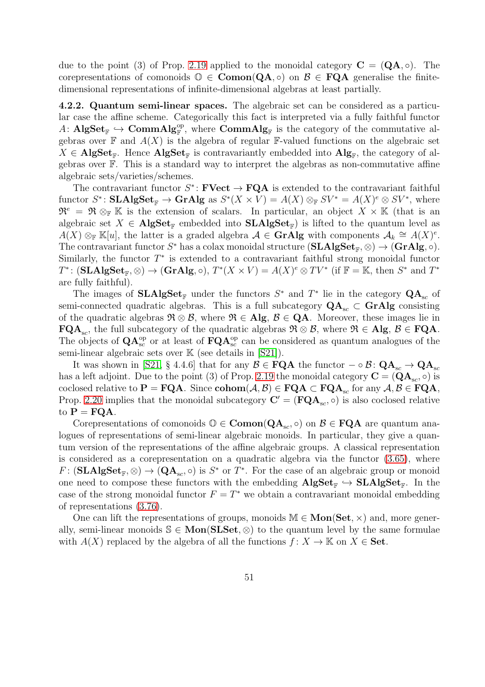due to the point (3) of Prop. [2.19](#page-12-0) applied to the monoidal category  $\mathbf{C} = (\mathbf{Q}\mathbf{A}, \circ)$ . The corepresentations of comonoids  $\mathbb{O} \in \mathbf{Comon}(\mathbf{QA}, \circ)$  on  $\mathcal{B} \in \mathbf{FQA}$  generalise the finitedimensional representations of infinite-dimensional algebras at least partially.

4.2.2. Quantum semi-linear spaces. The algebraic set can be considered as a particular case the affine scheme. Categorically this fact is interpreted via a fully faithful functor A:  $\text{AlgSet}_{\mathbb{F}} \hookrightarrow \text{CommAlg}_{\mathbb{F}}^{\text{op}},$  where  $\text{CommAlg}_{\mathbb{F}}$  is the category of the commutative algebras over  $\mathbb F$  and  $A(X)$  is the algebra of regular  $\mathbb F$ -valued functions on the algebraic set  $X \in \mathbf{AlgSet}_{\mathbb{F}}$ . Hence  $\mathbf{AlgSet}_{\mathbb{F}}$  is contravariantly embedded into  $\mathbf{Alg}_{\mathbb{F}}$ , the category of algebras over F. This is a standard way to interpret the algebras as non-commutative affine algebraic sets/varieties/schemes.

The contravariant functor  $S^*$ : **FVect**  $\rightarrow$  **FQA** is extended to the contravariant faithful functor  $S^*$ : **SLAlgSet**<sub>F</sub>  $\to$  **GrAlg** as  $S^*(X \times V) = A(X) \otimes_F SV^* = A(X)^e \otimes SV^*$ , where  $\mathfrak{R}^e = \mathfrak{R} \otimes_{\mathbb{F}} \mathbb{K}$  is the extension of scalars. In particular, an object  $X \times \mathbb{K}$  (that is an algebraic set  $X \in \textbf{AlgSet}_{\mathbb{F}}$  embedded into  $\textbf{SLAlgSet}_{\mathbb{F}}$  is lifted to the quantum level as  $A(X) \otimes_{\mathbb{F}} \mathbb{K}[u]$ , the latter is a graded algebra  $\mathcal{A} \in \mathbf{GrAlg}$  with components  $\mathcal{A}_k \cong A(X)^e$ . The contravariant functor  $S^*$  has a colax monoidal structure  $(SLAlgSet_{\mathbb{F}}, \otimes) \rightarrow (GrAlg, \circ)$ . Similarly, the functor  $T^*$  is extended to a contravariant faithful strong monoidal functor  $T^*$ :  $(\mathbf{SLAlgSet}_{\mathbb{F}}, \otimes) \to (\mathbf{GrAlg}, \circ), T^*(X \times V) = A(X)^e \otimes TV^*$  (if  $\mathbb{F} = \mathbb{K}$ , then  $S^*$  and  $T^*$ are fully faithful).

The images of  $SLAlgSet_{\mathbb{F}}$  under the functors  $S^*$  and  $T^*$  lie in the category  $QA_{sc}$  of semi-connected quadratic algebras. This is a full subcategory  $QA_{sc} \subset \mathbf{GrAlg}$  consisting of the quadratic algebras  $\mathfrak{R} \otimes \mathcal{B}$ , where  $\mathfrak{R} \in \mathbf{Alg}$ ,  $\mathcal{B} \in \mathbf{QA}$ . Moreover, these images lie in  $\mathbf{FQA}_{\text{sc}}$ , the full subcategory of the quadratic algebras  $\mathfrak{R} \otimes \mathcal{B}$ , where  $\mathfrak{R} \in \mathbf{Alg}$ ,  $\mathcal{B} \in \mathbf{FQA}$ . The objects of  $QA_{sc}^{op}$  or at least of  $FQA_{sc}^{op}$  can be considered as quantum analogues of the semi-linear algebraic sets over  $\mathbb{K}$  (see details in [\[S21\]](#page-54-0)).

It was shown in [\[S21,](#page-54-0) § 4.4.6] that for any  $\mathcal{B} \in \mathbf{FQA}$  the functor  $-\circ \mathcal{B} \colon \mathbf{QA}_{sc} \to \mathbf{QA}_{sc}$ has a left adjoint. Due to the point (3) of Prop. [2.19](#page-12-0) the monoidal category  $\mathbf{C} = (\mathbf{Q} \mathbf{A}_{\mathrm{sc}}, \circ)$  is coclosed relative to  $\mathbf{P} = \mathbf{FQA}$ . Since  $\mathbf{cohom}(\mathcal{A}, \mathcal{B}) \in \mathbf{FQA} \subset \mathbf{FQA}_{\mathrm{sc}}$  for any  $\mathcal{A}, \mathcal{B} \in \mathbf{FQA}$ , Prop. [2.20](#page-13-2) implies that the monoidal subcategory  $\mathbf{C}' = (\mathbf{FQA}_{sc}, \circ)$  is also coclosed relative to  $P = FQA$ .

Corepresentations of comonoids  $\mathbb{O} \in \mathbf{Comon}(\mathbf{QA}_{sc}, \circ)$  on  $\mathcal{B} \in \mathbf{FQA}$  are quantum analogues of representations of semi-linear algebraic monoids. In particular, they give a quantum version of the representations of the affine algebraic groups. A classical representation is considered as a corepresentation on a quadratic algebra via the functor [\(3.65\)](#page-39-2), where  $F: (\mathbf{SLAlgSet}_{\mathbb{F}}, \otimes) \to (\mathbf{QA}_{\mathsf{sc}}, \circ)$  is  $S^*$  or  $T^*$ . For the case of an algebraic group or monoid one need to compose these functors with the embedding  $\mathbf{AlgSet}_{\mathbb{F}} \hookrightarrow \mathbf{SLAlgSet}_{\mathbb{F}}$ . In the case of the strong monoidal functor  $F = T^*$  we obtain a contravariant monoidal embedding of representations [\(3.76\)](#page-42-1).

One can lift the representations of groups, monoids  $M \in \mathbf{Mon}(\mathbf{Set}, \times)$  and, more generally, semi-linear monoids  $\mathcal{S} \in \text{Mon}(SLSet, \otimes)$  to the quantum level by the same formulae with  $A(X)$  replaced by the algebra of all the functions  $f: X \to \mathbb{K}$  on  $X \in \mathbf{Set}$ .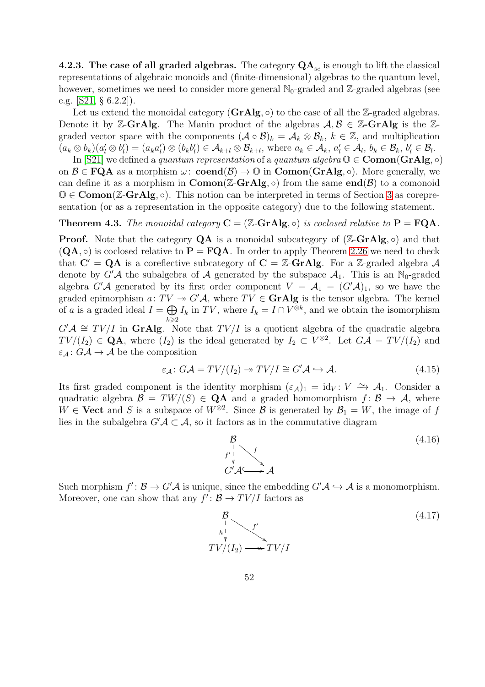**4.2.3. The case of all graded algebras.** The category  $QA_{sc}$  is enough to lift the classical representations of algebraic monoids and (finite-dimensional) algebras to the quantum level, however, sometimes we need to consider more general  $\mathbb{N}_0$ -graded and Z-graded algebras (see e.g. [\[S21,](#page-54-0) § 6.2.2]).

Let us extend the monoidal category  $(GrAlg, \circ)$  to the case of all the Z-graded algebras. Denote it by Z-GrAlg. The Manin product of the algebras  $A, B \in \mathbb{Z}$ -GrAlg is the Zgraded vector space with the components  $(A \circ B)_k = A_k \otimes B_k$ ,  $k \in \mathbb{Z}$ , and multiplication  $(a_k \otimes b_k)(a'_l \otimes b'_l)$  $\binom{l}{l} = \left( a_k a_l' \right)$  $\mathcal{U}_l$ )  $\otimes$   $(b_k b_l^{\prime})$  $\mathcal{A}_{l}(\theta) \in \mathcal{A}_{k+l} \otimes \mathcal{B}_{k+l}$ , where  $a_k \in \mathcal{A}_k$ ,  $a'_l \in \mathcal{A}_l$ ,  $b_k \in \mathcal{B}_k$ ,  $b'_l \in \mathcal{B}_l$ .

In [\[S21\]](#page-54-0) we defined a quantum representation of a quantum algebra  $\mathbb{O} \in \mathbf{Comon}(\mathbf{GrAlg}, \circ)$ on  $\mathcal{B} \in \mathbf{FQA}$  as a morphism  $\omega$ : **coend** $(\mathcal{B}) \to \mathbb{O}$  in **Comon**(**GrAlg**,  $\circ$ ). More generally, we can define it as a morphism in  $\mathbf{Comon}(\mathbb{Z}\text{-}\mathbf{GrAlg},\circ)$  from the same  $\mathbf{end}(\mathcal{B})$  to a comonoid  $\mathbb{O} \in \mathbf{Comon}(\mathbb{Z}\text{-}\mathbf{GrAlg}, \circ)$ . This notion can be interpreted in terms of Section [3](#page-19-0) as corepresentation (or as a representation in the opposite category) due to the following statement.

#### **Theorem 4.3.** The monoidal category  $C = (\mathbb{Z}-Gr\mathbf{Alg}, \circ)$  is coclosed relative to  $P = FQA$ .

**Proof.** Note that the category  $QA$  is a monoidal subcategory of  $(Z-GrAlg, \circ)$  and that  $(QA, \circ)$  is coclosed relative to  $P = FQA$ . In order to apply Theorem [2.26](#page-18-2) we need to check that  $C' = QA$  is a coreflective subcategory of  $C = \mathbb{Z}-GrAlg$ . For a  $\mathbb{Z}-graded$  algebra A denote by G'A the subalgebra of A generated by the subspace  $A_1$ . This is an N<sub>0</sub>-graded algebra  $G'A$  generated by its first order component  $V = A_1 = (G'A)_1$ , so we have the graded epimorphism  $a: TV \rightarrow G'A$ , where  $TV \in \mathbf{GrAlg}$  is the tensor algebra. The kernel of a is a graded ideal  $I = \bigoplus$  $k\geqslant 2$  $I_k$  in TV, where  $I_k = I \cap V^{\otimes k}$ , and we obtain the isomorphism

 $G'A \cong TV/I$  in GrAlg. Note that  $TV/I$  is a quotient algebra of the quadratic algebra  $TV/(I_2) \in \mathbf{QA}$ , where  $(I_2)$  is the ideal generated by  $I_2 \subset V^{\otimes 2}$ . Let  $G\mathcal{A} = TV/(I_2)$  and  $\varepsilon_{\mathcal{A}}: G\mathcal{A} \to \mathcal{A}$  be the composition

$$
\varepsilon_{\mathcal{A}} \colon G\mathcal{A} = TV/(I_2) \to TV/I \cong G'\mathcal{A} \hookrightarrow \mathcal{A}.\tag{4.15}
$$

Its first graded component is the identity morphism  $(\varepsilon_{\mathcal{A}})_1 = id_V : V \longrightarrow A_1$ . Consider a quadratic algebra  $\mathcal{B} = TW/(S) \in \mathbf{QA}$  and a graded homomorphism  $f: \mathcal{B} \to \mathcal{A}$ , where  $W \in \textbf{Vect}$  and S is a subspace of  $W^{\otimes 2}$ . Since B is generated by  $\mathcal{B}_1 = W$ , the image of f lies in the subalgebra  $G'A \subset A$ , so it factors as in the commutative diagram

<span id="page-51-1"></span>

Such morphism  $f' : \mathcal{B} \to G'\mathcal{A}$  is unique, since the embedding  $G'\mathcal{A} \hookrightarrow \mathcal{A}$  is a monomorphism. Moreover, one can show that any  $f' : \mathcal{B} \to TV/I$  factors as

<span id="page-51-0"></span>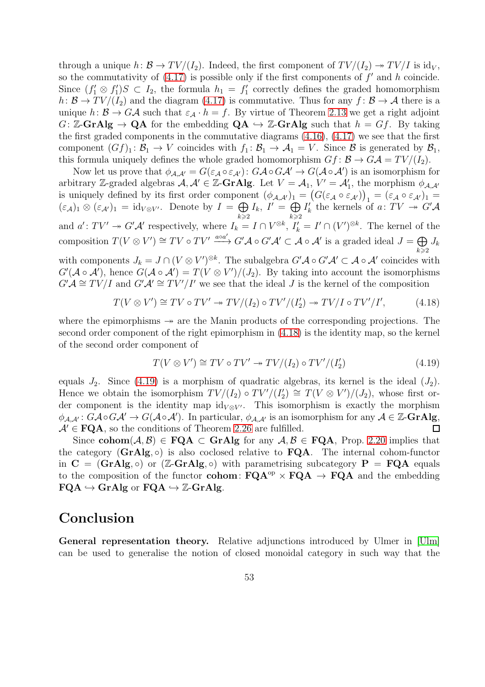through a unique  $h: \mathcal{B} \to TV/(I_2)$ . Indeed, the first component of  $TV/(I_2) \to TV/I$  is id<sub>V</sub>, so the commutativity of  $(4.17)$  is possible only if the first components of  $f'$  and h coincide. Since  $(f'_1 \otimes f'_1)$  $T_1'S \subset I_2$ , the formula  $h_1 = f_1'$ 1 correctly defines the graded homomorphism  $h: \mathcal{B} \to TV/(I_2)$  and the diagram [\(4.17\)](#page-51-0) is commutative. Thus for any  $f: \mathcal{B} \to \mathcal{A}$  there is a unique  $h: \mathcal{B} \to G\mathcal{A}$  such that  $\varepsilon_{\mathcal{A}} \cdot h = f$ . By virtue of Theorem [2.13](#page-8-2) we get a right adjoint G: Z-GrAlg  $\rightarrow$  QA for the embedding  $QA \rightarrow Z$ -GrAlg such that  $h = Gf$ . By taking the first graded components in the commutative diagrams [\(4.16\)](#page-51-1), [\(4.17\)](#page-51-0) we see that the first component  $(Gf)_1: \mathcal{B}_1 \to V$  coincides with  $f_1: \mathcal{B}_1 \to \mathcal{A}_1 = V$ . Since  $\mathcal{B}$  is generated by  $\mathcal{B}_1$ , this formula uniquely defines the whole graded homomorphism  $Gf : \mathcal{B} \to G\mathcal{A} = TV/(I_2)$ .

Now let us prove that  $\phi_{\mathcal{A},\mathcal{A}'}=G(\varepsilon_{\mathcal{A}}\circ\varepsilon_{\mathcal{A}'})\colon G\mathcal{A}\circ G\mathcal{A}'\to G(\mathcal{A}\circ\mathcal{A}')$  is an isomorphism for arbitrary Z-graded algebras  $A, A' \in \mathbb{Z}$ -GrAlg. Let  $V = A_1$ ,  $V' = A'_1$ , the morphism  $\phi_{A,A'}$ is uniquely defined by its first order component  $(\phi_{\mathcal{A},\mathcal{A}'})_1 = (G(\varepsilon_{\mathcal{A}} \circ \varepsilon_{\mathcal{A}'})_1 = (\varepsilon_{\mathcal{A}} \circ \varepsilon_{\mathcal{A}'})_1 =$  $(\varepsilon_{\mathcal{A}})_1 \otimes (\varepsilon_{\mathcal{A}'})_1 = \text{id}_{V \otimes V'}$ . Denote by  $I = \bigoplus I_k$ ,  $I' = \bigoplus I'_k$  the kernels of  $\left\langle k\right\rangle \geqslant2$  $I_k, I' = \bigoplus$  $k\geqslant 2$  $I'_{k}$ k the kernels of a:  $TV \rightarrow G' \mathcal{A}$ and  $a': TV' \to G'\mathcal{A}'$  respectively, where  $I_k = I \cap V^{\otimes k}$ ,  $I'_k = I' \cap (V')^{\otimes k}$ . The kernel of the composition  $T(V \otimes V') \cong TV \circ TV' \xrightarrow{a \circ a'} G' A \circ G' A' \subset A \circ A'$  is a graded ideal  $J = \bigoplus$  $\&\geqslant 2$  $J_k$ 

with components  $J_k = J \cap (V \otimes V')^{\otimes k}$ . The subalgebra  $G' A \circ G' A' \subset A \circ A'$  coincides with  $G'(\mathcal{A} \circ \mathcal{A}')$ , hence  $G(\mathcal{A} \circ \mathcal{A}') = T(V \otimes V')/(J_2)$ . By taking into account the isomorphisms  $G'A \cong TV/I$  and  $G'A' \cong TV'/I'$  we see that the ideal J is the kernel of the composition

$$
T(V \otimes V') \cong TV \circ TV' \twoheadrightarrow TV/(I_2) \circ TV'/(I_2') \twoheadrightarrow TV/I \circ TV'/I', \tag{4.18}
$$

where the epimorphisms  $\rightarrow$  are the Manin products of the corresponding projections. The second order component of the right epimorphism in [\(4.18\)](#page-52-1) is the identity map, so the kernel of the second order component of

<span id="page-52-2"></span><span id="page-52-1"></span>
$$
T(V \otimes V') \cong TV \circ TV' \twoheadrightarrow TV/(I_2) \circ TV'/(I_2')
$$
\n
$$
(4.19)
$$

equals  $J_2$ . Since [\(4.19\)](#page-52-2) is a morphism of quadratic algebras, its kernel is the ideal  $(J_2)$ .  $\overline{T_2'} \cong T(V \otimes V')/(J_2)$ , whose first or-Hence we obtain the isomorphism  $TV/(I_2) \circ TV'/(I_2')$ der component is the identity map  $id_{V \otimes V'}$ . This isomorphism is exactly the morphism  $\phi_{\mathcal{A},\mathcal{A}'}: G\mathcal{A}\circ G\mathcal{A}'\to G(\mathcal{A}\circ \mathcal{A}').$  In particular,  $\phi_{\mathcal{A},\mathcal{A}'}$  is an isomorphism for any  $\mathcal{A}\in \mathbb{Z}\text{-}\mathbf{GrAlg},$  $A' \in \textbf{FQA}$ , so the conditions of Theorem [2.26](#page-18-2) are fulfilled.  $\Box$ 

Since cohom $(A, \mathcal{B}) \in \mathbf{FQA} \subset \mathbf{GrAlg}$  for any  $A, \mathcal{B} \in \mathbf{FQA}$ , Prop. [2.20](#page-13-2) implies that the category  $(GrAlg, \circ)$  is also coclosed relative to  $FQA$ . The internal cohom-functor in  $C = (GrAlg, \circ)$  or  $(\mathbb{Z}-GrAlg, \circ)$  with parametrising subcategory  $P = FQA$  equals to the composition of the functor **cohom:**  $\mathbf{FQA}^{\mathrm{op}} \times \mathbf{FQA} \to \mathbf{FQA}$  and the embedding  $FQA \hookrightarrow GrAlg$  or  $FQA \hookrightarrow \mathbb{Z}\text{-}GrAlg$ .

## <span id="page-52-0"></span>Conclusion

General representation theory. Relative adjunctions introduced by Ulmer in [\[Ulm\]](#page-54-1) can be used to generalise the notion of closed monoidal category in such way that the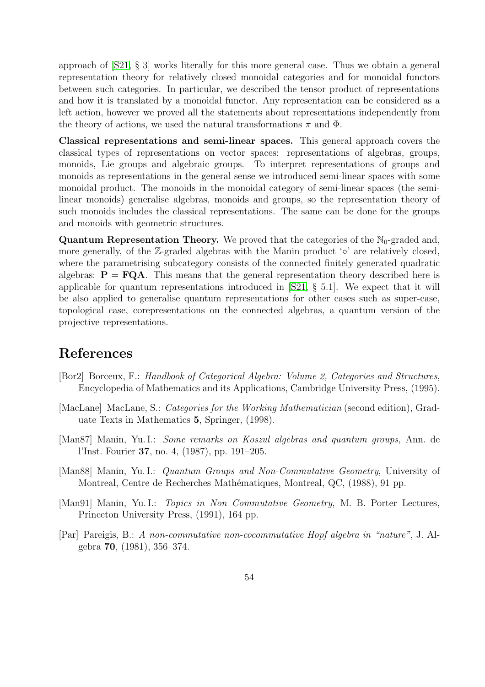approach of [\[S21,](#page-54-0) § 3] works literally for this more general case. Thus we obtain a general representation theory for relatively closed monoidal categories and for monoidal functors between such categories. In particular, we described the tensor product of representations and how it is translated by a monoidal functor. Any representation can be considered as a left action, however we proved all the statements about representations independently from the theory of actions, we used the natural transformations  $\pi$  and  $\Phi$ .

Classical representations and semi-linear spaces. This general approach covers the classical types of representations on vector spaces: representations of algebras, groups, monoids, Lie groups and algebraic groups. To interpret representations of groups and monoids as representations in the general sense we introduced semi-linear spaces with some monoidal product. The monoids in the monoidal category of semi-linear spaces (the semilinear monoids) generalise algebras, monoids and groups, so the representation theory of such monoids includes the classical representations. The same can be done for the groups and monoids with geometric structures.

**Quantum Representation Theory.** We proved that the categories of the  $N_0$ -graded and, more generally, of the Z-graded algebras with the Manin product '◦' are relatively closed, where the parametrising subcategory consists of the connected finitely generated quadratic algebras:  $P = FQA$ . This means that the general representation theory described here is applicable for quantum representations introduced in [\[S21,](#page-54-0) § 5.1]. We expect that it will be also applied to generalise quantum representations for other cases such as super-case, topological case, corepresentations on the connected algebras, a quantum version of the projective representations.

## References

- <span id="page-53-4"></span>[Bor2] Borceux, F.: Handbook of Categorical Algebra: Volume 2, Categories and Structures, Encyclopedia of Mathematics and its Applications, Cambridge University Press, (1995).
- <span id="page-53-3"></span>[MacLane] MacLane, S.: Categories for the Working Mathematician (second edition), Graduate Texts in Mathematics 5, Springer, (1998).
- <span id="page-53-0"></span>[Man87] Manin, Yu. I.: Some remarks on Koszul algebras and quantum groups, Ann. de l'Inst. Fourier 37, no. 4, (1987), pp. 191–205.
- <span id="page-53-1"></span>[Man88] Manin, Yu. I.: Quantum Groups and Non-Commutative Geometry, University of Montreal, Centre de Recherches Mathématiques, Montreal, QC, (1988), 91 pp.
- <span id="page-53-2"></span>[Man91] Manin, Yu. I.: Topics in Non Commutative Geometry, M. B. Porter Lectures, Princeton University Press, (1991), 164 pp.
- <span id="page-53-5"></span>[Par] Pareigis, B.: A non-commutative non-cocommutative Hopf algebra in "nature", J. Algebra 70, (1981), 356–374.